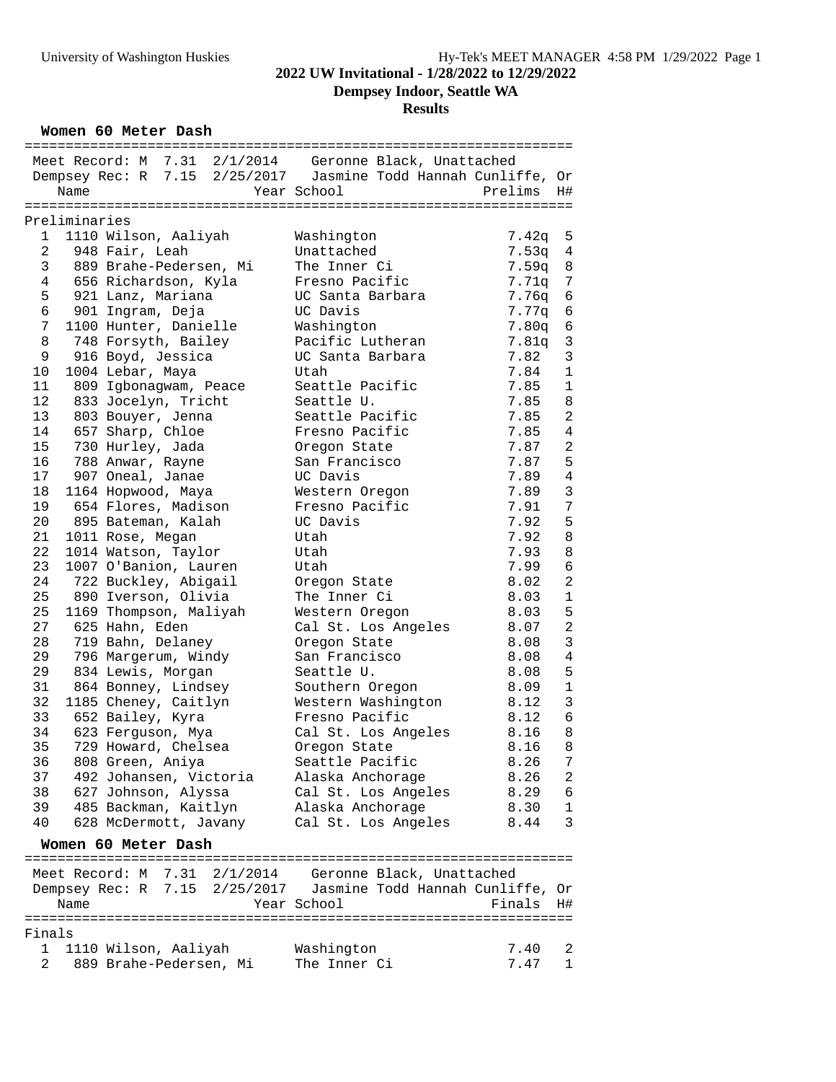**Dempsey Indoor, Seattle WA**

# **Results**

**Women 60 Meter Dash**

| Meet Record: M 7.31 2/1/2014 Geronne Black, Unattached<br>Dempsey Rec: R 7.15 2/25/2017 Jasmine Todd Hannah Cunliffe, Or |                 |
|--------------------------------------------------------------------------------------------------------------------------|-----------------|
| Year School<br>Prelims<br>Name                                                                                           | H#              |
|                                                                                                                          |                 |
| Preliminaries                                                                                                            |                 |
| 1110 Wilson, Aaliyah<br>Washington<br>7.42q<br>1                                                                         | 5               |
| $\overline{a}$<br>948 Fair, Leah<br>Unattached<br>7.53q                                                                  | $\overline{4}$  |
| 3<br>7.59q<br>889 Brahe-Pedersen, Mi<br>The Inner Ci                                                                     | $\,8\,$         |
| 4<br>656 Richardson, Kyla<br>Fresno Pacific<br>7.71q                                                                     | $7\phantom{.0}$ |
| UC Santa Barbara<br>7.76q                                                                                                |                 |
| 5<br>921 Lanz, Mariana                                                                                                   | 6               |
| 6<br>901 Ingram, Deja<br>UC Davis<br>7.77q                                                                               | $\sqrt{6}$      |
| 7<br>1100 Hunter, Danielle<br>Washington<br>7.80q                                                                        | $\epsilon$      |
| Pacific Lutheran<br>8<br>748 Forsyth, Bailey<br>7.81q                                                                    | $\mathbf{3}$    |
| 7.82<br>9<br>916 Boyd, Jessica<br>UC Santa Barbara                                                                       | $\mathbf{3}$    |
| 1004 Lebar, Maya<br>Utah<br>7.84<br>10                                                                                   | $\mathbf{1}$    |
| 11<br>809 Igbonagwam, Peace<br>Seattle Pacific<br>7.85                                                                   | $\mathbf{1}$    |
| 12<br>833 Jocelyn, Tricht<br>Seattle U.<br>7.85                                                                          | 8               |
| 13<br>803 Bouyer, Jenna<br>Seattle Pacific<br>7.85                                                                       | $\overline{2}$  |
| 14<br>657 Sharp, Chloe<br>Fresno Pacific<br>7.85                                                                         | $\overline{4}$  |
| 15<br>7.87<br>730 Hurley, Jada<br>Oregon State                                                                           | $\sqrt{2}$      |
| 788 Anwar, Rayne<br>16<br>San Francisco<br>7.87                                                                          | $5\phantom{.0}$ |
| 17<br>907 Oneal, Janae<br>UC Davis<br>7.89                                                                               | $\sqrt{4}$      |
| 18<br>7.89<br>1164 Hopwood, Maya<br>Western Oregon                                                                       | $\mathbf{3}$    |
| 19<br>654 Flores, Madison<br>Fresno Pacific<br>7.91                                                                      | $7\phantom{.0}$ |
| 20<br>895 Bateman, Kalah<br>UC Davis<br>7.92                                                                             | 5               |
| 21<br>7.92<br>1011 Rose, Megan<br>Utah                                                                                   | $\,8\,$         |
| 22<br>1014 Watson, Taylor<br>7.93<br>Utah                                                                                | $\,8\,$         |
| 23<br>1007 O'Banion, Lauren<br>7.99<br>Utah                                                                              | $\epsilon$      |
| 24<br>722 Buckley, Abigail<br>8.02<br>Oregon State                                                                       | $\overline{a}$  |
| 25<br>890 Iverson, Olivia<br>The Inner Ci<br>8.03                                                                        | $\mathbf 1$     |
| 25<br>1169 Thompson, Maliyah<br>8.03<br>Western Oregon                                                                   | 5               |
| 27<br>625 Hahn, Eden<br>Cal St. Los Angeles<br>8.07                                                                      | $\sqrt{2}$      |
| 719 Bahn, Delaney<br>28<br>Oregon State<br>8.08                                                                          | $\mathfrak{Z}$  |
| 29<br>San Francisco<br>8.08                                                                                              | $\,4$           |
| 796 Margerum, Windy                                                                                                      | 5               |
| 29<br>834 Lewis, Morgan<br>Seattle U.<br>8.08                                                                            |                 |
| 31<br>864 Bonney, Lindsey<br>Southern Oregon<br>8.09                                                                     | $\mathbf 1$     |
| 32<br>1185 Cheney, Caitlyn<br>Western Washington<br>8.12                                                                 | $\mathbf{3}$    |
| Fresno Pacific<br>33<br>652 Bailey, Kyra<br>8.12                                                                         | $\epsilon$      |
| Cal St. Los Angeles<br>34<br>623 Ferguson, Mya<br>8.16                                                                   | $\,8\,$         |
| 35<br>729 Howard, Chelsea<br>Oregon State<br>8.16 8                                                                      |                 |
| 36<br>808 Green, Aniya<br>Seattle Pacific<br>8.26                                                                        | 7               |
| 37<br>492 Johansen, Victoria<br>8.26<br>Alaska Anchorage                                                                 | 2               |
| 38<br>627 Johnson, Alyssa<br>Cal St. Los Angeles<br>8.29                                                                 | 6               |
| 39<br>485 Backman, Kaitlyn<br>Alaska Anchorage<br>8.30                                                                   | $\mathbf{1}$    |
| 40<br>628 McDermott, Javany<br>Cal St. Los Angeles<br>8.44                                                               | 3               |
| Women 60 Meter Dash                                                                                                      |                 |
|                                                                                                                          |                 |
|                                                                                                                          |                 |
| Meet Record: M 7.31 2/1/2014 Geronne Black, Unattached<br>Dempsey Rec: R 7.15 2/25/2017 Jasmine Todd Hannah Cunliffe, Or |                 |
| Name<br>Year School<br>Finals                                                                                            | H#              |
|                                                                                                                          |                 |
| Finals                                                                                                                   |                 |
| 1110 Wilson, Aaliyah<br>Washington<br>7.40<br>1                                                                          | 2               |

2 889 Brahe-Pedersen, Mi The Inner Ci 7.47 1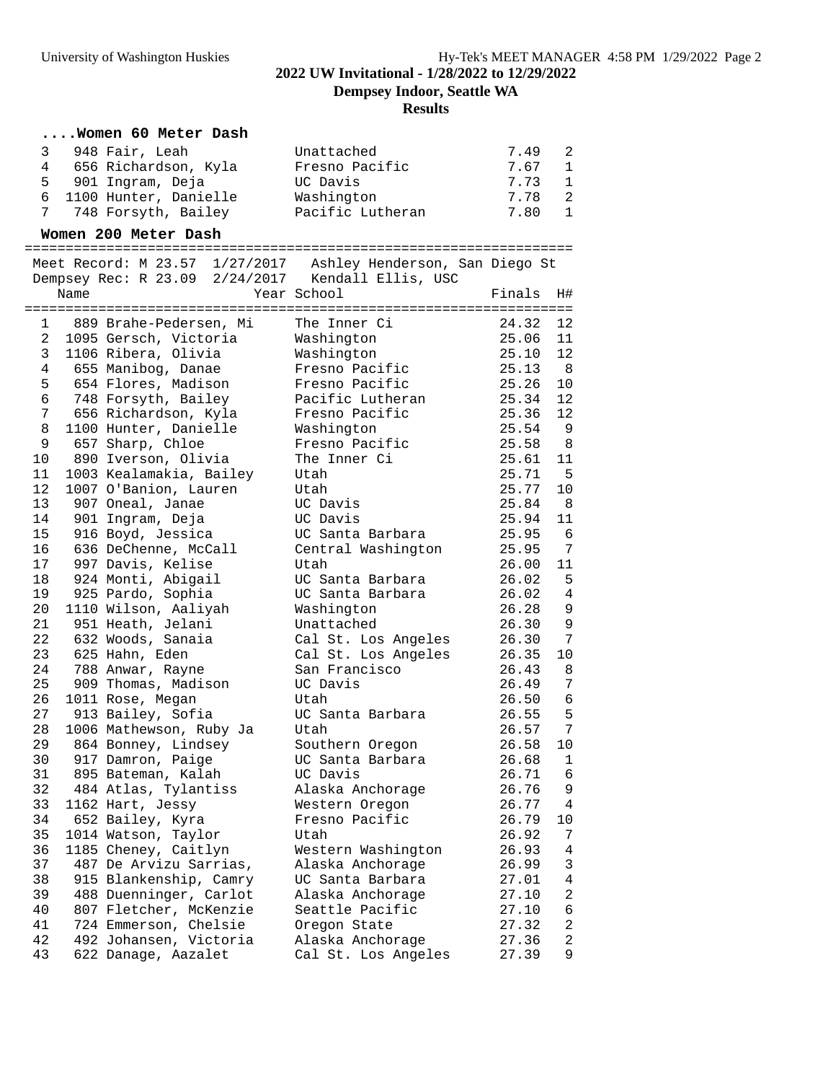**Dempsey Indoor, Seattle WA**

### **Results**

### **....Women 60 Meter Dash**

|  | 3 948 Fair, Leah        | Unattached       | 7.49 2 |  |
|--|-------------------------|------------------|--------|--|
|  | 4 656 Richardson, Kyla  | Fresno Pacific   | 7.67 1 |  |
|  | 5 901 Ingram, Deja      | UC Davis         | 7.73 1 |  |
|  | 6 1100 Hunter, Danielle | Washington       | 7.78 2 |  |
|  | 7 748 Forsyth, Bailey   | Pacific Lutheran | 7.80 1 |  |

#### **Women 200 Meter Dash**

===================================================================

 Meet Record: M 23.57 1/27/2017 Ashley Henderson, San Diego St Dempsey Rec: R 23.09 2/24/2017 Kendall Ellis, USC Name  $Year School$  Finals H# ===================================================================

| 1  | 889 Brahe-Pedersen, Mi  | The Inner Ci        | 24.32 | 12              |
|----|-------------------------|---------------------|-------|-----------------|
| 2  | 1095 Gersch, Victoria   | Washington          | 25.06 | 11              |
| 3  | 1106 Ribera, Olivia     | Washington          | 25.10 | 12              |
| 4  | 655 Manibog, Danae      | Fresno Pacific      | 25.13 | - 8             |
| 5  | 654 Flores, Madison     | Fresno Pacific      | 25.26 | 10              |
| 6  | 748 Forsyth, Bailey     | Pacific Lutheran    | 25.34 | 12              |
| 7  | 656 Richardson, Kyla    | Fresno Pacific      | 25.36 | 12              |
| 8  | 1100 Hunter, Danielle   | Washington          | 25.54 | 9               |
| 9  | 657 Sharp, Chloe        | Fresno Pacific      | 25.58 | - 8             |
| 10 | 890 Iverson, Olivia     | The Inner Ci        | 25.61 | 11              |
| 11 | 1003 Kealamakia, Bailey | Utah                | 25.71 | - 5             |
| 12 | 1007 O'Banion, Lauren   | Utah                | 25.77 | 10              |
| 13 | 907 Oneal, Janae        | UC Davis            | 25.84 | - 8             |
| 14 | 901 Ingram, Deja        | UC Davis            | 25.94 | 11              |
| 15 | 916 Boyd, Jessica       | UC Santa Barbara    | 25.95 | -6              |
| 16 | 636 DeChenne, McCall    | Central Washington  | 25.95 | 7               |
| 17 | 997 Davis, Kelise       | Utah                | 26.00 | 11              |
| 18 | 924 Monti, Abigail      | UC Santa Barbara    | 26.02 | 5               |
| 19 | 925 Pardo, Sophia       | UC Santa Barbara    | 26.02 | $\overline{4}$  |
| 20 | 1110 Wilson, Aaliyah    | Washington          | 26.28 | 9               |
| 21 | 951 Heath, Jelani       | Unattached          | 26.30 | $\overline{9}$  |
| 22 | 632 Woods, Sanaia       | Cal St. Los Angeles | 26.30 | 7               |
| 23 | 625 Hahn, Eden          | Cal St. Los Angeles | 26.35 | 10              |
| 24 | 788 Anwar, Rayne        | San Francisco       | 26.43 | 8               |
| 25 | 909 Thomas, Madison     | UC Davis            | 26.49 | 7               |
| 26 | 1011 Rose, Megan        | Utah                | 26.50 | $6\phantom{1}6$ |
| 27 | 913 Bailey, Sofia       | UC Santa Barbara    | 26.55 | 5               |
| 28 | 1006 Mathewson, Ruby Ja | Utah                | 26.57 | $7\phantom{.0}$ |
| 29 | 864 Bonney, Lindsey     | Southern Oregon     | 26.58 | 10              |
| 30 | 917 Damron, Paige       | UC Santa Barbara    | 26.68 | 1               |
| 31 | 895 Bateman, Kalah      | UC Davis            | 26.71 | 6               |
| 32 | 484 Atlas, Tylantiss    | Alaska Anchorage    | 26.76 | $\mathsf 9$     |
| 33 | 1162 Hart, Jessy        | Western Oregon      | 26.77 | 4               |
| 34 | 652 Bailey, Kyra        | Fresno Pacific      | 26.79 | 10              |
| 35 | 1014 Watson, Taylor     | Utah                | 26.92 | 7               |
| 36 | 1185 Cheney, Caitlyn    | Western Washington  | 26.93 | $\overline{4}$  |
| 37 | 487 De Arvizu Sarrias,  | Alaska Anchorage    | 26.99 | 3               |
| 38 | 915 Blankenship, Camry  | UC Santa Barbara    | 27.01 | 4               |
| 39 | 488 Duenninger, Carlot  | Alaska Anchorage    | 27.10 | $\overline{2}$  |
| 40 | 807 Fletcher, McKenzie  | Seattle Pacific     | 27.10 | $\sqrt{6}$      |
| 41 | 724 Emmerson, Chelsie   | Oregon State        | 27.32 | $\overline{2}$  |
| 42 | 492 Johansen, Victoria  | Alaska Anchorage    | 27.36 | $\overline{a}$  |
| 43 | 622 Danage, Aazalet     | Cal St. Los Angeles | 27.39 | 9               |
|    |                         |                     |       |                 |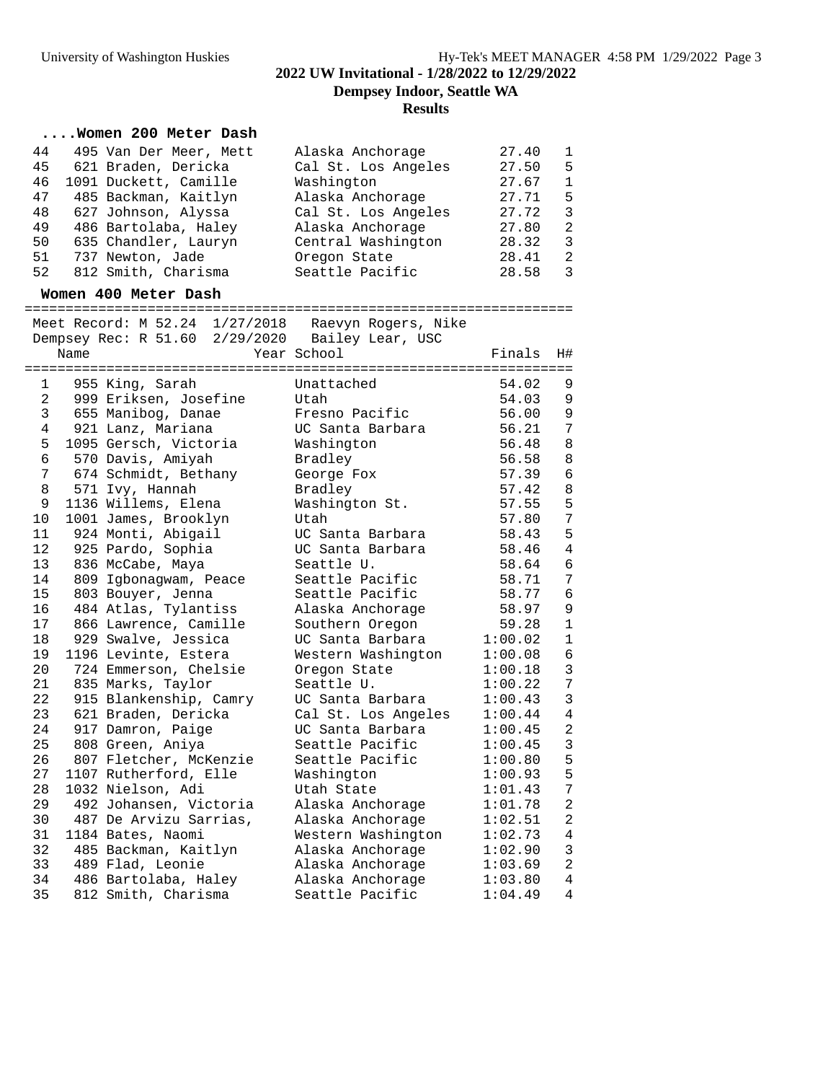**Dempsey Indoor, Seattle WA**

# **Results**

### **....Women 200 Meter Dash**

| 44 | 495 Van Der Meer, Mett | Alaska Anchorage    | 27.40 | $\mathbf{1}$  |
|----|------------------------|---------------------|-------|---------------|
| 45 | 621 Braden, Dericka    | Cal St. Los Angeles | 27.50 | -5            |
| 46 | 1091 Duckett, Camille  | Washington          | 27.67 | $\mathbf{1}$  |
| 47 | 485 Backman, Kaitlyn   | Alaska Anchorage    | 27.71 | -5            |
| 48 | 627 Johnson, Alyssa    | Cal St. Los Angeles | 27.72 | ्र            |
| 49 | 486 Bartolaba, Haley   | Alaska Anchorage    | 27.80 | $\mathcal{L}$ |
| 50 | 635 Chandler, Lauryn   | Central Washington  | 28.32 | 3             |
| 51 | 737 Newton, Jade       | Oregon State        | 28.41 | $\mathcal{L}$ |
| 52 | 812 Smith, Charisma    | Seattle Pacific     | 28.58 | 3             |
|    |                        |                     |       |               |

### **Women 400 Meter Dash**

===================================================================

|                |      |                        | Meet Record: M 52.24 1/27/2018 Raevyn Rogers, Nike |         |                |
|----------------|------|------------------------|----------------------------------------------------|---------|----------------|
|                |      |                        | Dempsey Rec: R 51.60 2/29/2020 Bailey Lear, USC    |         |                |
|                | Name |                        | Year School                                        | Finals  | H#             |
|                |      |                        |                                                    |         |                |
| 1              |      | 955 King, Sarah        | Unattached                                         | 54.02   | 9              |
| 2              |      | 999 Eriksen, Josefine  | Utah                                               | 54.03   | 9              |
| 3              |      | 655 Manibog, Danae     | Fresno Pacific                                     | 56.00   | 9              |
| $\overline{4}$ |      | 921 Lanz, Mariana      | UC Santa Barbara                                   | 56.21   | 7              |
| 5              |      | 1095 Gersch, Victoria  | Washington                                         | 56.48   | 8              |
| 6              |      | 570 Davis, Amiyah      | Bradley                                            | 56.58   | $\,8\,$        |
| 7              |      | 674 Schmidt, Bethany   | George Fox                                         | 57.39   | $\epsilon$     |
| 8              |      | 571 Ivy, Hannah        | Bradley                                            | 57.42   | $\,8\,$        |
| 9              |      | 1136 Willems, Elena    | Washington St.                                     | 57.55   | 5              |
| 10             |      | 1001 James, Brooklyn   | Utah                                               | 57.80   | $\sqrt{ }$     |
| 11             |      | 924 Monti, Abigail     | UC Santa Barbara                                   | 58.43   | 5              |
| 12             |      | 925 Pardo, Sophia      | UC Santa Barbara                                   | 58.46   | $\overline{4}$ |
| 13             |      | 836 McCabe, Maya       | Seattle U.                                         | 58.64   | 6              |
| 14             |      | 809 Igbonagwam, Peace  | Seattle Pacific                                    | 58.71   | 7              |
| 15             |      | 803 Bouyer, Jenna      | Seattle Pacific                                    | 58.77   | $\epsilon$     |
| 16             |      | 484 Atlas, Tylantiss   | Alaska Anchorage                                   | 58.97   | 9              |
| 17             |      | 866 Lawrence, Camille  | Southern Oregon                                    | 59.28   | $1\,$          |
| 18             |      | 929 Swalve, Jessica    | UC Santa Barbara                                   | 1:00.02 | $\mathbf{1}$   |
| 19             |      | 1196 Levinte, Estera   | Western Washington                                 | 1:00.08 | $\epsilon$     |
| 20             |      | 724 Emmerson, Chelsie  | Oregon State                                       | 1:00.18 | $\mathbf{3}$   |
| 21             |      | 835 Marks, Taylor      | Seattle U.                                         | 1:00.22 | $\overline{7}$ |
| 22             |      | 915 Blankenship, Camry | UC Santa Barbara                                   | 1:00.43 | $\overline{3}$ |
| 23             |      | 621 Braden, Dericka    | Cal St. Los Angeles                                | 1:00.44 | $\overline{4}$ |
| 24             |      | 917 Damron, Paige      | UC Santa Barbara                                   | 1:00.45 | $\sqrt{2}$     |
| 25             |      | 808 Green, Aniya       | Seattle Pacific                                    | 1:00.45 | 3              |
| 26             |      | 807 Fletcher, McKenzie | Seattle Pacific                                    | 1:00.80 | 5              |
| 27             |      | 1107 Rutherford, Elle  | Washington                                         | 1:00.93 | 5              |
| 28             |      | 1032 Nielson, Adi      | Utah State                                         | 1:01.43 | 7              |
| 29             |      | 492 Johansen, Victoria | Alaska Anchorage                                   | 1:01.78 | $\overline{a}$ |
| 30             |      | 487 De Arvizu Sarrias, | Alaska Anchorage                                   | 1:02.51 | $\overline{a}$ |
| 31             |      | 1184 Bates, Naomi      | Western Washington                                 | 1:02.73 | $\,4$          |
| 32             |      | 485 Backman, Kaitlyn   | Alaska Anchorage                                   | 1:02.90 | $\overline{3}$ |
| 33             |      | 489 Flad, Leonie       | Alaska Anchorage                                   | 1:03.69 | $\overline{a}$ |
| 34             |      | 486 Bartolaba, Haley   | Alaska Anchorage                                   | 1:03.80 | $\overline{4}$ |
| 35             |      | 812 Smith, Charisma    | Seattle Pacific                                    | 1:04.49 | $\overline{4}$ |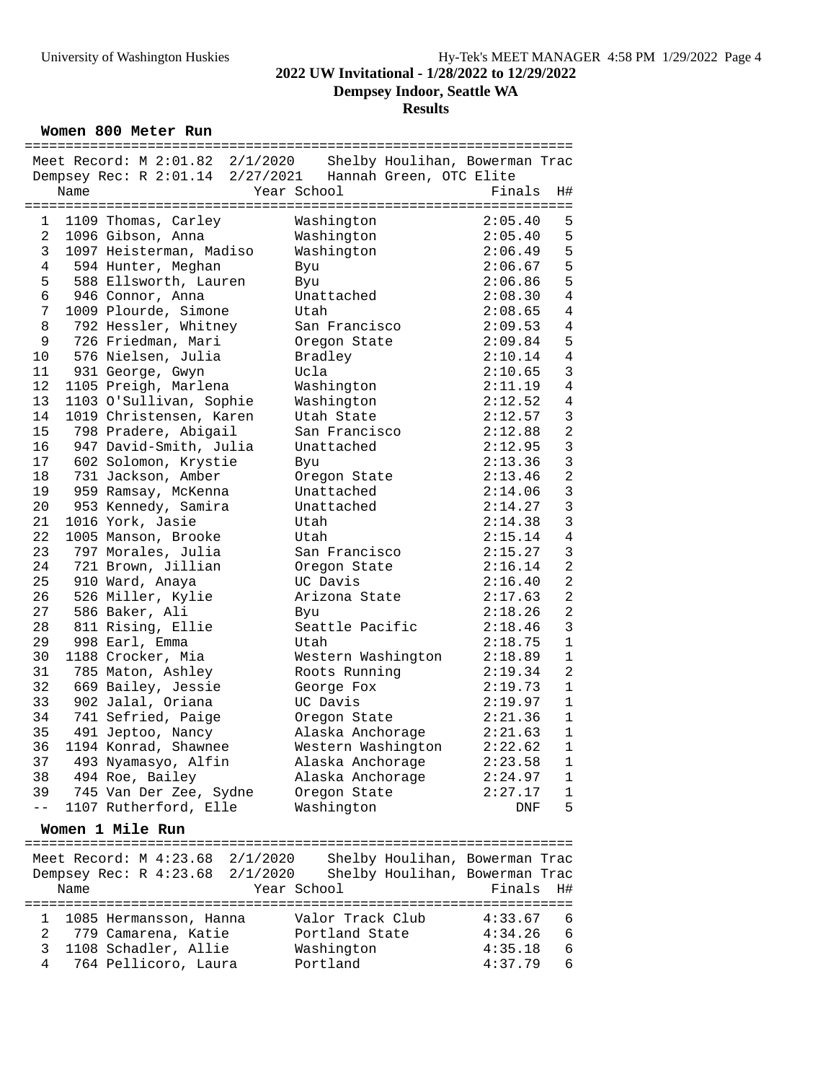**Dempsey Indoor, Seattle WA**

#### **Results**

**Women 800 Meter Run**

|                |      | =================                                        | =========== |                  |                    | =============================== |                |
|----------------|------|----------------------------------------------------------|-------------|------------------|--------------------|---------------------------------|----------------|
|                |      | Meet Record: M 2:01.82 2/1/2020                          |             |                  |                    | Shelby Houlihan, Bowerman Trac  |                |
|                |      | Dempsey Rec: R 2:01.14 2/27/2021 Hannah Green, OTC Elite |             |                  |                    |                                 |                |
|                | Name |                                                          |             | Year School      |                    | Finals                          | H#             |
|                |      |                                                          |             |                  |                    |                                 |                |
| 1              |      | 1109 Thomas, Carley                                      |             | Washington       |                    | 2:05.40                         | 5              |
| $\overline{a}$ |      | 1096 Gibson, Anna                                        |             | Washington       |                    | 2:05.40                         | 5              |
|                |      |                                                          |             |                  |                    |                                 |                |
| 3              |      | 1097 Heisterman, Madiso                                  |             | Washington       |                    | 2:06.49                         | 5              |
| 4              |      | 594 Hunter, Meghan                                       |             | Byu              |                    | 2:06.67                         | 5              |
| 5              |      | 588 Ellsworth, Lauren                                    |             | Byu              |                    | 2:06.86                         | 5              |
| $\epsilon$     |      | 946 Connor, Anna                                         |             | Unattached       |                    | 2:08.30                         | $\overline{4}$ |
| 7              |      | 1009 Plourde, Simone                                     |             | Utah             |                    | 2:08.65                         | $\bf 4$        |
| 8              |      | 792 Hessler, Whitney                                     |             | San Francisco    |                    | 2:09.53                         | $\sqrt{4}$     |
| 9              |      | 726 Friedman, Mari                                       |             | Oregon State     |                    | 2:09.84                         | 5              |
| 10             |      | 576 Nielsen, Julia                                       |             | Bradley          |                    | 2:10.14                         | $\sqrt{4}$     |
| 11             |      |                                                          |             |                  |                    |                                 | $\mathbf{3}$   |
|                |      | 931 George, Gwyn                                         |             | Ucla             |                    | 2:10.65                         |                |
| 12             |      | 1105 Preigh, Marlena                                     |             | Washington       |                    | 2:11.19                         | $\overline{4}$ |
| 13             |      | 1103 O'Sullivan, Sophie                                  |             | Washington       |                    | 2:12.52                         | $\sqrt{4}$     |
| 14             |      | 1019 Christensen, Karen                                  |             | Utah State       |                    | 2:12.57                         | $\mathbf{3}$   |
| 15             |      | 798 Pradere, Abigail                                     |             | San Francisco    |                    | 2:12.88                         | $\overline{a}$ |
| 16             |      | 947 David-Smith, Julia                                   |             | Unattached       |                    | 2:12.95                         | $\mathbf{3}$   |
| 17             |      | 602 Solomon, Krystie                                     |             | Byu              |                    | 2:13.36                         | $\overline{3}$ |
| 18             |      | 731 Jackson, Amber                                       |             | Oregon State     |                    | 2:13.46                         | $\overline{a}$ |
| 19             |      | 959 Ramsay, McKenna                                      |             | Unattached       |                    | 2:14.06                         | $\mathbf{3}$   |
|                |      |                                                          |             |                  |                    |                                 | $\mathbf{3}$   |
| 20             |      | 953 Kennedy, Samira                                      |             | Unattached       |                    | 2:14.27                         |                |
| 21             |      | 1016 York, Jasie                                         |             | Utah             |                    | 2:14.38                         | $\mathbf{3}$   |
| 22             |      | 1005 Manson, Brooke                                      |             | Utah             |                    | 2:15.14                         | $\bf 4$        |
| 23             |      | 797 Morales, Julia                                       |             | San Francisco    |                    | 2:15.27                         | $\mathbf{3}$   |
| 24             |      | 721 Brown, Jillian                                       |             | Oregon State     |                    | 2:16.14                         | $\overline{a}$ |
| 25             |      | 910 Ward, Anaya                                          |             | UC Davis         |                    | 2:16.40                         | $\overline{a}$ |
| 26             |      | 526 Miller, Kylie                                        |             | Arizona State    |                    | 2:17.63                         | $\sqrt{2}$     |
| 27             |      | 586 Baker, Ali                                           |             | Byu              |                    | 2:18.26                         | $\overline{a}$ |
| 28             |      |                                                          |             | Seattle Pacific  |                    | 2:18.46                         | $\mathbf{3}$   |
|                |      | 811 Rising, Ellie                                        |             |                  |                    |                                 |                |
| 29             |      | 998 Earl, Emma                                           |             | Utah             |                    | 2:18.75                         | $\mathbf 1$    |
| 30             |      | 1188 Crocker, Mia                                        |             |                  | Western Washington | 2:18.89                         | $\mathbf 1$    |
| 31             |      | 785 Maton, Ashley                                        |             | Roots Running    |                    | 2:19.34                         | $\overline{a}$ |
| 32             |      | 669 Bailey, Jessie                                       |             | George Fox       |                    | 2:19.73                         | $1\,$          |
| 33             |      | 902 Jalal, Oriana                                        |             | UC Davis         |                    | 2:19.97                         | $\mathbf{1}$   |
| 34             |      | 741 Sefried, Paige                                       |             | Oregon State     |                    | 2:21.36                         | $1\,$          |
| 35             |      | 491 Jeptoo, Nancy                                        |             | Alaska Anchorage |                    | 2:21.63                         | $1\,$          |
| 36             |      | 1194 Konrad, Shawnee                                     |             |                  | Western Washington | 2:22.62                         | $1\,$          |
| 37             |      |                                                          |             | Alaska Anchorage |                    | 2:23.58                         |                |
|                |      | 493 Nyamasyo, Alfin                                      |             |                  |                    |                                 | 1              |
|                |      | 38 494 Roe, Bailey                                       |             | Alaska Anchorage |                    | 2:24.97                         | 1              |
| 39             |      | 745 Van Der Zee, Sydne                                   |             | Oregon State     |                    | 2:27.17                         | $\mathbf 1$    |
| $- -$          |      | 1107 Rutherford, Elle                                    |             | Washington       |                    | DNF                             | 5              |
|                |      | Women 1 Mile Run                                         |             |                  |                    |                                 |                |
|                |      |                                                          |             |                  |                    |                                 |                |
|                |      | Meet Record: M 4:23.68 2/1/2020                          |             |                  |                    | Shelby Houlihan, Bowerman Trac  |                |
|                |      | Dempsey Rec: R 4:23.68 2/1/2020                          |             |                  |                    | Shelby Houlihan, Bowerman Trac  |                |
|                | Name |                                                          |             | Year School      |                    | Finals                          | H#             |
|                |      |                                                          |             |                  |                    |                                 |                |
| 1              |      | 1085 Hermansson, Hanna                                   |             | Valor Track Club |                    | 4:33.67                         | 6              |
| 2              |      | 779 Camarena, Katie                                      |             | Portland State   |                    | 4:34.26                         | $\sqrt{6}$     |
| 3              |      | 1108 Schadler, Allie                                     |             | Washington       |                    | 4:35.18                         | 6              |
| 4              |      | 764 Pellicoro, Laura                                     |             | Portland         |                    | 4:37.79                         | 6              |
|                |      |                                                          |             |                  |                    |                                 |                |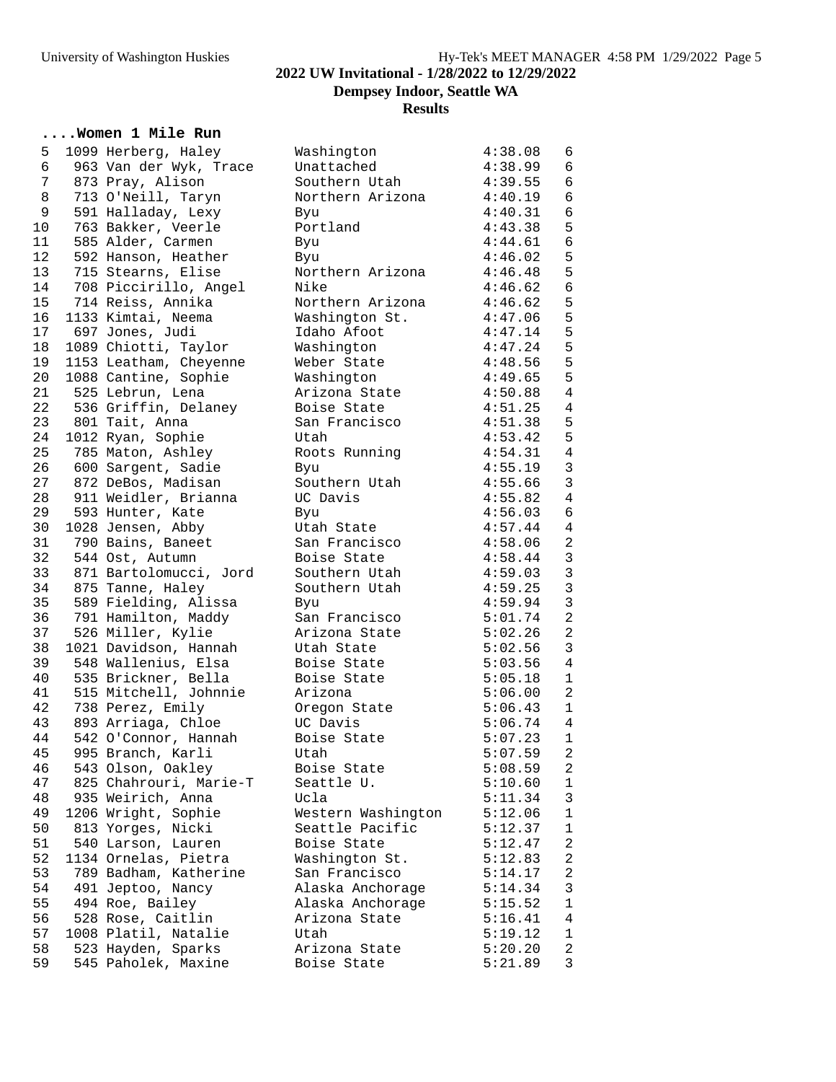**Dempsey Indoor, Seattle WA**

#### **Results**

### **....Women 1 Mile Run**

| 5  | 1099 Herberg, Haley    | Washington         | 4:38.08 | 6               |
|----|------------------------|--------------------|---------|-----------------|
| 6  | 963 Van der Wyk, Trace | Unattached         | 4:38.99 | $6\overline{6}$ |
| 7  | 873 Pray, Alison       | Southern Utah      | 4:39.55 | $\sqrt{6}$      |
| 8  |                        |                    | 4:40.19 | $\epsilon$      |
|    | 713 O'Neill, Taryn     | Northern Arizona   |         |                 |
| 9  | 591 Halladay, Lexy     | Byu                | 4:40.31 | $\epsilon$      |
| 10 | 763 Bakker, Veerle     | Portland           | 4:43.38 | 5               |
| 11 | 585 Alder, Carmen      | Byu                | 4:44.61 | $\epsilon$      |
| 12 | 592 Hanson, Heather    | Byu                | 4:46.02 | 5               |
| 13 | 715 Stearns, Elise     | Northern Arizona   | 4:46.48 | 5               |
| 14 |                        | Nike               | 4:46.62 | $\epsilon$      |
|    | 708 Piccirillo, Angel  |                    |         |                 |
| 15 | 714 Reiss, Annika      | Northern Arizona   | 4:46.62 | $\mathsf S$     |
| 16 | 1133 Kimtai, Neema     | Washington St.     | 4:47.06 | 5               |
| 17 | 697 Jones, Judi        | Idaho Afoot        | 4:47.14 | 5               |
| 18 | 1089 Chiotti, Taylor   | Washington         | 4:47.24 | 5               |
| 19 | 1153 Leatham, Cheyenne | Weber State        | 4:48.56 | 5               |
| 20 |                        |                    |         | 5               |
|    | 1088 Cantine, Sophie   | Washington         | 4:49.65 |                 |
| 21 | 525 Lebrun, Lena       | Arizona State      | 4:50.88 | $\,4$           |
| 22 | 536 Griffin, Delaney   | Boise State        | 4:51.25 | $\,4$           |
| 23 | 801 Tait, Anna         | San Francisco      | 4:51.38 | 5               |
| 24 | 1012 Ryan, Sophie      | Utah               | 4:53.42 | 5               |
| 25 | 785 Maton, Ashley      | Roots Running      | 4:54.31 | $\bf 4$         |
| 26 | 600 Sargent, Sadie     | Byu                | 4:55.19 | $\mathsf 3$     |
|    |                        |                    |         |                 |
| 27 | 872 DeBos, Madisan     | Southern Utah      | 4:55.66 | $\mathbf{3}$    |
| 28 | 911 Weidler, Brianna   | UC Davis           | 4:55.82 | $\overline{4}$  |
| 29 | 593 Hunter, Kate       | Byu                | 4:56.03 | $\epsilon$      |
| 30 | 1028 Jensen, Abby      | Utah State         | 4:57.44 | $\overline{4}$  |
| 31 | 790 Bains, Baneet      | San Francisco      | 4:58.06 | $\sqrt{2}$      |
| 32 | 544 Ost, Autumn        | Boise State        | 4:58.44 | $\mathsf 3$     |
| 33 | 871 Bartolomucci, Jord | Southern Utah      |         | $\mathsf 3$     |
|    |                        |                    | 4:59.03 |                 |
| 34 | 875 Tanne, Haley       | Southern Utah      | 4:59.25 | $\mathsf{3}$    |
| 35 | 589 Fielding, Alissa   | Byu                | 4:59.94 | $\mathbf{3}$    |
| 36 | 791 Hamilton, Maddy    | San Francisco      | 5:01.74 | $\sqrt{2}$      |
| 37 | 526 Miller, Kylie      | Arizona State      | 5:02.26 | $\sqrt{2}$      |
| 38 | 1021 Davidson, Hannah  | Utah State         | 5:02.56 | $\mathfrak{Z}$  |
| 39 | 548 Wallenius, Elsa    | Boise State        | 5:03.56 | $\overline{4}$  |
| 40 | 535 Brickner, Bella    |                    |         | $\mathbf{1}$    |
|    |                        | Boise State        | 5:05.18 |                 |
| 41 | 515 Mitchell, Johnnie  | Arizona            | 5:06.00 | $\overline{a}$  |
| 42 | 738 Perez, Emily       | Oregon State       | 5:06.43 | $\mathbf{1}$    |
| 43 | 893 Arriaga, Chloe     | UC Davis           | 5:06.74 | $\overline{4}$  |
| 44 | 542 O'Connor, Hannah   | Boise State        | 5:07.23 | $\mathbf{1}$    |
| 45 | 995 Branch, Karli      | Utah               | 5:07.59 | $\overline{a}$  |
| 46 | 543 Olson, Oakley      | Boise State        | 5:08.59 | 2               |
|    |                        |                    |         |                 |
| 47 | 825 Chahrouri, Marie-T | Seattle U.         | 5:10.60 | $\mathbf{1}$    |
| 48 | 935 Weirich, Anna      | Ucla               | 5:11.34 | $\mathfrak{Z}$  |
| 49 | 1206 Wright, Sophie    | Western Washington | 5:12.06 | $1\,$           |
| 50 | 813 Yorges, Nicki      | Seattle Pacific    | 5:12.37 | $1\,$           |
| 51 | 540 Larson, Lauren     | Boise State        | 5:12.47 | $\overline{c}$  |
| 52 | 1134 Ornelas, Pietra   | Washington St.     | 5:12.83 | $\overline{a}$  |
| 53 | 789 Badham, Katherine  | San Francisco      |         | $\overline{c}$  |
|    |                        |                    | 5:14.17 |                 |
| 54 | 491 Jeptoo, Nancy      | Alaska Anchorage   | 5:14.34 | $\mathbf{3}$    |
| 55 | 494 Roe, Bailey        | Alaska Anchorage   | 5:15.52 | $\mathbf 1$     |
| 56 | 528 Rose, Caitlin      | Arizona State      | 5:16.41 | $\overline{4}$  |
| 57 | 1008 Platil, Natalie   | Utah               | 5:19.12 | $\mathbf 1$     |
| 58 | 523 Hayden, Sparks     | Arizona State      | 5:20.20 | $\overline{c}$  |
| 59 | 545 Paholek, Maxine    | Boise State        | 5:21.89 | 3               |
|    |                        |                    |         |                 |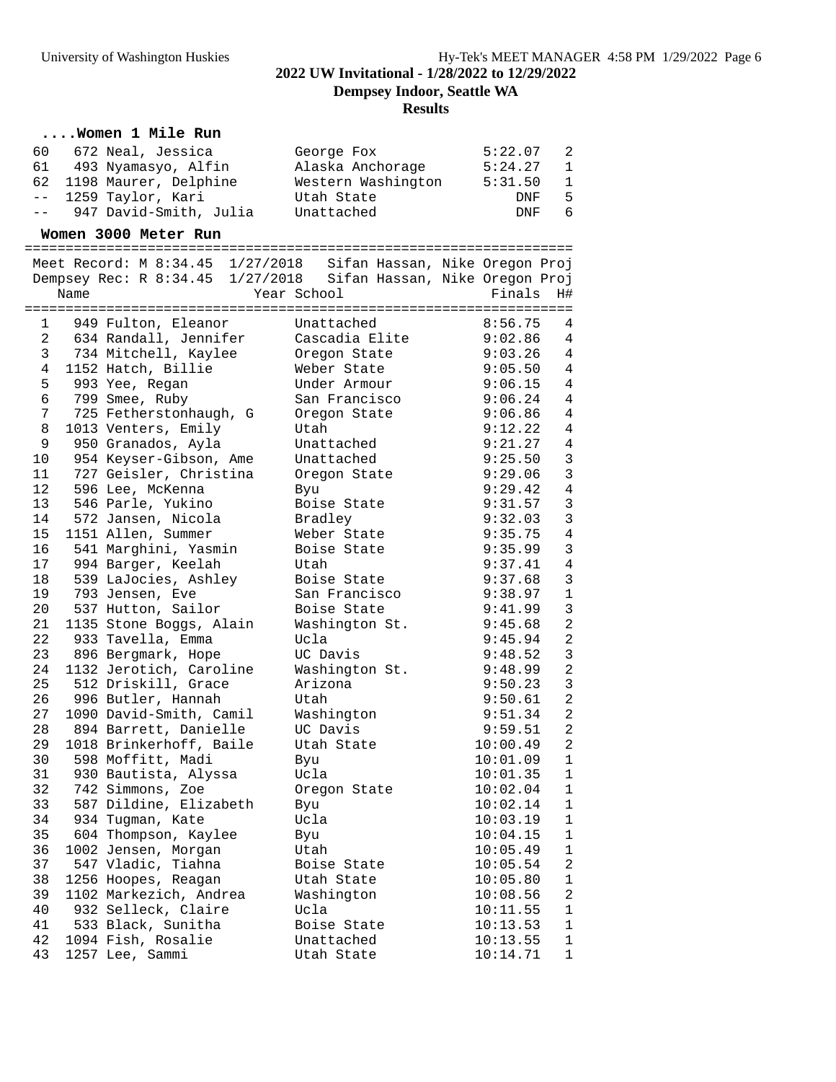**Dempsey Indoor, Seattle WA**

### **Results**

### **....Women 1 Mile Run**

|    | 60    672  Neal, Jessica  | George Fox         | 5:22.07 | - 2            |
|----|---------------------------|--------------------|---------|----------------|
| 61 | 493 Nyamasyo, Alfin       | Alaska Anchorage   | 5:24.27 | -1             |
|    | 62 1198 Maurer, Delphine  | Western Washington | 5:31.50 | $\overline{1}$ |
|    | -- 1259 Taylor, Kari      | Utah State         | DNF     | -5             |
|    | -- 947 David-Smith, Julia | Unattached         | DNF     | -6             |

#### **Women 3000 Meter Run**

===================================================================

 Meet Record: M 8:34.45 1/27/2018 Sifan Hassan, Nike Oregon Proj Dempsey Rec: R 8:34.45 1/27/2018 Sifan Hassan, Nike Oregon Proj Name Year School Finals H#

|                | :========================== |                | =========================  |
|----------------|-----------------------------|----------------|----------------------------|
| 1              | 949 Fulton, Eleanor         | Unattached     | 8:56.75<br>4               |
| $\overline{a}$ | 634 Randall, Jennifer       | Cascadia Elite | $\overline{4}$<br>9:02.86  |
| 3              | 734 Mitchell, Kaylee        | Oregon State   | 9:03.26<br>$\overline{4}$  |
| 4              | 1152 Hatch, Billie          | Weber State    | $\overline{4}$<br>9:05.50  |
| 5              | 993 Yee, Regan              | Under Armour   | $\overline{4}$<br>9:06.15  |
| 6              | 799 Smee, Ruby              | San Francisco  | $\overline{4}$<br>9:06.24  |
| $\overline{7}$ | 725 Fetherstonhaugh, G      | Oregon State   | $\overline{4}$<br>9:06.86  |
| 8              | 1013 Venters, Emily         | Utah           | 9:12.22<br>$\overline{4}$  |
| 9              | 950 Granados, Ayla          | Unattached     | $\overline{4}$<br>9:21.27  |
| 10             | 954 Keyser-Gibson, Ame      | Unattached     | $\overline{3}$<br>9:25.50  |
| 11             | 727 Geisler, Christina      | Oregon State   | $\mathbf{3}$<br>9:29.06    |
| 12             | 596 Lee, McKenna            | Byu            | $\,4$<br>9:29.42           |
| 13             | 546 Parle, Yukino           | Boise State    | $\mathbf{3}$<br>9:31.57    |
| 14             | 572 Jansen, Nicola          | Bradley        | $\overline{3}$<br>9:32.03  |
| 15             | 1151 Allen, Summer          | Weber State    | $\,4$<br>9:35.75           |
| 16             | 541 Marghini, Yasmin        | Boise State    | $\mathsf{3}$<br>9:35.99    |
| 17             | 994 Barger, Keelah          | Utah           | $\sqrt{4}$<br>9:37.41      |
| 18             | 539 LaJocies, Ashley        | Boise State    | $\mathbf{3}$<br>9:37.68    |
| 19             | 793 Jensen, Eve             | San Francisco  | $\mathbf 1$<br>9:38.97     |
| 20             | 537 Hutton, Sailor          | Boise State    | $\mathbf{3}$<br>9:41.99    |
| 21             | 1135 Stone Boggs, Alain     | Washington St. | $\overline{a}$<br>9:45.68  |
| 22             | 933 Tavella, Emma           | Ucla           | $\overline{a}$<br>9:45.94  |
| 23             | 896 Bergmark, Hope          | UC Davis       | $\mathbf{3}$<br>9:48.52    |
| 24             | 1132 Jerotich, Caroline     | Washington St. | $\overline{a}$<br>9:48.99  |
| 25             | 512 Driskill, Grace         | Arizona        | $\overline{3}$<br>9:50.23  |
| 26             | 996 Butler, Hannah          | Utah           | $\overline{a}$<br>9:50.61  |
| 27             | 1090 David-Smith, Camil     | Washington     | $\overline{c}$<br>9:51.34  |
| 28             | 894 Barrett, Danielle       | UC Davis       | $\overline{a}$<br>9:59.51  |
| 29             | 1018 Brinkerhoff, Baile     | Utah State     | $\overline{2}$<br>10:00.49 |
| 30             | 598 Moffitt, Madi           | Byu            | $\mathbf{1}$<br>10:01.09   |
| 31             | 930 Bautista, Alyssa        | Ucla           | $\mathbf{1}$<br>10:01.35   |
| 32             | 742 Simmons, Zoe            | Oregon State   | $1\,$<br>10:02.04          |
| 33             | 587 Dildine, Elizabeth      | Byu            | $\mathbf{1}$<br>10:02.14   |
| 34             | 934 Tugman, Kate            | Ucla           | $\mathbf{1}$<br>10:03.19   |
| 35             | 604 Thompson, Kaylee        | Byu            | $\mathbf{1}$<br>10:04.15   |
| 36             | 1002 Jensen, Morgan         | Utah           | $\mathbf{1}$<br>10:05.49   |
| 37             | 547 Vladic, Tiahna          | Boise State    | $\overline{a}$<br>10:05.54 |
| 38             | 1256 Hoopes, Reagan         | Utah State     | $1\,$<br>10:05.80          |
| 39             | 1102 Markezich, Andrea      | Washington     | $\overline{a}$<br>10:08.56 |
| 40             | 932 Selleck, Claire         | Ucla           | $\mathbf{1}$<br>10:11.55   |
| 41             | 533 Black, Sunitha          | Boise State    | $\mathbf{1}$<br>10:13.53   |
| 42             | 1094 Fish, Rosalie          | Unattached     | $\mathbf{1}$<br>10:13.55   |
| 43             | 1257 Lee, Sammi             | Utah State     | $1\,$<br>10:14.71          |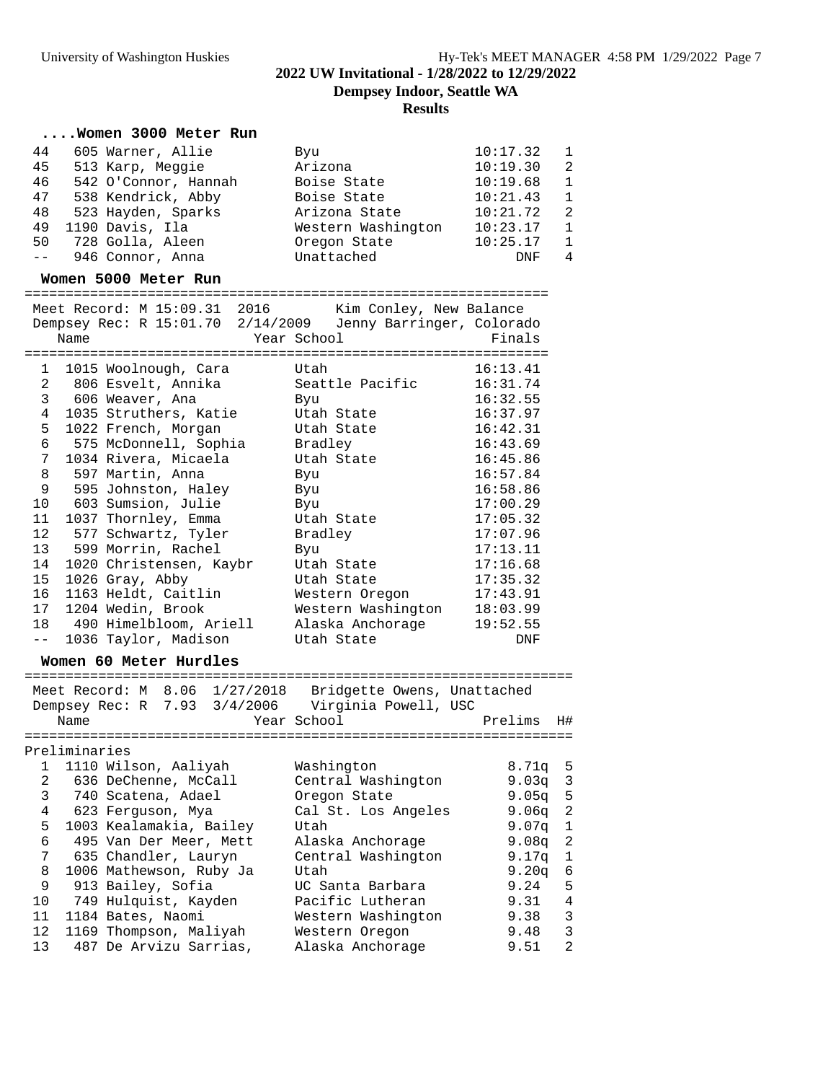### University of Washington Huskies The Hy-Tek's MEET MANAGER 4:58 PM 1/29/2022 Page 7 **2022 UW Invitational - 1/28/2022 to 12/29/2022 Dempsey Indoor, Seattle WA Results**

### **....Women 3000 Meter Run**

| 44                          | 605 Warner, Allie    | Bvu                | 10:17.32 | $\overline{1}$ |
|-----------------------------|----------------------|--------------------|----------|----------------|
| 45                          | 513 Karp, Meggie     | Arizona            | 10:19.30 | $\overline{2}$ |
| 46                          | 542 O'Connor, Hannah | Boise State        | 10:19.68 | $\overline{1}$ |
| 47                          | 538 Kendrick, Abby   | Boise State        | 10:21.43 | $\overline{1}$ |
| 48                          | 523 Hayden, Sparks   | Arizona State      | 10:21.72 | $\overline{2}$ |
| 49                          | 1190 Davis, Ila      | Western Washington | 10:23.17 | $\overline{1}$ |
| 50                          | 728 Golla, Aleen     | Oregon State       | 10:25.17 | $\overline{1}$ |
| $\alpha = 1$ , $\alpha = 1$ | 946 Connor, Anna     | Unattached         | DNF      | 4              |
|                             |                      |                    |          |                |

#### **Women 5000 Meter Run**

|                 |      | Meet Record: M 15:09.31 2016 | Kim Conley, New Balance                                     |          |
|-----------------|------|------------------------------|-------------------------------------------------------------|----------|
|                 |      |                              | Dempsey Rec: R 15:01.70 2/14/2009 Jenny Barringer, Colorado |          |
|                 | Name |                              | Year School                                                 | Finals   |
|                 |      |                              |                                                             |          |
|                 |      | 1 1015 Woolnough, Cara       | Utah                                                        | 16:13.41 |
|                 |      | 2 806 Esvelt, Annika         | Seattle Pacific                                             | 16:31.74 |
|                 |      | 3 606 Weaver, Ana            | Byu                                                         | 16:32.55 |
| $\overline{4}$  |      | 1035 Struthers, Katie        | Utah State                                                  | 16:37.97 |
| 5               |      | 1022 French, Morgan          | Utah State                                                  | 16:42.31 |
| 6               |      | 575 McDonnell, Sophia        | Bradley                                                     | 16:43.69 |
| $7\phantom{.}$  |      | 1034 Rivera, Micaela         | Utah State                                                  | 16:45.86 |
| 8               |      | 597 Martin, Anna             | Byu                                                         | 16:57.84 |
| 9               |      | 595 Johnston, Haley          | Byu                                                         | 16:58.86 |
|                 |      | 10 603 Sumsion, Julie        | Byu                                                         | 17:00.29 |
| 11              |      | 1037 Thornley, Emma          | Utah State                                                  | 17:05.32 |
| 12 <sup>°</sup> |      | 577 Schwartz, Tyler          | Bradley                                                     | 17:07.96 |
|                 |      | 13 599 Morrin, Rachel        | Byu                                                         | 17:13.11 |
| 14              |      | 1020 Christensen, Kaybr      | Utah State                                                  | 17:16.68 |
| 15 <sub>1</sub> |      | 1026 Gray, Abby              | Utah State                                                  | 17:35.32 |
| 16              |      | 1163 Heldt, Caitlin          | Western Oregon                                              | 17:43.91 |
| 17              |      | 1204 Wedin, Brook            | Western Washington                                          | 18:03.99 |
|                 |      | 18 490 Himelbloom, Ariell    | Alaska Anchorage                                            | 19:52.55 |
| $\perp$ $\perp$ |      | 1036 Taylor, Madison         | Utah State                                                  | DNF      |

### **Women 60 Meter Hurdles**

=================================================================== Meet Record: M 8.06 1/27/2018 Bridgette Owens, Unattached Dempsey Rec: R 7.93 3/4/2006 Virginia Powell, USC Name Year School Prelims H# =================================================================== Preliminaries 1 1110 Wilson, Aaliyah Washington 8.71q 5 2 636 DeChenne, McCall Central Washington 9.03q 3 3 740 Scatena, Adael Oregon State 9.05q 5 4 623 Ferguson, Mya Cal St. Los Angeles 9.06q 2 5 1003 Kealamakia, Bailey Utah 9.07q 1 6 495 Van Der Meer, Mett Alaska Anchorage 9.08q 2 7 635 Chandler, Lauryn Central Washington 9.17q 1 8 1006 Mathewson, Ruby Ja Utah 9.20q 6 9 913 Bailey, Sofia UC Santa Barbara 9.24 5 10 749 Hulquist, Kayden Pacific Lutheran 9.31 4 11 1184 Bates, Naomi Western Washington 9.38 3 12 1169 Thompson, Maliyah Western Oregon 9.48 3 13 487 De Arvizu Sarrias, Alaska Anchorage 9.51 2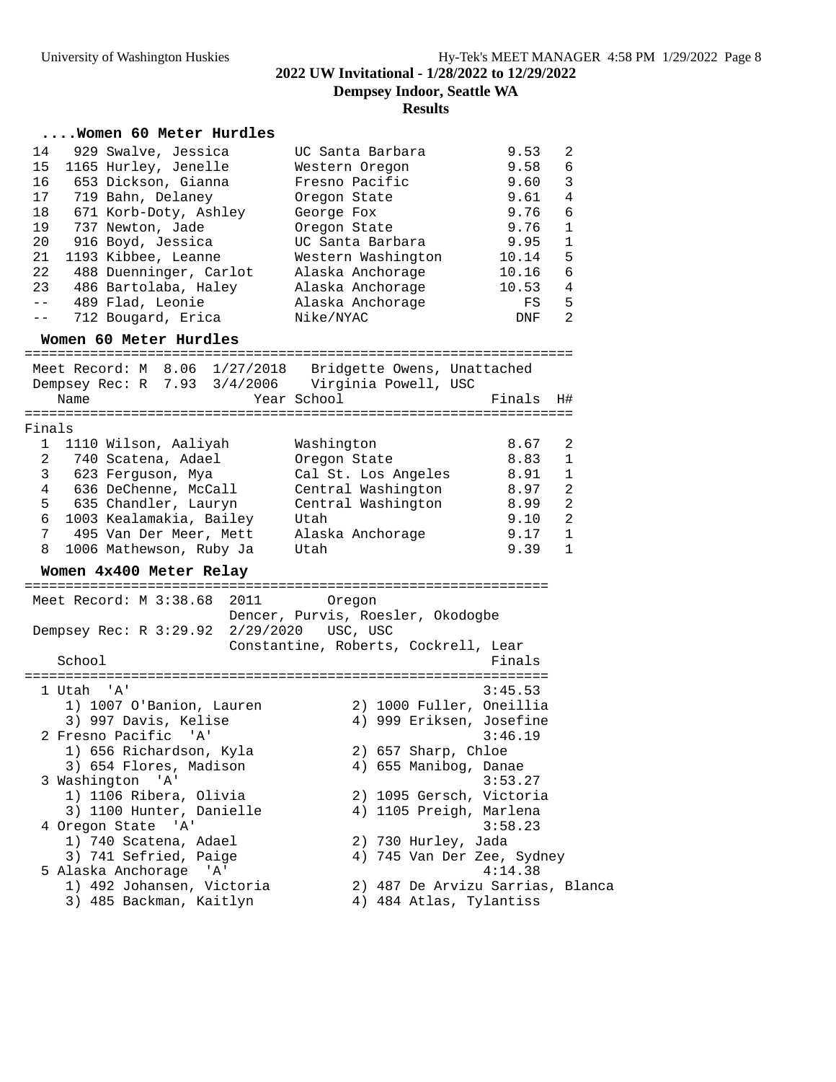**Dempsey Indoor, Seattle WA**

### **Results**

### **....Women 60 Meter Hurdles**

| 14<br>929 Swalve, Jessica                                                                                      | UC Santa Barbara                     | 9.53    | 2              |
|----------------------------------------------------------------------------------------------------------------|--------------------------------------|---------|----------------|
| 15<br>1165 Hurley, Jenelle                                                                                     | Western Oregon                       | 9.58    | 6              |
| 16<br>653 Dickson, Gianna                                                                                      | Fresno Pacific                       | 9.60    | 3              |
| 17<br>719 Bahn, Delaney                                                                                        | Oregon State                         | 9.61    | 4              |
| 18<br>671 Korb-Doty, Ashley                                                                                    | George Fox                           | 9.76    | 6              |
| 19<br>737 Newton, Jade                                                                                         | Oregon State                         | 9.76    | 1              |
| 20<br>916 Boyd, Jessica                                                                                        | UC Santa Barbara                     | 9.95    | $\mathbf{1}$   |
| 1193 Kibbee, Leanne<br>21                                                                                      | Western Washington                   | 10.14   | 5              |
| 22<br>488 Duenninger, Carlot                                                                                   | Alaska Anchorage                     | 10.16   | 6              |
| 23<br>486 Bartolaba, Haley                                                                                     | Alaska Anchorage                     | 10.53   | 4              |
| 489 Flad, Leonie<br>$- -$                                                                                      | Alaska Anchorage                     | FS      | 5              |
| 712 Bougard, Erica<br>$- -$                                                                                    | Nike/NYAC                            | DNF     | $\overline{2}$ |
| Women 60 Meter Hurdles                                                                                         |                                      |         |                |
|                                                                                                                |                                      |         |                |
| Meet Record: M 8.06 1/27/2018 Bridgette Owens, Unattached<br>Dempsey Rec: R 7.93 3/4/2006 Virginia Powell, USC |                                      |         |                |
| Name                                                                                                           | Year School                          | Finals  | H#             |
|                                                                                                                |                                      |         |                |
| Finals                                                                                                         |                                      |         |                |
| 1110 Wilson, Aaliyah<br>1                                                                                      | Washington                           | 8.67    | 2              |
| 2<br>740 Scatena, Adael                                                                                        | Oregon State                         | 8.83    | 1              |
| 3<br>623 Ferguson, Mya                                                                                         | Cal St. Los Angeles                  | 8.91    | 1              |
| 4<br>636 DeChenne, McCall                                                                                      | Central Washington                   | 8.97    | $\overline{2}$ |
| 635 Chandler, Lauryn<br>5                                                                                      | Central Washington                   | 8.99    | 2              |
| 6<br>1003 Kealamakia, Bailey                                                                                   | Utah                                 | 9.10    | 2              |
| 7<br>495 Van Der Meer, Mett                                                                                    | Alaska Anchorage                     | 9.17    | 1              |
| 8<br>1006 Mathewson, Ruby Ja                                                                                   | Utah                                 | 9.39    | 1              |
| Women 4x400 Meter Relay                                                                                        |                                      |         |                |
| Meet Record: M 3:38.68 2011                                                                                    | Oregon                               |         |                |
|                                                                                                                | Dencer, Purvis, Roesler, Okodogbe    |         |                |
| Dempsey Rec: R 3:29.92                                                                                         | 2/29/2020 USC, USC                   |         |                |
|                                                                                                                | Constantine, Roberts, Cockrell, Lear |         |                |
| School                                                                                                         |                                      | Finals  |                |
|                                                                                                                |                                      |         |                |
| 1 Utah 'A'                                                                                                     |                                      | 3:45.53 |                |
| 1) 1007 O'Banion, Lauren                                                                                       | 2) 1000 Fuller, Oneillia             |         |                |
| 3) 997 Davis, Kelise                                                                                           | 4) 999 Eriksen, Josefine             |         |                |
| 2 Fresno Pacific 'A'                                                                                           |                                      | 3:46.19 |                |
| 1) 656 Richardson, Kyla                                                                                        | 2) 657 Sharp, Chloe                  |         |                |
| 3) 654 Flores, Madison                                                                                         | 4) 655 Manibog, Danae                |         |                |
| 3 Washington<br>' A '                                                                                          |                                      | 3:53.27 |                |
| 1) 1106 Ribera, Olivia                                                                                         | 2) 1095 Gersch, Victoria             |         |                |
| 3) 1100 Hunter, Danielle                                                                                       | 4) 1105 Preigh, Marlena              |         |                |
| 4 Oregon State 'A'                                                                                             |                                      | 3:58.23 |                |
| 1) 740 Scatena, Adael                                                                                          | 2) 730 Hurley, Jada                  |         |                |
| 3) 741 Sefried, Paige                                                                                          | 4) 745 Van Der Zee, Sydney           |         |                |
| 5 Alaska Anchorage 'A'                                                                                         |                                      | 4:14.38 |                |
| 1) 492 Johansen, Victoria                                                                                      | 2) 487 De Arvizu Sarrias, Blanca     |         |                |
| 3) 485 Backman, Kaitlyn                                                                                        | 4) 484 Atlas, Tylantiss              |         |                |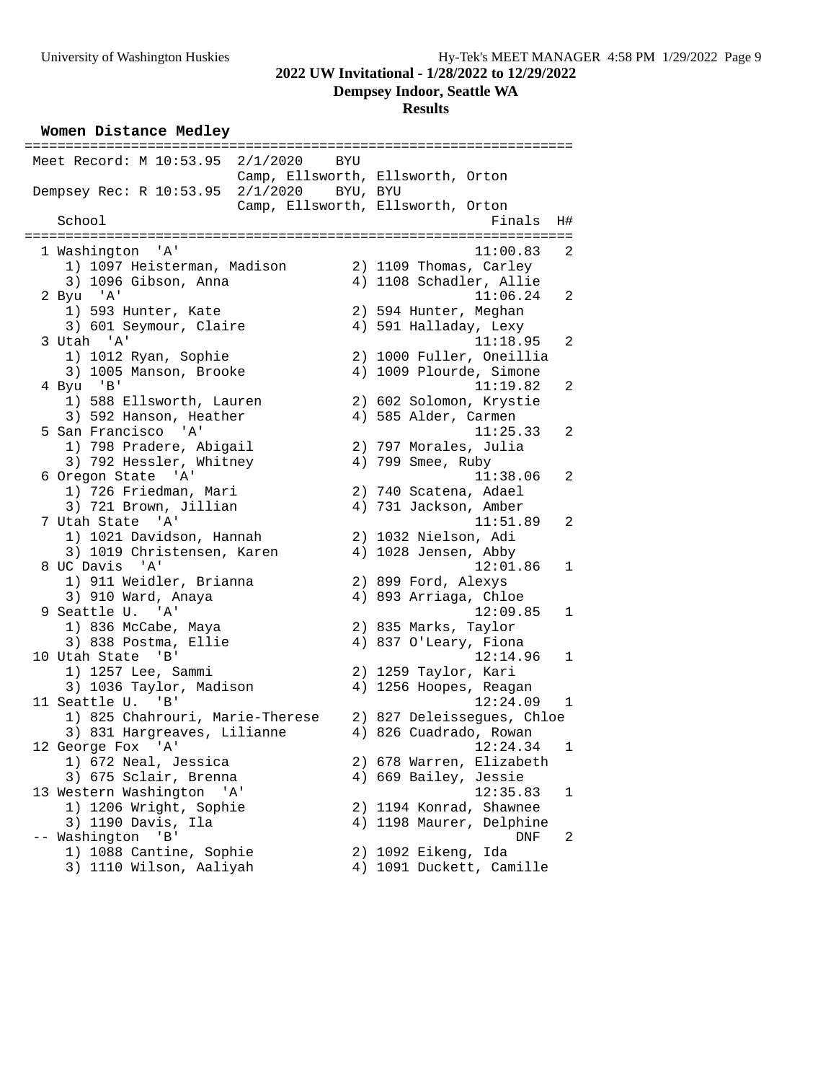**Dempsey Indoor, Seattle WA**

#### **Results**

**Women Distance Medley**

| Meet Record: M 10:53.95 2/1/2020 | BYU |                                   |              |
|----------------------------------|-----|-----------------------------------|--------------|
|                                  |     | Camp, Ellsworth, Ellsworth, Orton |              |
| Dempsey Rec: R 10:53.95 2/1/2020 |     | BYU, BYU                          |              |
|                                  |     | Camp, Ellsworth, Ellsworth, Orton |              |
| School                           |     | Finals                            | H#           |
| 1 Washington 'A'                 |     | 11:00.83                          | 2            |
| 1) 1097 Heisterman, Madison      |     | 2) 1109 Thomas, Carley            |              |
| 3) 1096 Gibson, Anna             |     | 4) 1108 Schadler, Allie           |              |
| 2 Byu 'A'                        |     | 11:06.24                          | 2            |
| 1) 593 Hunter, Kate              |     | 2) 594 Hunter, Meghan             |              |
| 3) 601 Seymour, Claire           |     | 4) 591 Halladay, Lexy             |              |
| 3 Utah 'A'                       |     | 11:18.95                          | 2            |
| 1) 1012 Ryan, Sophie             |     | 2) 1000 Fuller, Oneillia          |              |
| 3) 1005 Manson, Brooke           |     | 4) 1009 Plourde, Simone           |              |
| 4 Byu 'B'                        |     | 11:19.82                          | 2            |
| 1) 588 Ellsworth, Lauren         |     | 2) 602 Solomon, Krystie           |              |
| 3) 592 Hanson, Heather           |     | 4) 585 Alder, Carmen              |              |
| 5 San Francisco 'A'              |     | 11:25.33                          | 2            |
| 1) 798 Pradere, Abigail          |     | 2) 797 Morales, Julia             |              |
| 3) 792 Hessler, Whitney          |     | 4) 799 Smee, Ruby                 |              |
| 6 Oregon State 'A'               |     | 11:38.06                          | 2            |
| 1) 726 Friedman, Mari            |     | 2) 740 Scatena, Adael             |              |
| 3) 721 Brown, Jillian            |     | 4) 731 Jackson, Amber             |              |
| 7 Utah State<br>'' A '           |     | 11:51.89                          | 2            |
| 1) 1021 Davidson, Hannah         |     | 2) 1032 Nielson, Adi              |              |
| 3) 1019 Christensen, Karen       |     | 4) 1028 Jensen, Abby              |              |
| 8 UC Davis 'A'                   |     | 12:01.86                          | $\mathbf{1}$ |
| 1) 911 Weidler, Brianna          |     | 2) 899 Ford, Alexys               |              |
| 3) 910 Ward, Anaya               |     | 4) 893 Arriaga, Chloe             |              |
| 9 Seattle U. 'A'                 |     | 12:09.85                          | $\mathbf{1}$ |
| 1) 836 McCabe, Maya              |     | 2) 835 Marks, Taylor              |              |
| 3) 838 Postma, Ellie             |     | 4) 837 O'Leary, Fiona             |              |
| 10 Utah State 'B'                |     | 12:14.96                          | $\mathbf{1}$ |
| 1) 1257 Lee, Sammi               |     | 2) 1259 Taylor, Kari              |              |
| 3) 1036 Taylor, Madison          |     | 4) 1256 Hoopes, Reagan            |              |
| 11 Seattle U. 'B'                |     | 12:24.09                          | $\mathbf{1}$ |
| 1) 825 Chahrouri, Marie-Therese  |     | 2) 827 Deleissegues, Chloe        |              |
| 3) 831 Hargreaves, Lilianne      |     | 4) 826 Cuadrado, Rowan            |              |
| 12 George Fox 'A'                |     | 12:24.34                          | 1            |
| 1) 672 Neal, Jessica             |     | 2) 678 Warren, Elizabeth          |              |
| 3) 675 Sclair, Brenna            |     | 4) 669 Bailey, Jessie             |              |
| 13 Western Washington<br>'A'     |     | 12:35.83                          | 1            |
| 1) 1206 Wright, Sophie           |     | 2) 1194 Konrad, Shawnee           |              |
| 3) 1190 Davis, Ila               |     | 4) 1198 Maurer, Delphine          |              |
| Washington<br>$'$ B $'$          |     | DNF<br>2) 1092 Eikeng, Ida        | 2            |
| 1) 1088 Cantine, Sophie          |     |                                   |              |
| 3) 1110 Wilson, Aaliyah          |     | 4) 1091 Duckett, Camille          |              |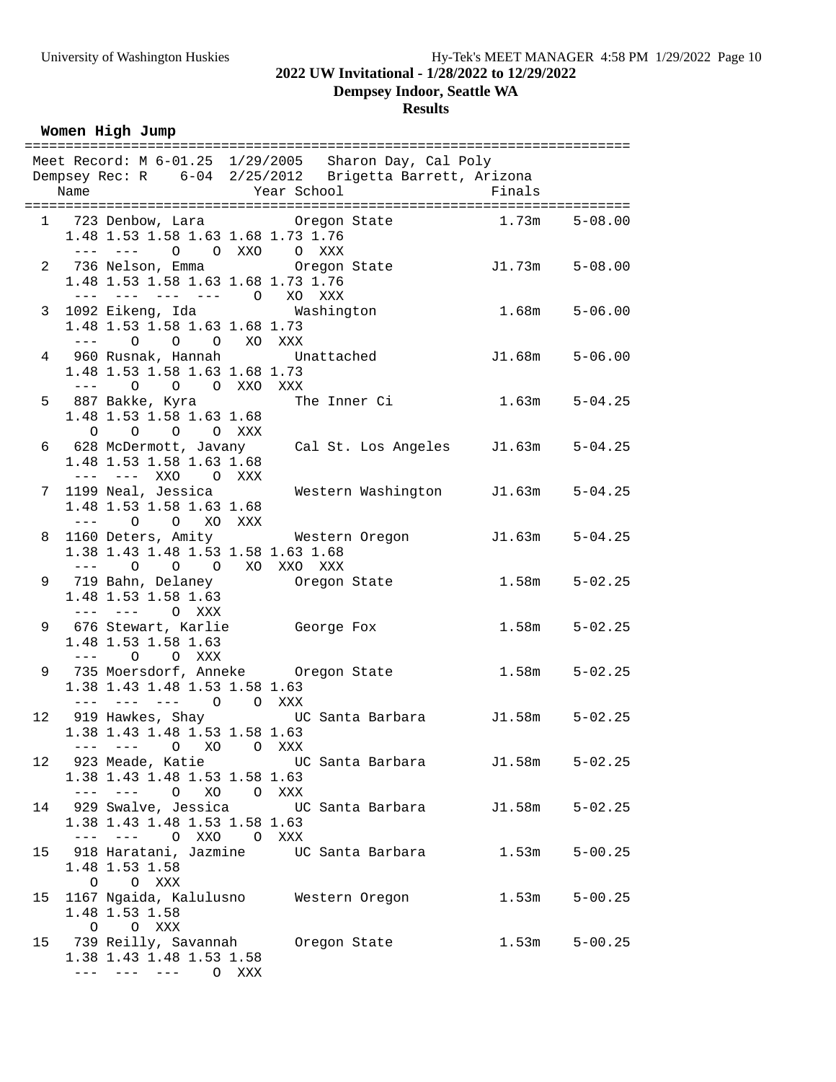**Dempsey Indoor, Seattle WA**

#### **Results**

**Women High Jump**

|      |                                    | Meet Record: M 6-01.25 1/29/2005 Sharon Day, Cal Poly                       |       |                    |
|------|------------------------------------|-----------------------------------------------------------------------------|-------|--------------------|
|      |                                    | Dempsey Rec: R 6-04 2/25/2012 Brigetta Barrett, Arizona                     |       |                    |
| Name | Year School                        | <b>Example 1</b> Finals                                                     |       |                    |
|      |                                    |                                                                             |       |                    |
|      |                                    | 1 723 Denbow, Lara 6 Oregon State 1.73m 5-08.00                             |       |                    |
|      | 1.48 1.53 1.58 1.63 1.68 1.73 1.76 |                                                                             |       |                    |
|      | --- --- 0 0 XXO 0 XXX              | 2 736 Nelson, Emma Cregon State 5-08.00                                     |       |                    |
|      | 1.48 1.53 1.58 1.63 1.68 1.73 1.76 |                                                                             |       |                    |
|      | --- --- --- --- O XO XXX           |                                                                             |       |                    |
|      |                                    | 3 1092 Eikeng, Ida               Washington               1.68m     5-06.00 |       |                    |
|      | 1.48 1.53 1.58 1.63 1.68 1.73      |                                                                             |       |                    |
|      | --- 0 0 0 XO XXX                   |                                                                             |       |                    |
|      |                                    | 4 960 Rusnak, Hannah Unattached 51.68m 5-06.00                              |       |                    |
|      | 1.48 1.53 1.58 1.63 1.68 1.73      |                                                                             |       |                    |
|      | --- 0 0 0 XXO XXX                  |                                                                             |       |                    |
|      |                                    |                                                                             |       | $1.63m$ $5-04.25$  |
|      | 1.48 1.53 1.58 1.63 1.68           |                                                                             |       |                    |
|      | $O$ $O$ $O$ $O$ $XXX$              |                                                                             |       |                    |
|      |                                    | 6 628 McDermott, Javany Cal St. Los Angeles J1.63m 5-04.25                  |       |                    |
|      | 1.48 1.53 1.58 1.63 1.68           |                                                                             |       |                    |
|      | --- --- XXO O XXX                  |                                                                             |       |                    |
|      |                                    | 7 1199 Neal, Jessica Mestern Washington J1.63m 5-04.25                      |       |                    |
|      | 1.48 1.53 1.58 1.63 1.68           |                                                                             |       |                    |
|      | $---$ 0 0 XO XXX                   | 8 1160 Deters, Amity Western Oregon J1.63m 5-04.25                          |       |                    |
|      | 1.38 1.43 1.48 1.53 1.58 1.63 1.68 |                                                                             |       |                    |
|      | --- 0 0 0 XO XXO XXX               |                                                                             |       |                    |
|      |                                    | 9 719 Bahn, Delaney (Oregon State                                           |       | $1.58m$ $5-02.25$  |
|      | 1.48 1.53 1.58 1.63                |                                                                             |       |                    |
|      | --- --- O XXX                      |                                                                             |       |                    |
|      |                                    | 9 676 Stewart, Karlie George Fox                                            |       | $1.58m$ $5-02.25$  |
|      | 1.48 1.53 1.58 1.63                |                                                                             |       |                    |
|      | --- 0 0 XXX                        |                                                                             |       |                    |
|      |                                    | 9 735 Moersdorf, Anneke Oregon State                                        |       | $1.58m$ $5-02.25$  |
|      | 1.38 1.43 1.48 1.53 1.58 1.63      |                                                                             |       |                    |
|      | --- --- --- 0 0 XXX                |                                                                             |       |                    |
|      |                                    | 12 919 Hawkes, Shay CC Santa Barbara 5-02.25                                |       |                    |
|      | 1.38 1.43 1.48 1.53 1.58 1.63      |                                                                             |       |                    |
|      | --- --- O XO O XXX                 |                                                                             |       |                    |
|      |                                    | 12 923 Meade, Katie Nanta Barbara                                           |       | $J1.58m$ $5-02.25$ |
|      | 1.38 1.43 1.48 1.53 1.58 1.63      |                                                                             |       |                    |
|      | --- --- 0 XO 0 XXX                 | 14 929 Swalve, Jessica         UC Santa Barbara         J1.58m              |       | $5 - 02.25$        |
|      | 1.38 1.43 1.48 1.53 1.58 1.63      |                                                                             |       |                    |
|      | O XXO O XXX                        |                                                                             |       |                    |
|      |                                    | 15 918 Haratani, Jazmine UC Santa Barbara                                   | 1.53m | $5 - 00.25$        |
|      | 1.48 1.53 1.58                     |                                                                             |       |                    |
|      | O O XXX                            |                                                                             |       |                    |
|      |                                    | 15 1167 Ngaida, Kalulusno Mestern Oregon                                    | 1.53m | $5 - 00.25$        |
|      | 1.48 1.53 1.58                     |                                                                             |       |                    |
|      | O O XXX                            |                                                                             |       |                    |
|      |                                    | 15 739 Reilly, Savannah Oregon State                                        |       | $1.53m$ $5-00.25$  |
|      | 1.38 1.43 1.48 1.53 1.58           |                                                                             |       |                    |
|      | $---$ 0 XXX                        |                                                                             |       |                    |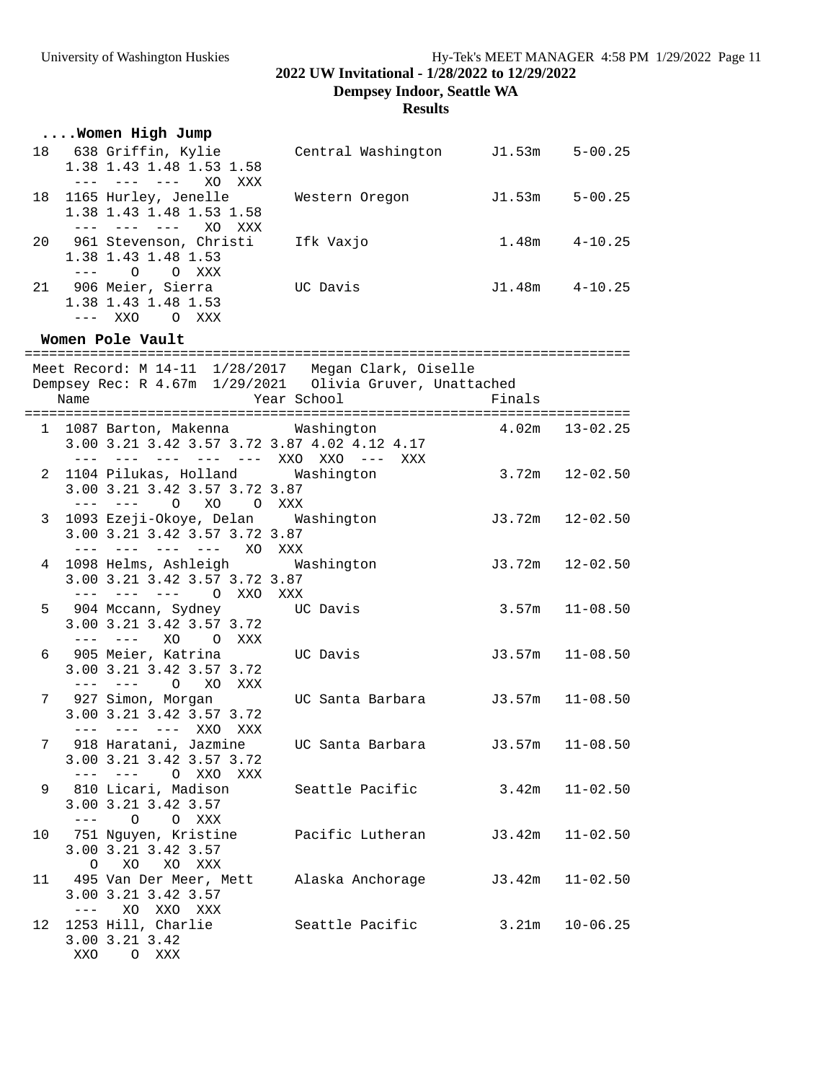**2022 UW Invitational - 1/28/2022 to 12/29/2022**

**Dempsey Indoor, Seattle WA**

# **Results**

|    | Women High Jump             |                    |        |             |
|----|-----------------------------|--------------------|--------|-------------|
| 18 | 638 Griffin, Kylie          | Central Washington | J1.53m | $5 - 00.25$ |
|    | 1.38 1.43 1.48 1.53 1.58    |                    |        |             |
|    | XO.<br>XXX<br>$\frac{1}{2}$ |                    |        |             |
| 18 | 1165 Hurley, Jenelle        | Western Oregon     | J1.53m | $5 - 00.25$ |
|    | 1.38 1.43 1.48 1.53 1.58    |                    |        |             |
|    | XO.<br>XXX                  |                    |        |             |
| 20 | 961 Stevenson, Christi      | Ifk Vaxjo          | 1.48m  | $4 - 10.25$ |
|    | 1.38 1.43 1.48 1.53         |                    |        |             |
|    | $\Omega$<br>$\Omega$<br>XXX |                    |        |             |
|    | 21 906 Meier, Sierra        | UC Davis           | J1.48m | $4 - 10.25$ |
|    | 1.38 1.43 1.48 1.53         |                    |        |             |
|    | --- XXO<br>XXX<br>$\Omega$  |                    |        |             |

### **Women Pole Vault**

|             | Name                                                                                                                                                                                                                                                                                                                                                                                         | Meet Record: M 14-11 1/28/2017 Megan Clark, Oiselle<br>Dempsey Rec: R 4.67m 1/29/2021 Olivia Gruver, Unattached          | Year School                        | Finals              |                    |
|-------------|----------------------------------------------------------------------------------------------------------------------------------------------------------------------------------------------------------------------------------------------------------------------------------------------------------------------------------------------------------------------------------------------|--------------------------------------------------------------------------------------------------------------------------|------------------------------------|---------------------|--------------------|
|             |                                                                                                                                                                                                                                                                                                                                                                                              |                                                                                                                          |                                    |                     |                    |
|             |                                                                                                                                                                                                                                                                                                                                                                                              | 1 1087 Barton, Makenna Mashington<br>3.00 3.21 3.42 3.57 3.72 3.87 4.02 4.12 4.17<br>--- --- --- --- --- XXO XXO --- XXX |                                    |                     | $4.02m$ $13-02.25$ |
|             |                                                                                                                                                                                                                                                                                                                                                                                              | 2 1104 Pilukas, Holland Washington<br>3.00 3.21 3.42 3.57 3.72 3.87<br>XO O XXX<br>$--- - - - - \qquad \qquad \bigcirc$  |                                    |                     | $3.72m$ $12-02.50$ |
|             |                                                                                                                                                                                                                                                                                                                                                                                              | 3 1093 Ezeji-Okoye, Delan Washington<br>3.00 3.21 3.42 3.57 3.72 3.87<br>--- --- --- --- XO XXX                          |                                    | $J3.72m$ $12-02.50$ |                    |
|             |                                                                                                                                                                                                                                                                                                                                                                                              | 4 1098 Helms, Ashleigh Washington<br>3.00 3.21 3.42 3.57 3.72 3.87<br>--- --- --- 0 XXO XXX                              |                                    | $J3.72m$ $12-02.50$ |                    |
| 5           |                                                                                                                                                                                                                                                                                                                                                                                              | 904 Mccann, Sydney         UC Davis<br>3.00 3.21 3.42 3.57 3.72<br>--- --- XO O XXX                                      |                                    |                     | $3.57m$ $11-08.50$ |
|             |                                                                                                                                                                                                                                                                                                                                                                                              | 6 905 Meier, Katrina<br>3.00 3.21 3.42 3.57 3.72<br>--- --- O XO XXX                                                     | UC Davis                           |                     | $J3.57m$ 11-08.50  |
| $7^{\circ}$ |                                                                                                                                                                                                                                                                                                                                                                                              | 927 Simon, Morgan<br>3.00 3.21 3.42 3.57 3.72<br>--- --- --- XXO XXX                                                     |                                    |                     |                    |
|             |                                                                                                                                                                                                                                                                                                                                                                                              | 7 918 Haratani, Jazmine<br>3.00 3.21 3.42 3.57 3.72<br>--- --- O XXO XXX                                                 | UC Santa Barbara (13.57m 11-08.50) |                     |                    |
| 9           |                                                                                                                                                                                                                                                                                                                                                                                              | 810 Licari, Madison Seattle Pacific 3.42m 11-02.50<br>3.00 3.21 3.42 3.57<br>$---$ 0 0 XXX                               |                                    |                     |                    |
|             |                                                                                                                                                                                                                                                                                                                                                                                              | 10 751 Nguyen, Kristine Pacific Lutheran J3.42m 11-02.50<br>3.00 3.21 3.42 3.57<br>XO XO XXX<br>$\circ$                  |                                    |                     |                    |
| 11          | $\frac{1}{2} \frac{1}{2} \frac{1}{2} \frac{1}{2} \frac{1}{2} \frac{1}{2} \frac{1}{2} \frac{1}{2} \frac{1}{2} \frac{1}{2} \frac{1}{2} \frac{1}{2} \frac{1}{2} \frac{1}{2} \frac{1}{2} \frac{1}{2} \frac{1}{2} \frac{1}{2} \frac{1}{2} \frac{1}{2} \frac{1}{2} \frac{1}{2} \frac{1}{2} \frac{1}{2} \frac{1}{2} \frac{1}{2} \frac{1}{2} \frac{1}{2} \frac{1}{2} \frac{1}{2} \frac{1}{2} \frac{$ | 495 Van Der Meer, Mett Alaska Anchorage J3.42m 11-02.50<br>3.00 3.21 3.42 3.57<br>XO XXO XXX                             |                                    |                     |                    |
|             | XXO                                                                                                                                                                                                                                                                                                                                                                                          | 12 1253 Hill, Charlie<br>3.00 3.21 3.42<br>O XXX                                                                         | Seattle Pacific 3.21m 10-06.25     |                     |                    |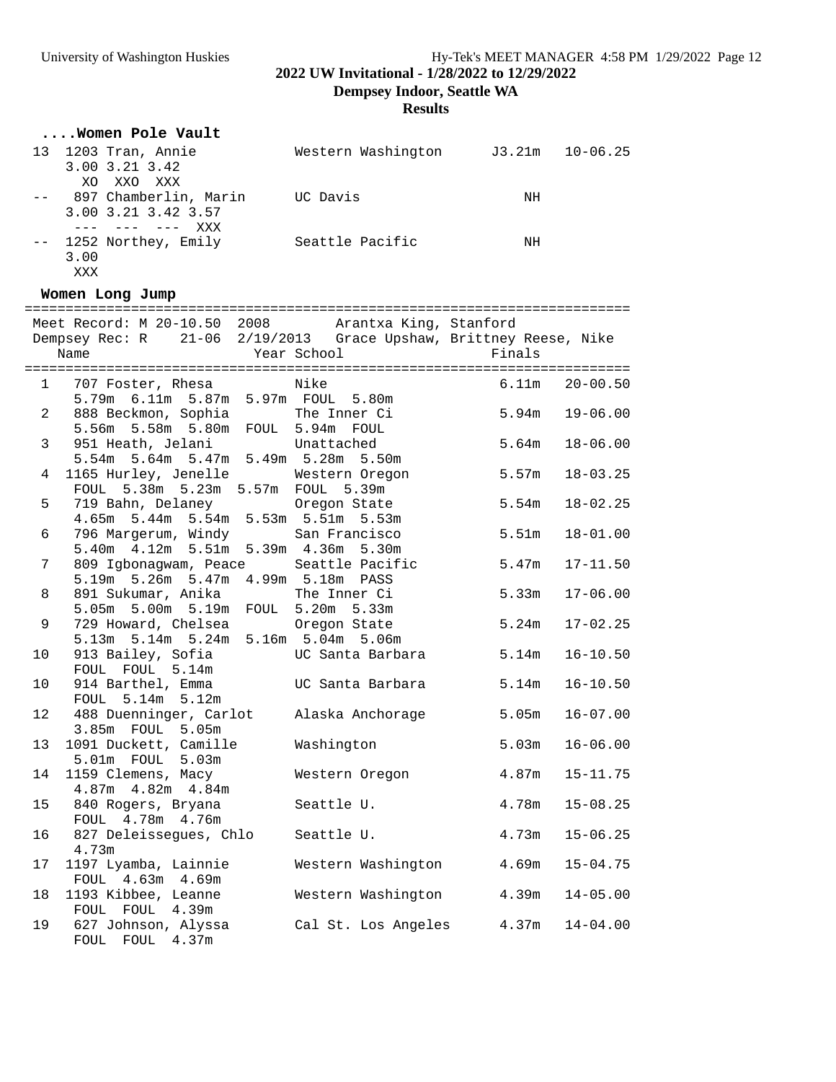**2022 UW Invitational - 1/28/2022 to 12/29/2022**

**Dempsey Indoor, Seattle WA**

**Results**

|             | Women Pole Vault                                                                                                                 |                           |        |              |
|-------------|----------------------------------------------------------------------------------------------------------------------------------|---------------------------|--------|--------------|
|             | 13 1203 Tran, Annie<br>3.00 3.21 3.42<br>XO XXO XXX                                                                              | Western Washington J3.21m |        | $10 - 06.25$ |
|             | -- 897 Chamberlin, Marin UC Davis<br>3.00 3.21 3.42 3.57<br>$--- - --- - --- -$                                                  |                           | NH     |              |
|             | -- 1252 Northey, Emily Seattle Pacific NH<br>3.00<br>XXX                                                                         |                           |        |              |
|             | Women Long Jump                                                                                                                  |                           |        |              |
|             | Meet Record: M 20-10.50 2008 Arantxa King, Stanford<br>Dempsey Rec: R 21-06 2/19/2013 Grace Upshaw, Brittney Reese, Nike<br>Name | Year School Theory        | Finals |              |
|             | 1 707 Foster, Rhesa Nike<br>5.79m 6.11m 5.87m 5.97m FOUL 5.80m                                                                   |                           | 6.11m  | $20 - 00.50$ |
| $2^{\circ}$ | 888 Beckmon, Sophia The Inner Ci<br>5.56m 5.58m 5.80m FOUL 5.94m FOUL                                                            |                           | 5.94m  | $19 - 06.00$ |
| 3           | 951 Heath, Jelani Mattached<br>5.54m 5.64m 5.47m 5.49m 5.28m 5.50m                                                               |                           | 5.64m  | $18 - 06.00$ |
| 4           | 1165 Hurley, Jenelle<br>FOUL 5.38m 5.23m 5.57m FOUL 5.39m                                                                        | Western Oregon            | 5.57m  | $18 - 03.25$ |
| 5           | 719 Bahn, Delaney (Cregon State<br>4.65m 5.44m 5.54m 5.53m 5.51m 5.53m                                                           |                           | 5.54m  | $18 - 02.25$ |
| 6           | 796 Margerum, Windy San Francisco<br>5.40m  4.12m  5.51m  5.39m  4.36m  5.30m                                                    |                           | 5.51m  | $18 - 01.00$ |
| 7           | 809 Igbonagwam, Peace Seattle Pacific<br>5.19m 5.26m 5.47m 4.99m 5.18m PASS                                                      |                           | 5.47m  | $17 - 11.50$ |
| 8           | 891 Sukumar, Anika The Inner Ci<br>5.05m 5.00m 5.19m FOUL 5.20m 5.33m                                                            |                           | 5.33m  | $17 - 06.00$ |
| 9           | 729 Howard, Chelsea Oregon State<br>5.13m 5.14m 5.24m 5.16m 5.04m 5.06m                                                          |                           | 5.24m  | $17 - 02.25$ |
| 10          | 913 Bailey, Sofia           UC Santa Barbara<br>FOUL FOUL 5.14m                                                                  |                           | 5.14m  | $16 - 10.50$ |
| 10          | 914 Barthel, Emma<br>$5.14m$ $5.12m$<br>FOUL                                                                                     | UC Santa Barbara          | 5.14m  | $16 - 10.50$ |
| 12          | 488 Duenninger, Carlot Alaska Anchorage 5.05m<br>3.85m FOUL 5.05m                                                                |                           |        | $16 - 07.00$ |
| 13          | 1091 Duckett, Camille<br>5.01m FOUL 5.03m                                                                                        | Washington                | 5.03m  | $16 - 06.00$ |
| 14          | 1159 Clemens, Macy<br>4.87m  4.82m  4.84m                                                                                        | Western Oregon            | 4.87m  | $15 - 11.75$ |
| 15          | 840 Rogers, Bryana<br>FOUL 4.78m 4.76m                                                                                           | Seattle U.                | 4.78m  | $15 - 08.25$ |
| 16          | 827 Deleissegues, Chlo<br>4.73m                                                                                                  | Seattle U.                | 4.73m  | $15 - 06.25$ |
| 17          | 1197 Lyamba, Lainnie<br>FOUL 4.63m 4.69m                                                                                         | Western Washington        | 4.69m  | $15 - 04.75$ |
| 18          | 1193 Kibbee, Leanne<br>FOUL FOUL 4.39m                                                                                           | Western Washington        | 4.39m  | $14 - 05.00$ |
| 19          | 627 Johnson, Alyssa<br>FOUL FOUL 4.37m                                                                                           | Cal St. Los Angeles       | 4.37m  | $14 - 04.00$ |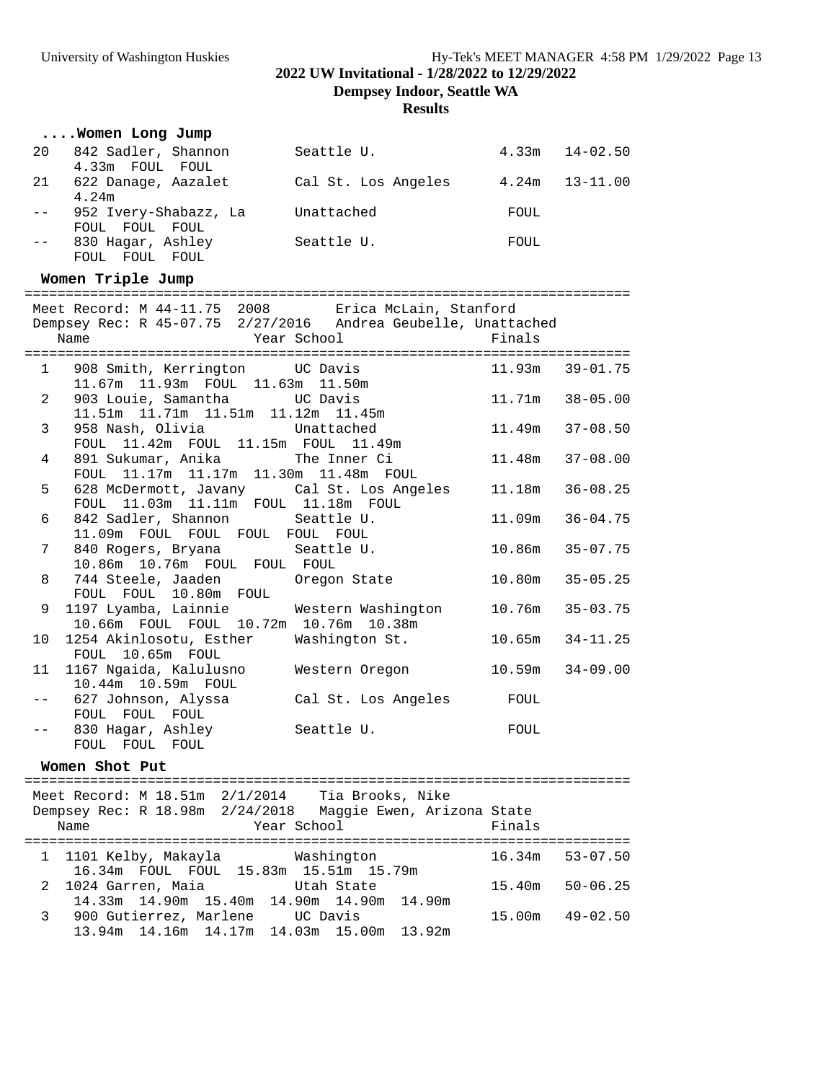**2022 UW Invitational - 1/28/2022 to 12/29/2022**

**Dempsey Indoor, Seattle WA**

**Results**

|    | Women Long Jump                            |                     |       |          |
|----|--------------------------------------------|---------------------|-------|----------|
| 20 | 842 Sadler, Shannon<br>4.33m FOUL FOUL     | Seattle U.          | 4.33m | 14-02.50 |
| 21 | 622 Danage, Aazalet<br>4.24m               | Cal St. Los Angeles | 4.24m | 13-11.00 |
|    | 952 Ivery-Shabazz, La<br>FOUL FOUL FOUL    | Unattached          | FOUL  |          |
|    | 830 Hagar, Ashley<br>FOUL<br>FOUL<br>FOUL. | Seattle U.          | FOUL  |          |

#### **Women Triple Jump**

| Meet Record: M 44-11.75 2008 Erica McLain, Stanford                                      |                     |  |
|------------------------------------------------------------------------------------------|---------------------|--|
| Dempsey Rec: R 45-07.75 2/27/2016 Andrea Geubelle, Unattached                            |                     |  |
| Year School Finals<br>Name                                                               |                     |  |
|                                                                                          |                     |  |
| 1 908 Smith, Kerrington UC Davis 11.93m 39-01.75<br>11.67m  11.93m  FOUL  11.63m  11.50m |                     |  |
| 903 Louie, Samantha UC Davis<br>$2^{\circ}$                                              | 11.71m  38-05.00    |  |
| 11.51m  11.71m  11.51m  11.12m  11.45m                                                   |                     |  |
| 3<br>958 Nash, Olivia Chattached                                                         | $11.49m$ $37-08.50$ |  |
| FOUL 11.42m FOUL 11.15m FOUL 11.49m                                                      |                     |  |
| 4                                                                                        | $11.48m$ $37-08.00$ |  |
| FOUL 11.17m 11.17m 11.30m 11.48m FOUL                                                    |                     |  |
| 628 McDermott, Javany Cal St. Los Angeles<br>5                                           | 11.18m   36-08.25   |  |
| FOUL 11.03m 11.11m FOUL 11.18m FOUL                                                      |                     |  |
| 6<br>842 Sadler, Shannon Seattle U.                                                      | 11.09m 36-04.75     |  |
| 11.09m FOUL FOUL FOUL FOUL FOUL<br>7                                                     |                     |  |
| 840 Rogers, Bryana Seattle U.<br>10.86m 10.76m FOUL FOUL FOUL                            | 10.86m 35-07.75     |  |
| 744 Steele, Jaaden oregon State<br>8                                                     | $10.80m$ $35-05.25$ |  |
| FOUL FOUL 10.80m FOUL                                                                    |                     |  |
| 1197 Lyamba, Lainnie Mestern Washington<br>9                                             | 10.76m 35-03.75     |  |
| 10.66m FOUL FOUL 10.72m 10.76m 10.38m                                                    |                     |  |
| 1254 Akinlosotu, Esther Washington St.<br>10                                             | $10.65m$ $34-11.25$ |  |
| FOUL 10.65m FOUL                                                                         |                     |  |
| 11 1167 Ngaida, Kalulusno     Western Oregon                                             | $10.59m$ $34-09.00$ |  |
| 10.44m 10.59m FOUL                                                                       |                     |  |
| 627 Johnson, Alyssa Cal St. Los Angeles FOUL<br>FOUL FOUL FOUL                           |                     |  |
| 830 Hagar, Ashley Seattle U.                                                             | FOUL                |  |
| FOUL FOUL FOUL                                                                           |                     |  |
|                                                                                          |                     |  |

#### **Women Shot Put**

========================================================================== Meet Record: M 18.51m 2/1/2014 Tia Brooks, Nike Dempsey Rec: R 18.98m 2/24/2018 Maggie Ewen, Arizona State Name **Year School** Finals ========================================================================== 1 1101 Kelby, Makayla Washington 16.34m 53-07.50 16.34m FOUL FOUL 15.83m 15.51m 15.79m 2 1024 Garren, Maia Utah State 15.40m 50-06.25 14.33m 14.90m 15.40m 14.90m 14.90m 14.90m 3 900 Gutierrez, Marlene UC Davis 15.00m 49-02.50 13.94m 14.16m 14.17m 14.03m 15.00m 13.92m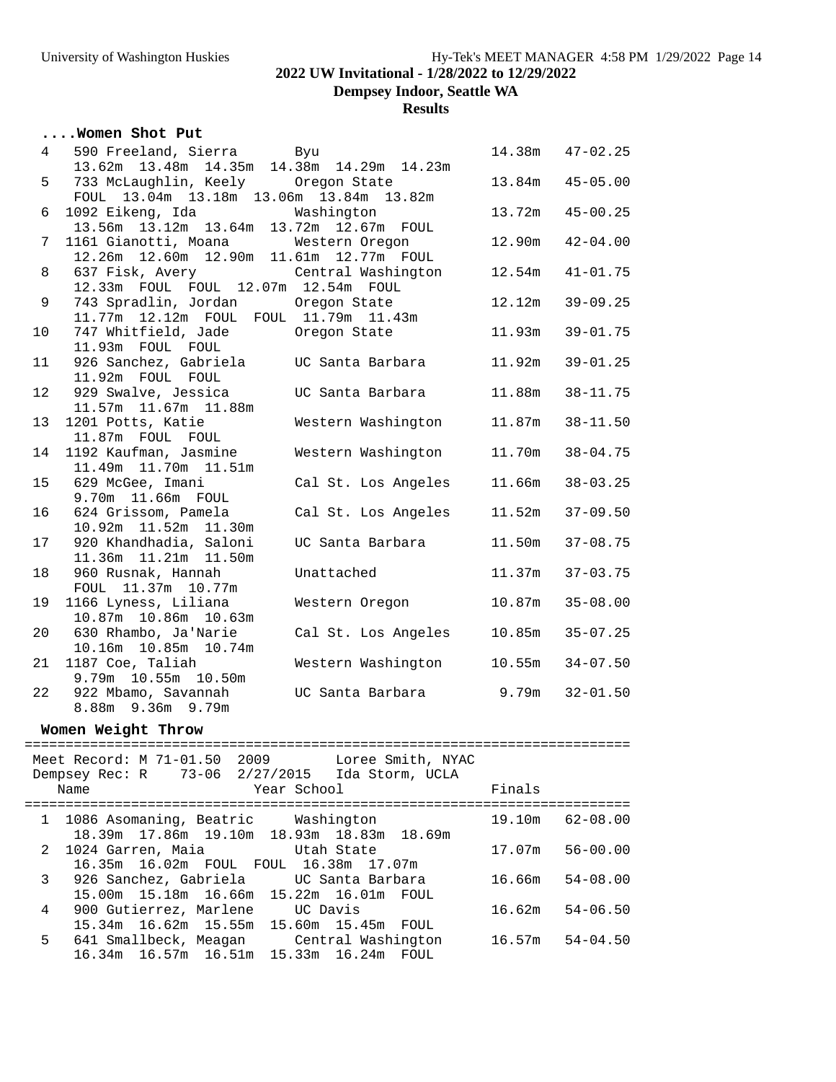**Dempsey Indoor, Seattle WA**

**Results**

|  |  |  |  | Women Shot Put |  |  |
|--|--|--|--|----------------|--|--|
|--|--|--|--|----------------|--|--|

| $4\overline{ }$ | 590 Freeland, Sierra Byu                       |                     |        | 14.38m  47-02.25 |
|-----------------|------------------------------------------------|---------------------|--------|------------------|
|                 | 13.62m  13.48m  14.35m  14.38m  14.29m  14.23m |                     |        |                  |
| 5               | 733 McLaughlin, Keely Oregon State             |                     | 13.84m | $45 - 05.00$     |
|                 | FOUL 13.04m 13.18m 13.06m 13.84m 13.82m        |                     |        |                  |
| 6               | 1092 Eikeng, Ida Mashington                    |                     | 13.72m | $45 - 00.25$     |
|                 | 13.56m 13.12m 13.64m 13.72m 12.67m FOUL        |                     |        |                  |
| 7               | 1161 Gianotti, Moana Western Oregon            |                     | 12.90m | $42 - 04.00$     |
|                 | 12.26m  12.60m  12.90m  11.61m  12.77m  FOUL   |                     |        |                  |
| 8               | 637 Fisk, Avery Central Washington             |                     | 12.54m | $41 - 01.75$     |
|                 | 12.33m FOUL FOUL 12.07m 12.54m FOUL            |                     |        |                  |
| 9               | 743 Spradlin, Jordan Oregon State              |                     | 12.12m | $39 - 09.25$     |
|                 | 11.77m  12.12m  FOUL  FOUL  11.79m  11.43m     |                     |        |                  |
| 10              | 747 Whitfield, Jade Oregon State               |                     | 11.93m | $39 - 01.75$     |
|                 | 11.93m FOUL FOUL                               |                     |        |                  |
| 11              | 926 Sanchez, Gabriela UC Santa Barbara         |                     | 11.92m | $39 - 01.25$     |
|                 | 11.92m FOUL FOUL                               |                     |        |                  |
| 12              | 929 Swalve, Jessica CDC Santa Barbara          |                     | 11.88m | $38 - 11.75$     |
|                 | 11.57m  11.67m  11.88m                         |                     |        |                  |
| 13              | 1201 Potts, Katie                              | Western Washington  | 11.87m | $38 - 11.50$     |
|                 | 11.87m FOUL FOUL                               |                     |        |                  |
| 14              | 1192 Kaufman, Jasmine                          | Western Washington  | 11.70m | $38 - 04.75$     |
|                 | 11.49m  11.70m  11.51m                         |                     |        |                  |
| 15              | 629 McGee, Imani                               | Cal St. Los Angeles | 11.66m | $38 - 03.25$     |
|                 | 9.70m 11.66m FOUL                              |                     |        |                  |
| 16              | 624 Grissom, Pamela                            | Cal St. Los Angeles | 11.52m | $37 - 09.50$     |
|                 | 10.92m  11.52m  11.30m                         |                     |        |                  |
| 17              | 920 Khandhadia, Saloni                         | UC Santa Barbara    | 11.50m | $37 - 08.75$     |
|                 | 11.36m  11.21m  11.50m                         |                     |        |                  |
| 18              | 960 Rusnak, Hannah                             | Unattached          | 11.37m | $37 - 03.75$     |
|                 | FOUL 11.37m 10.77m                             |                     |        |                  |
| 19              | 1166 Lyness, Liliana                           | Western Oregon      | 10.87m | $35 - 08.00$     |
|                 | 10.87m  10.86m  10.63m                         |                     |        |                  |
| 20              | 630 Rhambo, Ja'Narie                           | Cal St. Los Angeles | 10.85m | $35 - 07.25$     |
|                 | 10.16m  10.85m  10.74m                         |                     |        |                  |
| 21              | 1187 Coe, Taliah                               | Western Washington  | 10.55m | $34 - 07.50$     |
|                 | 9.79m 10.55m 10.50m                            |                     |        |                  |
| 22              | 922 Mbamo, Savannah                            | UC Santa Barbara    | 9.79m  | $32 - 01.50$     |
|                 | 8.88m 9.36m 9.79m                              |                     |        |                  |
|                 |                                                |                     |        |                  |

### **Women Weight Throw**

|              | Meet Record: M 71-01.50 2009 Loree Smith, NYAC<br>Dempsey Rec: R 73-06 2/27/2015 Ida Storm, UCLA<br>Year School<br>Name<br>============================== | Finals |              |
|--------------|-----------------------------------------------------------------------------------------------------------------------------------------------------------|--------|--------------|
|              | 1 1086 Asomaning, Beatric Washington                                                                                                                      | 19.10m | 62-08.00     |
|              | 18.39m 17.86m 19.10m 18.93m 18.83m 18.69m                                                                                                                 |        |              |
|              | 2 1024 Garren, Maia 6 100 Utah State                                                                                                                      | 17.07m | $56 - 00.00$ |
|              | 16.35m 16.02m FOUL FOUL 16.38m 17.07m                                                                                                                     |        |              |
| $\mathbf{3}$ | 926 Sanchez, Gabriela       UC Santa Barbara                                                                                                              | 16.66m | $54 - 08.00$ |
|              | 15.00m  15.18m  16.66m  15.22m  16.01m  FOUL                                                                                                              |        |              |
| 4            | 900 Gutierrez, Marlene UC Davis                                                                                                                           | 16.62m | $54 - 06.50$ |
|              | 15.34m 16.62m 15.55m<br>15.60m 15.45m<br>FOUL                                                                                                             |        |              |
| 5            | 641 Smallbeck, Meagan     Central Washington                                                                                                              | 16.57m | $54 - 04.50$ |
|              | 16.34m 16.57m 16.51m<br>15.33m 16.24m<br>FOUL.                                                                                                            |        |              |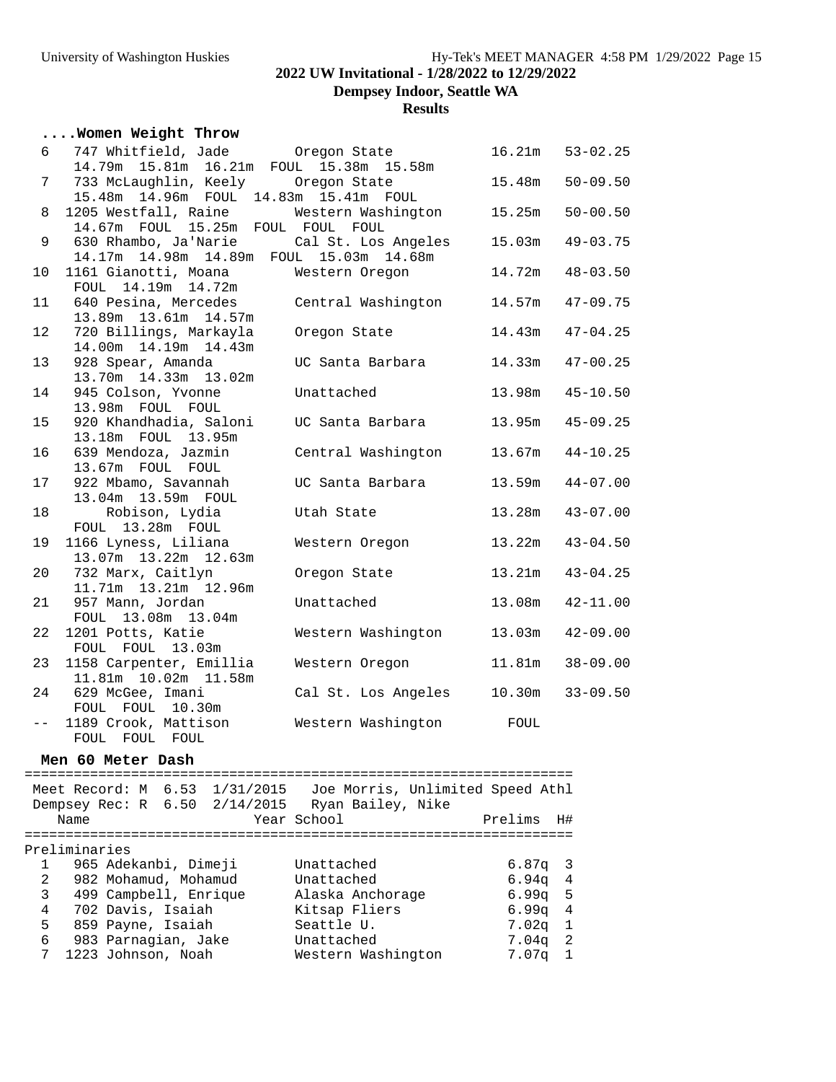**Dempsey Indoor, Seattle WA**

# **Results**

### **....Women Weight Throw**

| 6     | 747 Whitfield, Jade Oregon State                                                    |                     | 16.21m | $53 - 02.25$ |
|-------|-------------------------------------------------------------------------------------|---------------------|--------|--------------|
| 7     | 14.79m 15.81m 16.21m FOUL 15.38m 15.58m<br>733 McLaughlin, Keely Oregon State       |                     | 15.48m | $50 - 09.50$ |
|       | 15.48m  14.96m  FOUL  14.83m  15.41m  FOUL                                          |                     |        |              |
| 8     | 1205 Westfall, Raine Mestern Washington<br>14.67m FOUL 15.25m FOUL FOUL FOUL        |                     | 15.25m | $50 - 00.50$ |
| 9     | 630 Rhambo, Ja'Narie Cal St. Los Angeles<br>14.17m 14.98m 14.89m FOUL 15.03m 14.68m |                     | 15.03m | $49 - 03.75$ |
| 10    | 1161 Gianotti, Moana<br>FOUL 14.19m 14.72m                                          | Western Oregon      | 14.72m | $48 - 03.50$ |
| 11    | 640 Pesina, Mercedes<br>13.89m  13.61m  14.57m                                      | Central Washington  | 14.57m | $47 - 09.75$ |
| 12    | 720 Billings, Markayla<br>14.00m  14.19m  14.43m                                    | Oregon State        | 14.43m | $47 - 04.25$ |
| 13    | 928 Spear, Amanda<br>13.70m  14.33m  13.02m                                         | UC Santa Barbara    | 14.33m | $47 - 00.25$ |
| 14    | 945 Colson, Yvonne<br>13.98m FOUL FOUL                                              | Unattached          | 13.98m | $45 - 10.50$ |
| 15    | 920 Khandhadia, Saloni<br>13.18m FOUL 13.95m                                        | UC Santa Barbara    | 13.95m | $45 - 09.25$ |
| 16    | 639 Mendoza, Jazmin<br>13.67m FOUL FOUL                                             | Central Washington  | 13.67m | $44 - 10.25$ |
| 17    | 922 Mbamo, Savannah<br>13.04m 13.59m FOUL                                           | UC Santa Barbara    | 13.59m | $44 - 07.00$ |
| 18    | Robison, Lydia<br>FOUL 13.28m FOUL                                                  | Utah State          | 13.28m | $43 - 07.00$ |
| 19    | 1166 Lyness, Liliana<br>13.07m  13.22m  12.63m                                      | Western Oregon      | 13.22m | $43 - 04.50$ |
| 20    | 732 Marx, Caitlyn<br>11.71m  13.21m  12.96m                                         | Oregon State        | 13.21m | $43 - 04.25$ |
| 21    | 957 Mann, Jordan<br>FOUL 13.08m 13.04m                                              | Unattached          | 13.08m | $42 - 11.00$ |
| 22    | 1201 Potts, Katie<br>FOUL FOUL 13.03m                                               | Western Washington  | 13.03m | $42 - 09.00$ |
| 23    | 1158 Carpenter, Emillia<br>11.81m  10.02m  11.58m                                   | Western Oregon      | 11.81m | $38 - 09.00$ |
| 24    | 629 McGee, Imani<br>FOUL FOUL 10.30m                                                | Cal St. Los Angeles | 10.30m | $33 - 09.50$ |
| $- -$ | 1189 Crook, Mattison<br>FOUL FOUL FOUL                                              | Western Washington  | FOUL   |              |

### **Men 60 Meter Dash**

|                |               |                       | Meet Record: M 6.53 1/31/2015<br>Dempsey Rec: R 6.50 2/14/2015 |             | Ryan Bailey, Nike  | Joe Morris, Unlimited Speed Athl |                   |                |
|----------------|---------------|-----------------------|----------------------------------------------------------------|-------------|--------------------|----------------------------------|-------------------|----------------|
|                | Name          |                       |                                                                | Year School |                    |                                  | Prelims           | H#             |
|                |               |                       |                                                                |             |                    |                                  |                   |                |
|                | Preliminaries |                       |                                                                |             |                    |                                  |                   |                |
|                |               | 965 Adekanbi, Dimeji  |                                                                | Unattached  |                    |                                  | $6.87q$ 3         |                |
| $\overline{2}$ |               | 982 Mohamud, Mohamud  |                                                                | Unattached  |                    |                                  | 6.94 <sub>q</sub> | $\overline{4}$ |
| 3              |               | 499 Campbell, Enrique |                                                                |             | Alaska Anchorage   |                                  | $6.99q$ 5         |                |
| 4              |               | 702 Davis, Isaiah     |                                                                |             | Kitsap Fliers      |                                  | 6.99 <sub>q</sub> | $\overline{4}$ |
| 5              |               | 859 Payne, Isaiah     |                                                                | Seattle U.  |                    |                                  | 7.02 <sub>q</sub> | $\overline{1}$ |
| 6              |               | 983 Parnagian, Jake   |                                                                | Unattached  |                    |                                  | $7.04\sigma$      | $\overline{2}$ |
| 7              |               | 1223 Johnson, Noah    |                                                                |             | Western Washington |                                  | 7.07 <sub>q</sub> | 1              |
|                |               |                       |                                                                |             |                    |                                  |                   |                |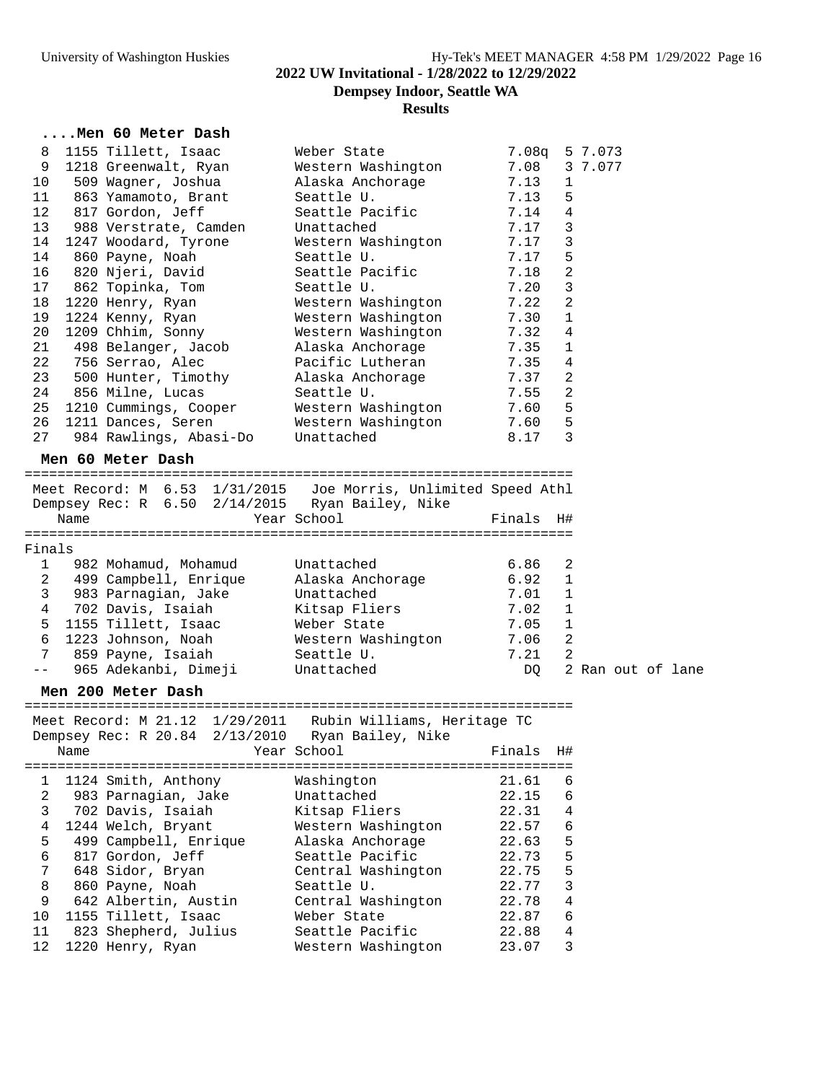### University of Washington Huskies **Hy-Tek's MEET MANAGER 4:58 PM 1/29/2022** Page 16 **2022 UW Invitational - 1/28/2022 to 12/29/2022 Dempsey Indoor, Seattle WA Results**

#### **....Men 60 Meter Dash**

| 8       | 1155 Tillett, Isaac                   | Weber State        | 7.08 <sub>q</sub> | 5 7.073        |
|---------|---------------------------------------|--------------------|-------------------|----------------|
| 9       | 1218 Greenwalt, Ryan                  | Western Washington | 7.08              | 3 7.077        |
| 10      | 509 Waqner, Joshua                    | Alaska Anchorage   | 7.13              | $\mathbf 1$    |
| 11      | 863 Yamamoto, Brant                   | Seattle U.         | 7.13              | 5              |
| $12 \,$ | 817 Gordon, Jeff                      | Seattle Pacific    | 7.14              | 4              |
| 13      | 988 Verstrate, Camden Unattached      |                    | 7.17              | 3              |
| 14      | 1247 Woodard, Tyrone                  | Western Washington | 7.17              | 3              |
| 14      | 860 Payne, Noah                       | Seattle U.         | 7.17              | 5              |
| 16      | 820 Njeri, David                      | Seattle Pacific    | 7.18              | $\overline{2}$ |
| 17      | 862 Topinka, Tom                      | Seattle U.         | 7.20              | 3              |
| 18      | 1220 Henry, Ryan                      | Western Washington | 7.22              | $\overline{2}$ |
| 19      | 1224 Kenny, Ryan                      | Western Washington | 7.30              | $\mathbf{1}$   |
| 20      | 1209 Chhim, Sonny                     | Western Washington | 7.32              | $\overline{4}$ |
| 21      | 498 Belanger, Jacob Alaska Anchorage  |                    | 7.35              | $\mathbf{1}$   |
| 22      | 756 Serrao, Alec                      | Pacific Lutheran   | 7.35              | 4              |
| 23      | 500 Hunter, Timothy (Alaska Anchorage |                    | 7.37              | 2              |
| 24      | 856 Milne, Lucas                      | Seattle U.         | 7.55              | $\overline{2}$ |
| 25      | 1210 Cummings, Cooper                 | Western Washington | 7.60              | 5              |
| 26      | 1211 Dances, Seren                    | Western Washington | 7.60              | 5              |
| 27      | 984 Rawlings, Abasi-Do Unattached     |                    | 8.17              | 3              |
|         |                                       |                    |                   |                |

#### **Men 60 Meter Dash**

=================================================================== Meet Record: M 6.53 1/31/2015 Joe Morris, Unlimited Speed Athl Dempsey Rec: R 6.50 2/14/2015 Ryan Bailey, Nike

| Name     | Year School | Finals H# |  |
|----------|-------------|-----------|--|
|          |             |           |  |
| Findna1s |             |           |  |

| $1.117 + 0.1$ |                         |                    |      |                            |  |  |
|---------------|-------------------------|--------------------|------|----------------------------|--|--|
|               | 982 Mohamud, Mohamud    | Unattached         | 6.86 | $\overline{\phantom{a}}$ 2 |  |  |
| 2             | 499 Campbell, Enrique   | Alaska Anchorage   | 6.92 | $\mathbf{1}$               |  |  |
| 3             | 983 Parnagian, Jake     | Unattached         | 7.01 | $\overline{1}$             |  |  |
| 4             | 702 Davis, Isaiah       | Kitsap Fliers      | 7.02 |                            |  |  |
|               | 5 1155 Tillett, Isaac   | Weber State        | 7.05 |                            |  |  |
|               | 6 1223 Johnson, Noah    | Western Washington | 7.06 | -2                         |  |  |
|               | 859 Payne, Isaiah       | Seattle U.         | 7.21 | -2                         |  |  |
|               | -- 965 Adekanbi, Dimeji | Unattached         | DO   | 2 Ran out of lane          |  |  |
|               |                         |                    |      |                            |  |  |

#### **Men 200 Meter Dash**

=================================================================== Meet Record: M 21.12 1/29/2011 Rubin Williams, Heritage TC Dempsey Rec: R 20.84 2/13/2010 Ryan Bailey, Nike Name Year School Finals H# =================================================================== 1 1124 Smith, Anthony Washington 21.61 6 2 983 Parnagian, Jake Unattached 22.15 6 3 702 Davis, Isaiah Kitsap Fliers 22.31 4 4 1244 Welch, Bryant Western Washington 22.57 6 5 499 Campbell, Enrique Alaska Anchorage 22.63 5 6 817 Gordon, Jeff Seattle Pacific 22.73 5 7 648 Sidor, Bryan Central Washington 22.75 5 8 860 Payne, Noah Seattle U. 22.77 3 9 642 Albertin, Austin Central Washington 22.78 4 10 1155 Tillett, Isaac Weber State 22.87 6 11 823 Shepherd, Julius Seattle Pacific 22.88 4 12 1220 Henry, Ryan Western Washington 23.07 3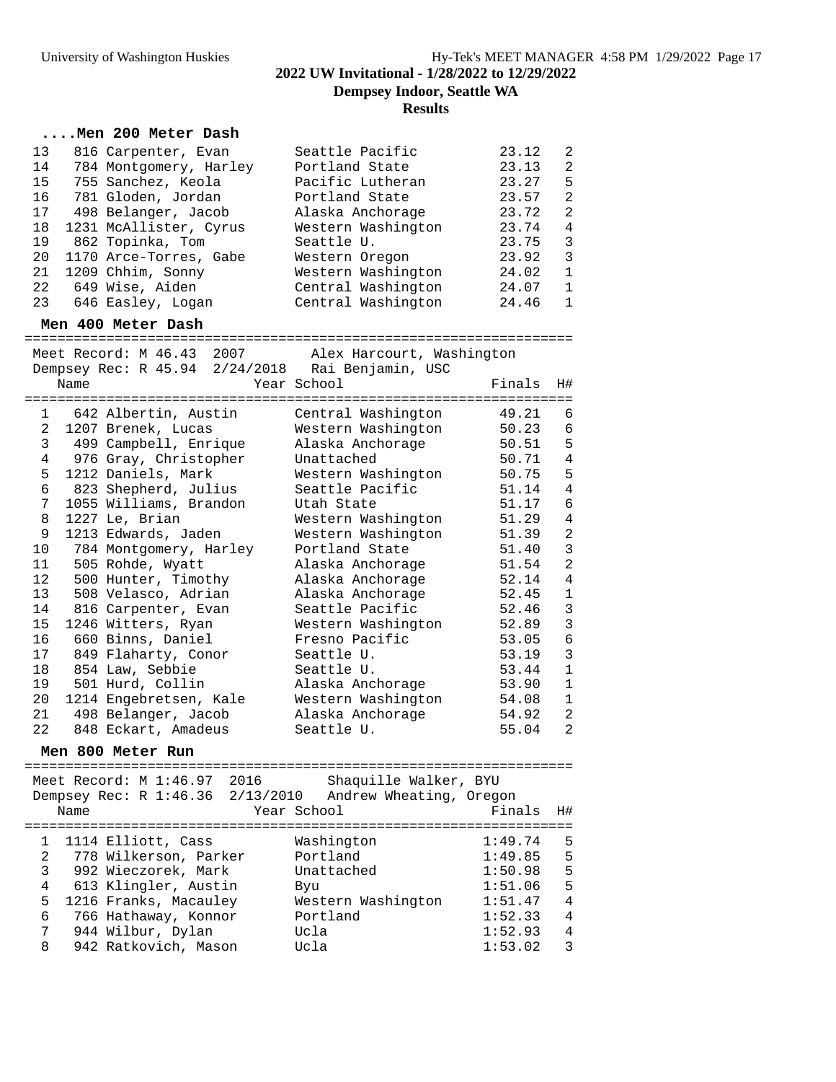#### **....Men 200 Meter Dash**

| 13 | 816 Carpenter, Evan    | Seattle Pacific    | 23.12 | 2            |
|----|------------------------|--------------------|-------|--------------|
| 14 | 784 Montgomery, Harley | Portland State     | 23.13 | 2            |
| 15 | 755 Sanchez, Keola     | Pacific Lutheran   | 23.27 | 5            |
| 16 | 781 Gloden, Jordan     | Portland State     | 23.57 | 2            |
| 17 | 498 Belanger, Jacob    | Alaska Anchorage   | 23.72 | 2            |
| 18 | 1231 McAllister, Cyrus | Western Washington | 23.74 | 4            |
| 19 | 862 Topinka, Tom       | Seattle U.         | 23.75 | 3            |
| 20 | 1170 Arce-Torres, Gabe | Western Oregon     | 23.92 | 3            |
| 21 | 1209 Chhim, Sonny      | Western Washington | 24.02 | $\mathbf{1}$ |
| 22 | 649 Wise, Aiden        | Central Washington | 24.07 | -1           |
| 23 | 646 Easley, Logan      | Central Washington | 24.46 | $\mathbf{1}$ |
|    |                        |                    |       |              |

#### **Men 400 Meter Dash**

===================================================================

|                |      | Meet Record: M 46.43 2007              | Alex Harcourt, Washington                                       |        |                |
|----------------|------|----------------------------------------|-----------------------------------------------------------------|--------|----------------|
|                | Name |                                        | Dempsey Rec: R 45.94 2/24/2018 Rai Benjamin, USC<br>Year School | Finals | H#             |
|                |      | ====================================== | =============================                                   |        |                |
|                |      | 1 642 Albertin, Austin                 | Central Washington                                              | 49.21  | 6              |
| 2              |      | 1207 Brenek, Lucas                     | Western Washington                                              | 50.23  | $\epsilon$     |
| 3              |      | 499 Campbell, Enrique                  | Alaska Anchorage                                                | 50.51  | 5              |
| $\overline{4}$ |      | 976 Gray, Christopher                  | Unattached                                                      | 50.71  | $\overline{4}$ |
| 5              |      | 1212 Daniels, Mark                     | Western Washington                                              | 50.75  | 5              |
| 6              |      | 823 Shepherd, Julius                   | Seattle Pacific                                                 | 51.14  | $\overline{4}$ |
| 7              |      | 1055 Williams, Brandon                 | Utah State                                                      | 51.17  | $\epsilon$     |
| 8              |      | 1227 Le, Brian                         | Western Washington                                              | 51.29  | $\overline{4}$ |
| 9              |      | 1213 Edwards, Jaden                    | Western Washington                                              | 51.39  | $\overline{c}$ |
| 10             |      | 784 Montgomery, Harley                 | Portland State                                                  | 51.40  | $\mathbf{3}$   |
| 11             |      | 505 Rohde, Wyatt                       | Alaska Anchorage                                                | 51.54  | $\overline{a}$ |
| 12             |      | 500 Hunter, Timothy                    | Alaska Anchorage                                                | 52.14  | $\sqrt{4}$     |
| 13             |      | 508 Velasco, Adrian                    | Alaska Anchorage                                                | 52.45  | $\mathbf 1$    |
| 14             |      | 816 Carpenter, Evan                    | Seattle Pacific                                                 | 52.46  | $\mathsf 3$    |
| 15             |      | 1246 Witters, Ryan                     | Western Washington                                              | 52.89  | $\mathbf{3}$   |
| 16             |      | 660 Binns, Daniel                      | Fresno Pacific                                                  | 53.05  | $\epsilon$     |
| 17             |      | 849 Flaharty, Conor                    | Seattle U.                                                      | 53.19  | $\mathbf{3}$   |
| 18             |      | 854 Law, Sebbie                        | Seattle U.                                                      | 53.44  | $\mathbf 1$    |
| 19             |      | 501 Hurd, Collin                       | Alaska Anchorage                                                | 53.90  | $\mathbf 1$    |
| 20             |      | 1214 Engebretsen, Kale                 | Western Washington                                              | 54.08  | $\mathbf 1$    |
| 21             |      | 498 Belanger, Jacob                    | Alaska Anchorage                                                | 54.92  | $\sqrt{2}$     |
| 22             |      | 848 Eckart, Amadeus                    | Seattle U.                                                      | 55.04  | $\overline{a}$ |
|                |      |                                        |                                                                 |        |                |

### **Men 800 Meter Run**

=================================================================== Meet Record: M 1:46.97 2016 Shaquille Walker, BYU Dempsey Rec: R 1:46.36 2/13/2010 Andrew Wheating, Oregon Name  $Year School$  Finals H# =================================================================== 1 1114 Elliott, Cass Washington 1:49.74 5 2 778 Wilkerson, Parker Portland 1:49.85 5 3 992 Wieczorek, Mark Unattached 1:50.98 5 4 613 Klingler, Austin Byu 1:51.06 5 5 1216 Franks, Macauley Western Washington 1:51.47 4 6 766 Hathaway, Konnor Portland 1:52.33 4 7 944 Wilbur, Dylan Ucla 1:52.93 4 8 942 Ratkovich, Mason Ucla 1:53.02 3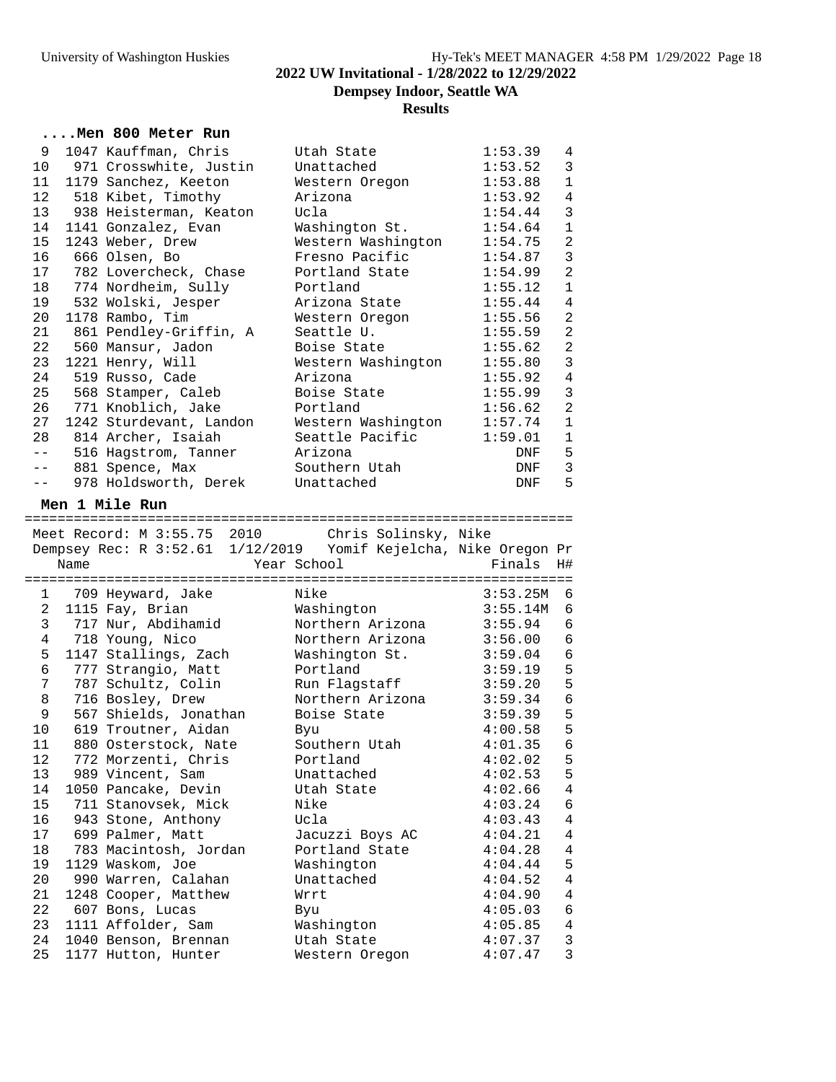# University of Washington Huskies Hy-Tek's MEET MANAGER 4:58 PM 1/29/2022 Page 18 **2022 UW Invitational - 1/28/2022 to 12/29/2022 Dempsey Indoor, Seattle WA Results**

#### **....Men 800 Meter Run**

| 9               | 1047 Kauffman, Chris             | Utah State         | 1:53.39 | 4              |
|-----------------|----------------------------------|--------------------|---------|----------------|
| 10              | 971 Crosswhite, Justin           | Unattached         | 1:53.52 | 3              |
|                 | 11 1179 Sanchez, Keeton          | Western Oregon     | 1:53.88 | $\mathbf{1}$   |
| 12              | 518 Kibet, Timothy               | Arizona            | 1:53.92 | $\sqrt{4}$     |
| 13 <sup>°</sup> | 938 Heisterman, Keaton           | Ucla               | 1:54.44 | $\mathbf{3}$   |
| 14              | 1141 Gonzalez, Evan              | Washington St.     | 1:54.64 | $\mathbf{1}$   |
| 15 <sub>1</sub> | 1243 Weber, Drew                 | Western Washington | 1:54.75 | $\overline{2}$ |
| 16              | 666 Olsen, Bo                    | Fresno Pacific     | 1:54.87 | $\mathbf{3}$   |
|                 | 17 782 Lovercheck, Chase         | Portland State     | 1:54.99 | $\overline{2}$ |
|                 | 18 774 Nordheim, Sully           | Portland           | 1:55.12 | $\mathbf{1}$   |
| 19              | 532 Wolski, Jesper               | Arizona State      | 1:55.44 | 4              |
| 20              | 1178 Rambo, Tim                  | Western Oregon     | 1:55.56 | $\overline{2}$ |
| 21              | 861 Pendley-Griffin, A           | Seattle U.         | 1:55.59 | $\overline{2}$ |
| 22              | 560 Mansur, Jadon                | Boise State        | 1:55.62 | $\overline{a}$ |
| 23              | 1221 Henry, Will                 | Western Washington | 1:55.80 | $\overline{3}$ |
| 24              | 519 Russo, Cade                  | Arizona            | 1:55.92 | $\overline{4}$ |
| 25              | 568 Stamper, Caleb               | Boise State        | 1:55.99 | $\mathbf{3}$   |
| 26              | 771 Knoblich, Jake               | Portland           | 1:56.62 | $\overline{2}$ |
| 27              | 1242 Sturdevant, Landon          | Western Washington | 1:57.74 | $1\,$          |
| 28              | 814 Archer, Isaiah               | Seattle Pacific    | 1:59.01 | $\mathbf{1}$   |
| $- -$           | 516 Hagstrom, Tanner             | Arizona            | DNF     | 5              |
| $- -$           | 881 Spence, Max                  | Southern Utah      | DNF     | 3              |
| $- -$           | 978 Holdsworth, Derek Unattached |                    | DNF     | 5              |

# **Men 1 Mile Run**

|                |      | Meet Record: M 3:55.75 2010 Chris Solinsky, Nike                |                  |          |                |
|----------------|------|-----------------------------------------------------------------|------------------|----------|----------------|
|                |      | Dempsey Rec: R 3:52.61 1/12/2019 Yomif Kejelcha, Nike Oregon Pr |                  |          |                |
|                | Name | Year School                                                     |                  | Finals   | H#             |
|                |      |                                                                 |                  |          |                |
| 1              |      | 709 Heyward, Jake                                               | Nike             | 3:53.25M | 6              |
| 2              |      | 1115 Fay, Brian                                                 | Washington       | 3:55.14M | 6              |
| 3              |      | 717 Nur, Abdihamid                                              | Northern Arizona | 3:55.94  | $\epsilon$     |
| $\overline{4}$ |      | 718 Young, Nico                                                 | Northern Arizona | 3:56.00  | $\epsilon$     |
| 5              |      | 1147 Stallings, Zach                                            | Washington St.   | 3:59.04  | $\epsilon$     |
| 6              |      | 777 Strangio, Matt                                              | Portland         | 3:59.19  | 5              |
| 7              |      | 787 Schultz, Colin                                              | Run Flagstaff    | 3:59.20  | 5              |
| 8              |      | 716 Bosley, Drew                                                | Northern Arizona | 3:59.34  | $\overline{6}$ |
| 9              |      | 567 Shields, Jonathan                                           | Boise State      | 3:59.39  | 5              |
| 10             |      | 619 Troutner, Aidan                                             | <b>Byu</b>       | 4:00.58  | 5              |
| 11             |      | 880 Osterstock, Nate                                            | Southern Utah    | 4:01.35  | $\overline{6}$ |
| $12 \,$        |      | 772 Morzenti, Chris                                             | Portland         | 4:02.02  | 5              |
| 13             |      | 989 Vincent, Sam                                                | Unattached       | 4:02.53  | 5              |
| 14             |      | 1050 Pancake, Devin                                             | Utah State       | 4:02.66  | $\overline{4}$ |
| 15             |      | 711 Stanovsek, Mick                                             | Nike             | 4:03.24  | $\epsilon$     |
| 16             |      | 943 Stone, Anthony                                              | Ucla             | 4:03.43  | $\bf 4$        |
|                |      | 17 699 Palmer, Matt                                             | Jacuzzi Boys AC  | 4:04.21  | $\bf 4$        |
| 18             |      | 783 Macintosh, Jordan                                           | Portland State   | 4:04.28  | $\sqrt{4}$     |
| 19             |      | 1129 Waskom, Joe                                                | Washington       | 4:04.44  | 5              |
| 20             |      | 990 Warren, Calahan                                             | Unattached       | 4:04.52  | $\sqrt{4}$     |
| 21             |      | 1248 Cooper, Matthew                                            | Wrrt             | 4:04.90  | $\bf 4$        |
| 22             |      | 607 Bons, Lucas                                                 | Byu              | 4:05.03  | $\overline{6}$ |
| 23             |      | 1111 Affolder, Sam                                              | Washington       | 4:05.85  | $\overline{4}$ |
| 24             |      | 1040 Benson, Brennan                                            | Utah State       | 4:07.37  | 3              |
| 25             |      | 1177 Hutton, Hunter                                             | Western Oregon   | 4:07.47  | $\overline{3}$ |
|                |      |                                                                 |                  |          |                |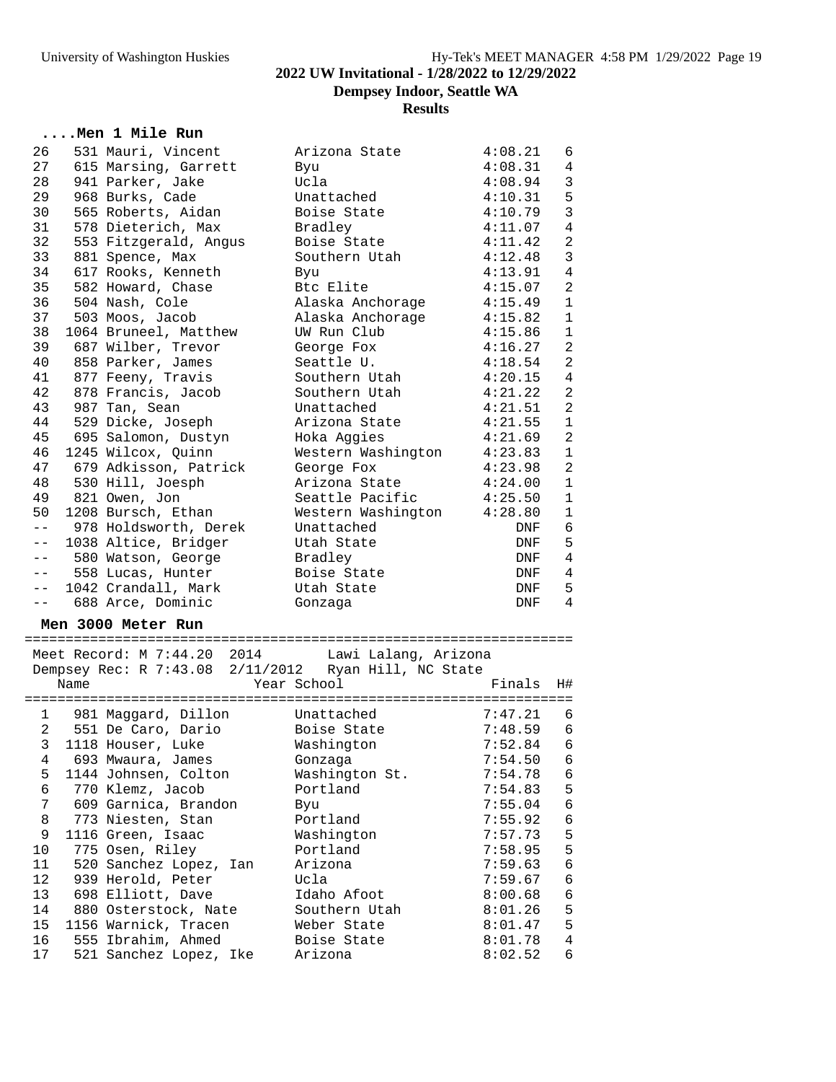### **Dempsey Indoor, Seattle WA**

#### **Results**

### **....Men 1 Mile Run**

| 26       |      | 531 Mauri, Vincent                                   | Arizona State             | 4:08.21            | 6              |
|----------|------|------------------------------------------------------|---------------------------|--------------------|----------------|
| 27       |      | 615 Marsing, Garrett                                 | Byu                       | 4:08.31            | 4              |
| 28       |      | 941 Parker, Jake                                     | Ucla                      | 4:08.94            | $\mathbf{3}$   |
| 29       |      | 968 Burks, Cade                                      | Unattached                | 4:10.31            | 5              |
| 30       |      | 565 Roberts, Aidan                                   | Boise State               | 4:10.79            | $\mathbf{3}$   |
| 31       |      | 578 Dieterich, Max                                   | Bradley                   | 4:11.07            | $\overline{4}$ |
| 32       |      | 553 Fitzgerald, Angus                                | Boise State               | 4:11.42            | 2              |
| 33       |      | 881 Spence, Max                                      | Southern Utah             | 4:12.48            | 3              |
| 34       |      | 617 Rooks, Kenneth                                   | Byu                       | 4:13.91            | 4              |
| 35       |      | 582 Howard, Chase                                    | Btc Elite                 | 4:15.07            | $\overline{a}$ |
| 36       |      | 504 Nash, Cole                                       | Alaska Anchorage          | 4:15.49            | $\mathbf{1}$   |
| 37       |      | 503 Moos, Jacob                                      | Alaska Anchorage          | 4:15.82            | 1              |
| 38       |      | 1064 Bruneel, Matthew                                | UW Run Club               | 4:15.86            | $\mathbf{1}$   |
| 39       |      | 687 Wilber, Trevor                                   | George Fox                | 4:16.27            | 2              |
| 40       |      | 858 Parker, James                                    | Seattle U.                | 4:18.54            | 2              |
| 41       |      | 877 Feeny, Travis                                    | Southern Utah             | 4:20.15            | $\overline{4}$ |
| 42       |      | 878 Francis, Jacob                                   | Southern Utah             | 4:21.22            | 2              |
| 43       |      | 987 Tan, Sean                                        | Unattached                | 4:21.51            | 2              |
| 44       |      | 529 Dicke, Joseph                                    | Arizona State             | 4:21.55            | $\mathbf{1}$   |
| 45       |      | 695 Salomon, Dustyn                                  | Hoka Aggies               | 4:21.69            | 2              |
| 46       |      | 1245 Wilcox, Quinn                                   | Western Washington        | 4:23.83            | $\mathbf 1$    |
| 47       |      | 679 Adkisson, Patrick                                | George Fox                | 4:23.98            | 2              |
| 48       |      | 530 Hill, Joesph                                     | Arizona State             | 4:24.00            | 1              |
| 49       |      | 821 Owen, Jon                                        | Seattle Pacific           | 4:25.50            | 1              |
| 50       |      | 1208 Bursch, Ethan                                   | Western Washington        | 4:28.80            | $\mathbf{1}$   |
|          |      | -- 978 Holdsworth, Derek                             | Unattached                | DNF                | 6              |
|          |      | -- 1038 Altice, Bridger                              | Utah State                | DNF                | 5              |
| $- -$    |      | 580 Watson, George                                   | Bradley                   | DNF                | 4              |
| $- -$    |      | 558 Lucas, Hunter                                    | Boise State               | DNF                | 4              |
|          |      | -- 1042 Crandall, Mark                               | Utah State                | DNF                | 5              |
| $- -$    |      | 688 Arce, Dominic                                    | Gonzaga                   | DNF                | 4              |
|          |      | Men 3000 Meter Run                                   |                           |                    |                |
|          |      |                                                      |                           |                    |                |
|          |      | Meet Record: M 7:44.20 2014 Lawi Lalang, Arizona     |                           |                    |                |
|          |      | Dempsey Rec: R 7:43.08 2/11/2012 Ryan Hill, NC State |                           |                    |                |
|          | Name |                                                      | Year School               | Finals             | H#             |
|          |      | 1 981 Maggard, Dillon                                | Unattached                | $7:47.21$ 6        |                |
|          |      | 2 551 De Caro, Dario                                 | Boise State               | 7:48.59            | -6             |
|          |      | 3 1118 Houser, Luke                                  | Washington                | 7:52.84            | -6             |
| 4        |      | 693 Mwaura, James                                    |                           | $7:54.50$ 6        |                |
| 5        |      | 1144 Johnsen, Colton                                 | Gonzaga<br>Washington St. | 7:54.78            | 6              |
| 6        |      | 770 Klemz, Jacob                                     | Portland                  | 7:54.83            | 5              |
| 7        |      | 609 Garnica, Brandon                                 | Byu                       | 7:55.04            | 6              |
| 8        |      | 773 Niesten, Stan                                    | Portland                  | 7:55.92            | 6              |
| 9        |      | 1116 Green, Isaac                                    | Washington                | 7:57.73            | 5              |
| 10       |      | 775 Osen, Riley                                      | Portland                  | 7:58.95            | 5              |
|          |      |                                                      |                           |                    | $\epsilon$     |
| 11<br>12 |      | 520 Sanchez Lopez, Ian<br>939 Herold, Peter          | Arizona<br>Ucla           | 7:59.63<br>7:59.67 | 6              |
| 13       |      |                                                      | Idaho Afoot               |                    | 6              |
|          |      | 698 Elliott, Dave                                    |                           | 8:00.68            |                |
| 14       |      | 880 Osterstock, Nate                                 | Southern Utah             | 8:01.26            | 5              |
| 15       |      | 1156 Warnick, Tracen                                 | Weber State               | 8:01.47            | 5              |
| 16<br>17 |      | 555 Ibrahim, Ahmed<br>521 Sanchez Lopez, Ike         | Boise State               | 8:01.78<br>8:02.52 | 4<br>6         |
|          |      |                                                      | Arizona                   |                    |                |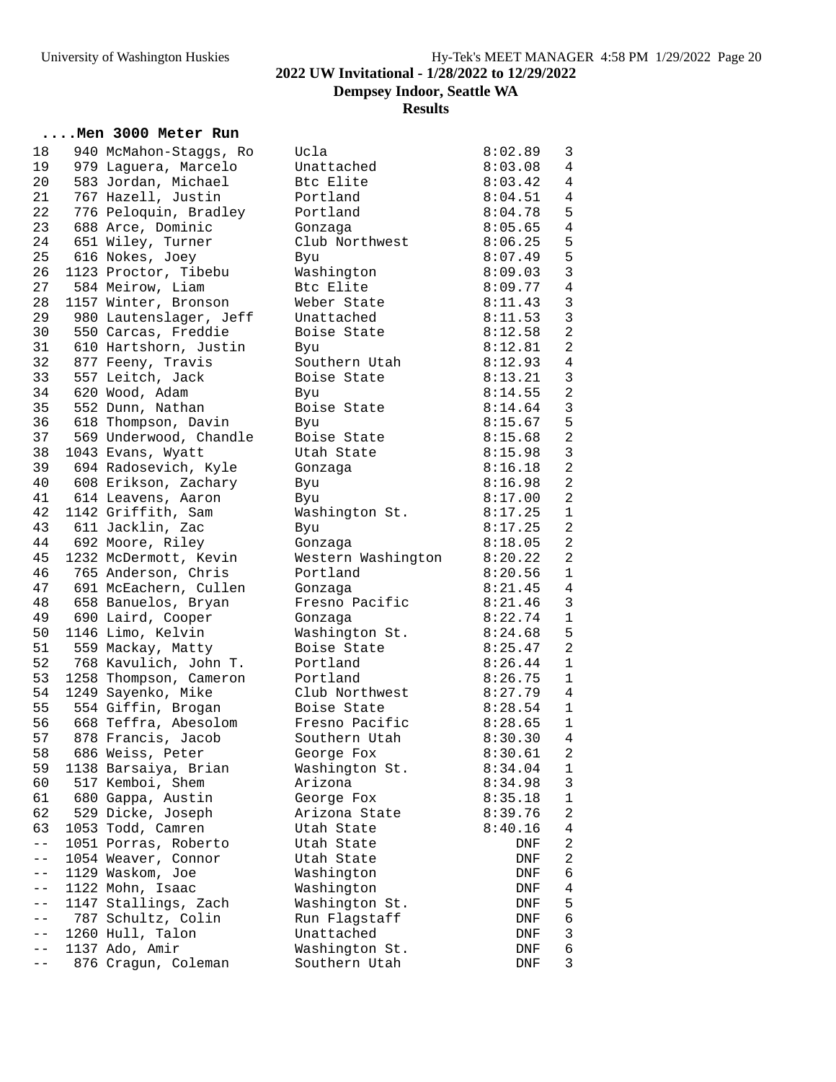### **....Men 3000 Meter Run**

| 18    | 940 McMahon-Staggs, Ro | Ucla               | 8:02.89 | 3                              |
|-------|------------------------|--------------------|---------|--------------------------------|
| 19    | 979 Laguera, Marcelo   | Unattached         | 8:03.08 | $\overline{4}$                 |
| 20    | 583 Jordan, Michael    | Btc Elite          | 8:03.42 | 4                              |
| 21    | 767 Hazell, Justin     | Portland           | 8:04.51 | $\overline{4}$                 |
| 22    | 776 Peloquin, Bradley  | Portland           | 8:04.78 | 5                              |
| 23    | 688 Arce, Dominic      | Gonzaga            | 8:05.65 | $\overline{4}$                 |
| 24    | 651 Wiley, Turner      | Club Northwest     | 8:06.25 | 5                              |
| 25    | 616 Nokes, Joey        | Byu                | 8:07.49 | 5                              |
| 26    | 1123 Proctor, Tibebu   | Washington         | 8:09.03 | $\mathfrak{Z}$                 |
| 27    | 584 Meirow, Liam       | Btc Elite          | 8:09.77 | $\overline{4}$                 |
| 28    | 1157 Winter, Bronson   | Weber State        | 8:11.43 | $\mathfrak{Z}$                 |
| 29    | 980 Lautenslager, Jeff | Unattached         | 8:11.53 | $\mathfrak{Z}$                 |
| 30    | 550 Carcas, Freddie    | Boise State        | 8:12.58 | $\overline{2}$                 |
| 31    | 610 Hartshorn, Justin  | Byu                | 8:12.81 | 2                              |
| 32    | 877 Feeny, Travis      | Southern Utah      | 8:12.93 | $\overline{4}$                 |
| 33    | 557 Leitch, Jack       | Boise State        | 8:13.21 | 3                              |
| 34    | 620 Wood, Adam         | Byu                | 8:14.55 | $\overline{a}$                 |
| 35    | 552 Dunn, Nathan       | Boise State        | 8:14.64 | $\mathbf{3}$                   |
| 36    | 618 Thompson, Davin    | <b>Byu</b>         | 8:15.67 | 5                              |
| 37    | 569 Underwood, Chandle | Boise State        | 8:15.68 | $\overline{a}$                 |
| 38    | 1043 Evans, Wyatt      | Utah State         | 8:15.98 | $\mathfrak{Z}$                 |
| 39    |                        |                    |         | $\overline{a}$                 |
|       | 694 Radosevich, Kyle   | Gonzaga            | 8:16.18 | $\overline{a}$                 |
| 40    | 608 Erikson, Zachary   | Byu                | 8:16.98 |                                |
| 41    | 614 Leavens, Aaron     | Byu                | 8:17.00 | $\overline{a}$<br>$\mathbf{1}$ |
| 42    | 1142 Griffith, Sam     | Washington St.     | 8:17.25 |                                |
| 43    | 611 Jacklin, Zac       | Byu                | 8:17.25 | 2                              |
| 44    | 692 Moore, Riley       | Gonzaga            | 8:18.05 | $\overline{a}$                 |
| 45    | 1232 McDermott, Kevin  | Western Washington | 8:20.22 | 2                              |
| 46    | 765 Anderson, Chris    | Portland           | 8:20.56 | $\mathbf{1}$                   |
| 47    | 691 McEachern, Cullen  | Gonzaga            | 8:21.45 | 4                              |
| 48    | 658 Banuelos, Bryan    | Fresno Pacific     | 8:21.46 | $\overline{3}$                 |
| 49    | 690 Laird, Cooper      | Gonzaga            | 8:22.74 | $\mathbf{1}$                   |
| 50    | 1146 Limo, Kelvin      | Washington St.     | 8:24.68 | 5                              |
| 51    | 559 Mackay, Matty      | Boise State        | 8:25.47 | 2                              |
| 52    | 768 Kavulich, John T.  | Portland           | 8:26.44 | $\mathbf{1}$                   |
| 53    | 1258 Thompson, Cameron | Portland           | 8:26.75 | $\mathbf{1}$                   |
| 54    | 1249 Sayenko, Mike     | Club Northwest     | 8:27.79 | $\overline{4}$                 |
| 55    | 554 Giffin, Brogan     | Boise State        | 8:28.54 | $\mathbf{1}$                   |
| 56    | 668 Teffra, Abesolom   | Fresno Pacific     | 8:28.65 | $\mathbf{1}$                   |
| 57    | 878 Francis, Jacob     | Southern Utah      | 8:30.30 | $\overline{4}$                 |
| 58    | 686 Weiss, Peter       | George Fox         | 8:30.61 | $\overline{a}$                 |
| 59    | 1138 Barsaiya, Brian   | Washington St.     | 8:34.04 | 1                              |
| 60    | 517 Kemboi, Shem       | Arizona            | 8:34.98 | 3                              |
| 61    | 680 Gappa, Austin      | George Fox         | 8:35.18 | $\mathbf 1$                    |
| 62    | 529 Dicke, Joseph      | Arizona State      | 8:39.76 | 2                              |
| 63    | 1053 Todd, Camren      | Utah State         | 8:40.16 | 4                              |
| $- -$ | 1051 Porras, Roberto   | Utah State         | DNF     | 2                              |
| $- -$ | 1054 Weaver, Connor    | Utah State         | DNF     | 2                              |
| $- -$ | 1129 Waskom, Joe       | Washington         | DNF     | 6                              |
| $- -$ | 1122 Mohn, Isaac       | Washington         | DNF     | 4                              |
| $- -$ | 1147 Stallings, Zach   | Washington St.     | DNF     | 5                              |
| $- -$ | 787 Schultz, Colin     | Run Flagstaff      | DNF     | 6                              |
| $- -$ | 1260 Hull, Talon       | Unattached         | DNF     | 3                              |
| $- -$ | 1137 Ado, Amir         | Washington St.     | DNF     | 6                              |
| $- -$ | 876 Cragun, Coleman    | Southern Utah      | DNF     | 3                              |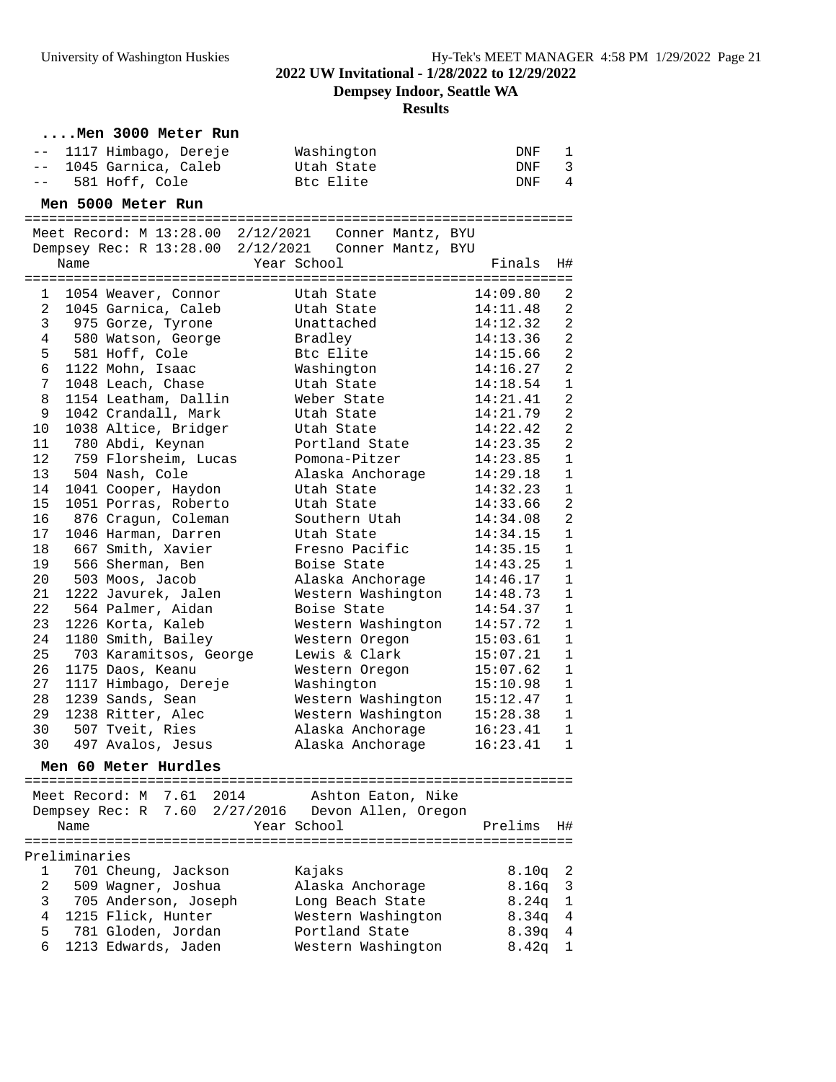**Dempsey Indoor, Seattle WA**

### **Results**

|                 |               | Men 3000 Meter Run       |                                                         |            |                |
|-----------------|---------------|--------------------------|---------------------------------------------------------|------------|----------------|
|                 |               | -- 1117 Himbago, Dereje  | Washington                                              | DNF        | 1              |
| $ -$            |               | 1045 Garnica, Caleb      | Utah State                                              | DNF        | 3              |
|                 |               | -- 581 Hoff, Cole        | Btc Elite                                               | DNF        | $\overline{4}$ |
|                 |               | Men 5000 Meter Run       |                                                         |            |                |
|                 |               |                          | Meet Record: M $13:28.00$ $2/12/2021$ Conner Mantz, BYU |            |                |
|                 |               |                          | Dempsey Rec: R 13:28.00 2/12/2021 Conner Mantz, BYU     |            |                |
|                 | Name          |                          | Year School                                             | Finals     | H#             |
|                 |               |                          |                                                         |            |                |
| $\mathbf{1}$    |               | 1054 Weaver, Connor      | Utah State                                              | 14:09.80   | 2              |
| $\overline{a}$  |               | 1045 Garnica, Caleb      | Utah State                                              | 14:11.48   | 2              |
| $\mathbf{3}$    |               | 975 Gorze, Tyrone        | Unattached                                              | 14:12.32   | $\overline{a}$ |
| 4               |               | 580 Watson, George       | Bradley                                                 | 14:13.36   | 2              |
|                 |               | 5 581 Hoff, Cole         | Btc Elite                                               | 14:15.66   | $\overline{2}$ |
| 6               |               | 1122 Mohn, Isaac         | Washington                                              | 14:16.27   | $\overline{a}$ |
| 7               |               | 1048 Leach, Chase        | Utah State                                              | 14:18.54   | $\mathbf{1}$   |
| 8               |               | 1154 Leatham, Dallin     | Weber State                                             | 14:21.41   | $\overline{2}$ |
| 9               |               | 1042 Crandall, Mark      | Utah State                                              | 14:21.79   | $\overline{2}$ |
| 10 <sup>°</sup> |               | 1038 Altice, Bridger     | Utah State                                              | 14:22.42   | $\overline{2}$ |
| 11              |               | 780 Abdi, Keynan         | Portland State                                          | 14:23.35   | $\overline{2}$ |
| 12 <sub>2</sub> |               | 759 Florsheim, Lucas     | Pomona-Pitzer                                           | 14:23.85   | $\mathbf{1}$   |
| 13              |               | 504 Nash, Cole           | Alaska Anchorage                                        | 14:29.18   | $\mathbf{1}$   |
| 14              |               | 1041 Cooper, Haydon      | Utah State                                              | 14:32.23   | $\mathbf{1}$   |
| 15              |               | 1051 Porras, Roberto     | Utah State                                              | 14:33.66   | $\overline{2}$ |
| 16              |               | 876 Cragun, Coleman      | Southern Utah                                           | 14:34.08   | $\overline{a}$ |
| 17              |               | 1046 Harman, Darren      | Utah State                                              | 14:34.15   | $\mathbf{1}$   |
| 18              |               | 667 Smith, Xavier        | Fresno Pacific                                          | 14:35.15   | $\mathbf{1}$   |
| 19              |               | 566 Sherman, Ben         | Boise State                                             | 14:43.25   | $\mathbf{1}$   |
| 20              |               | 503 Moos, Jacob          | Alaska Anchorage                                        | 14:46.17   | $\mathbf{1}$   |
| 21              |               | 1222 Javurek, Jalen      | Western Washington                                      | 14:48.73   | $\mathbf{1}$   |
| 22              |               | 564 Palmer, Aidan        | Boise State                                             | 14:54.37   | $\mathbf{1}$   |
| 23              |               | 1226 Korta, Kaleb        | Western Washington                                      | 14:57.72   | $\mathbf{1}$   |
| 24              |               | 1180 Smith, Bailey       | Western Oregon                                          | 15:03.61   | $\mathbf{1}$   |
| 25              |               | 703 Karamitsos, George   | Lewis & Clark                                           | 15:07.21   | $\mathbf{1}$   |
| 26              |               | 1175 Daos, Keanu         | Western Oregon                                          | 15:07.62   | $\mathbf{1}$   |
| 27              |               | 1117 Himbago, Dereje     | Washington                                              | 15:10.98   | $\mathbf{1}$   |
| 28              |               | 1239 Sands, Sean         | Western Washington                                      | 15:12.47   | $\mathbf{1}$   |
| 29              |               | 1238 Ritter, Alec        | Western Washington                                      | 15:28.38   | $\mathbf{1}$   |
| 30 —            |               | 507 Tveit, Ries          | Alaska Anchorage                                        | 16:23.41 1 |                |
| 30              |               | 497 Avalos, Jesus        | Alaska Anchorage                                        | 16:23.41   | 1              |
|                 |               | Men 60 Meter Hurdles     |                                                         |            |                |
|                 |               |                          |                                                         |            |                |
|                 |               | Meet Record: M 7.61 2014 | Ashton Eaton, Nike                                      |            |                |
|                 |               |                          | Dempsey Rec: R 7.60 2/27/2016 Devon Allen, Oregon       |            |                |
|                 | Name          |                          | Year School                                             | Prelims    | Η#             |
|                 |               |                          |                                                         |            |                |
|                 | Preliminaries |                          |                                                         |            |                |
| 1               |               | 701 Cheung, Jackson      | Kajaks                                                  | 8.10q      | 2              |
| 2               |               | 509 Wagner, Joshua       | Alaska Anchorage                                        | 8.16q      | 3              |
| 3               |               | 705 Anderson, Joseph     | Long Beach State                                        | 8.24q      | 1              |
| 4               |               | 1215 Flick, Hunter       | Western Washington                                      | 8.34q      | 4              |
| 5               |               | 781 Gloden, Jordan       | Portland State                                          | 8.39q      | 4              |
| 6               |               | 1213 Edwards, Jaden      | Western Washington                                      | 8.42q      | 1              |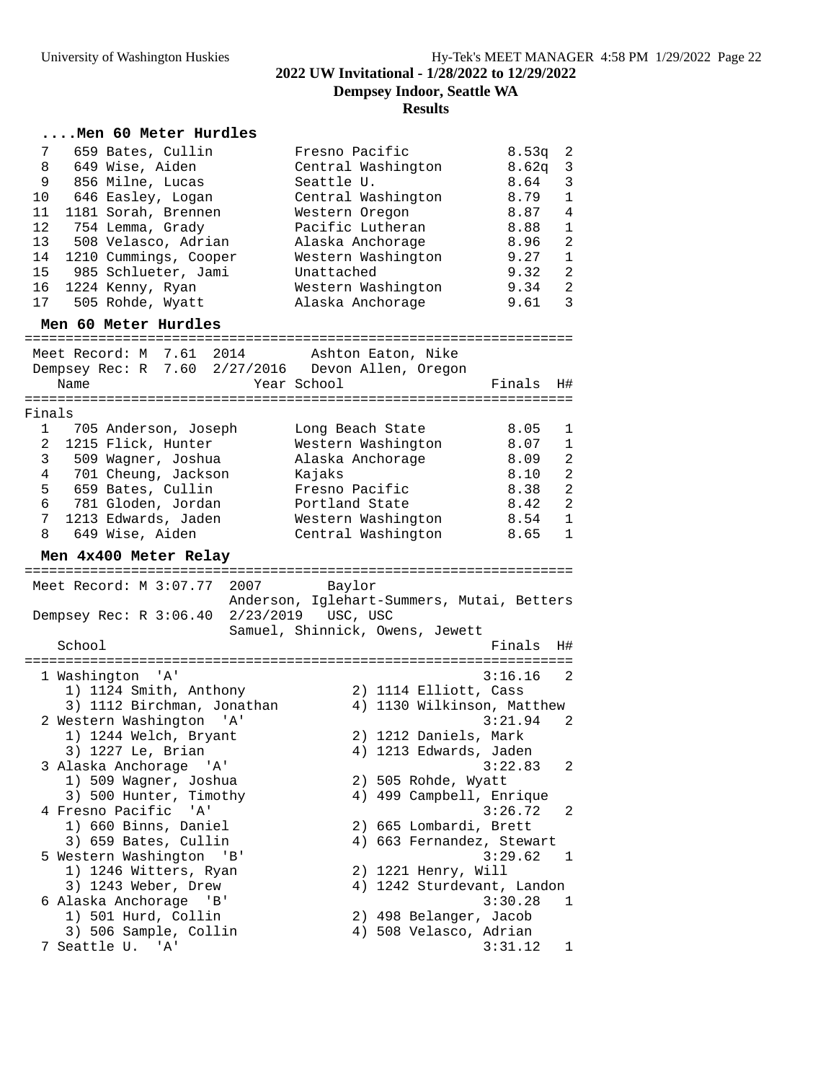# **....Men 60 Meter Hurdles**

| 7<br>659 Bates, Cullin<br>649 Wise, Aiden<br>8<br>9<br>856 Milne, Lucas<br>646 Easley, Logan<br>10<br>11<br>1181 Sorah, Brennen<br>12<br>754 Lemma, Grady<br>13<br>508 Velasco, Adrian<br>1210 Cummings, Cooper<br>14<br>985 Schlueter, Jami<br>15<br>16<br>1224 Kenny, Ryan<br>505 Rohde, Wyatt<br>17<br>Men 60 Meter Hurdles | Fresno Pacific<br>Central Washington<br>Seattle U.<br>Central Washington<br>Western Oregon<br>Pacific Lutheran<br>Alaska Anchorage<br>Western Washington<br>Unattached<br>Western Washington<br>Alaska Anchorage | 8.53q<br>8.62q<br>8.64<br>8.79<br>8.87<br>8.88<br>8.96<br>9.27<br>9.32<br>9.34<br>9.61 | 2<br>3<br>3<br>$\mathbf{1}$<br>4<br>1<br>2<br>1<br>$\overline{2}$<br>$\overline{2}$<br>3 |
|--------------------------------------------------------------------------------------------------------------------------------------------------------------------------------------------------------------------------------------------------------------------------------------------------------------------------------|------------------------------------------------------------------------------------------------------------------------------------------------------------------------------------------------------------------|----------------------------------------------------------------------------------------|------------------------------------------------------------------------------------------|
| Meet Record: M 7.61 2014 Ashton Eaton, Nike                                                                                                                                                                                                                                                                                    |                                                                                                                                                                                                                  |                                                                                        |                                                                                          |
| Dempsey Rec: R 7.60 2/27/2016 Devon Allen, Oregon<br>Name                                                                                                                                                                                                                                                                      | Year School                                                                                                                                                                                                      | Finals                                                                                 | H#                                                                                       |
| Finals                                                                                                                                                                                                                                                                                                                         |                                                                                                                                                                                                                  |                                                                                        |                                                                                          |
| 1 705 Anderson, Joseph<br>1215 Flick, Hunter                                                                                                                                                                                                                                                                                   | Long Beach State                                                                                                                                                                                                 | 8.05<br>8.07                                                                           | 1                                                                                        |
| $\mathbf{2}$<br>509 Waqner, Joshua<br>3                                                                                                                                                                                                                                                                                        | Western Washington<br>Alaska Anchorage                                                                                                                                                                           | 8.09                                                                                   | $\mathbf 1$<br>2                                                                         |
| 4 701 Cheung, Jackson                                                                                                                                                                                                                                                                                                          | Kajaks                                                                                                                                                                                                           | 8.10                                                                                   | 2                                                                                        |
| 5 659 Bates, Cullin                                                                                                                                                                                                                                                                                                            | Fresno Pacific                                                                                                                                                                                                   | 8.38                                                                                   | 2                                                                                        |
| 6 781 Gloden, Jordan<br>7 <sup>7</sup><br>1213 Edwards, Jaden                                                                                                                                                                                                                                                                  | Portland State<br>Western Washington                                                                                                                                                                             | 8.42<br>8.54                                                                           | 2<br>$\mathbf 1$                                                                         |
| 8 649 Wise, Aiden                                                                                                                                                                                                                                                                                                              | Central Washington                                                                                                                                                                                               | 8.65                                                                                   | $\mathbf{1}$                                                                             |
|                                                                                                                                                                                                                                                                                                                                |                                                                                                                                                                                                                  |                                                                                        |                                                                                          |
| Men 4x400 Meter Relay                                                                                                                                                                                                                                                                                                          |                                                                                                                                                                                                                  |                                                                                        |                                                                                          |
|                                                                                                                                                                                                                                                                                                                                |                                                                                                                                                                                                                  |                                                                                        |                                                                                          |
| Meet Record: M 3:07.77 2007 Baylor                                                                                                                                                                                                                                                                                             | Anderson, Iglehart-Summers, Mutai, Betters                                                                                                                                                                       |                                                                                        |                                                                                          |
| Dempsey Rec: R 3:06.40 2/23/2019 USC, USC                                                                                                                                                                                                                                                                                      |                                                                                                                                                                                                                  |                                                                                        |                                                                                          |
| School                                                                                                                                                                                                                                                                                                                         | Samuel, Shinnick, Owens, Jewett                                                                                                                                                                                  | Finals                                                                                 | H#                                                                                       |
| 1 Washington 'A'                                                                                                                                                                                                                                                                                                               |                                                                                                                                                                                                                  | $3:16.16$ 2                                                                            |                                                                                          |
| 1) 1124 Smith, Anthony                                                                                                                                                                                                                                                                                                         | 2) 1114 Elliott, Cass                                                                                                                                                                                            |                                                                                        |                                                                                          |
| 3) 1112 Birchman, Jonathan                                                                                                                                                                                                                                                                                                     | 4) 1130 Wilkinson, Matthew                                                                                                                                                                                       |                                                                                        |                                                                                          |
| 2 Western Washington<br>' A '                                                                                                                                                                                                                                                                                                  |                                                                                                                                                                                                                  | 3:21.94                                                                                | 2                                                                                        |
| 1) 1244 Welch, Bryant<br>3) 1227 Le, Brian                                                                                                                                                                                                                                                                                     | 2) 1212 Daniels, Mark<br>4) 1213 Edwards, Jaden                                                                                                                                                                  |                                                                                        |                                                                                          |
| 3 Alaska Anchorage 'A'                                                                                                                                                                                                                                                                                                         |                                                                                                                                                                                                                  | 3:22.83                                                                                | 2                                                                                        |
| 1) 509 Wagner, Joshua                                                                                                                                                                                                                                                                                                          | 2) 505 Rohde, Wyatt                                                                                                                                                                                              |                                                                                        |                                                                                          |
| 3) 500 Hunter, Timothy<br>4 Fresno Pacific<br>'A'                                                                                                                                                                                                                                                                              | 4) 499 Campbell, Enrique                                                                                                                                                                                         | 3:26.72                                                                                | 2                                                                                        |
| 1) 660 Binns, Daniel                                                                                                                                                                                                                                                                                                           | 2) 665 Lombardi, Brett                                                                                                                                                                                           |                                                                                        |                                                                                          |
| 3) 659 Bates, Cullin                                                                                                                                                                                                                                                                                                           | 4) 663 Fernandez, Stewart                                                                                                                                                                                        |                                                                                        |                                                                                          |
| 5 Western Washington 'B'                                                                                                                                                                                                                                                                                                       |                                                                                                                                                                                                                  | 3:29.62                                                                                | 1                                                                                        |
| 1) 1246 Witters, Ryan<br>3) 1243 Weber, Drew                                                                                                                                                                                                                                                                                   | 2) 1221 Henry, Will<br>4) 1242 Sturdevant, Landon                                                                                                                                                                |                                                                                        |                                                                                          |
| 6 Alaska Anchorage<br>'B'                                                                                                                                                                                                                                                                                                      |                                                                                                                                                                                                                  | 3:30.28                                                                                | 1                                                                                        |
| 1) 501 Hurd, Collin                                                                                                                                                                                                                                                                                                            | 2) 498 Belanger, Jacob                                                                                                                                                                                           |                                                                                        |                                                                                          |
| 3) 506 Sample, Collin<br>7 Seattle U. 'A'                                                                                                                                                                                                                                                                                      | 4) 508 Velasco, Adrian                                                                                                                                                                                           | 3:31.12                                                                                | 1                                                                                        |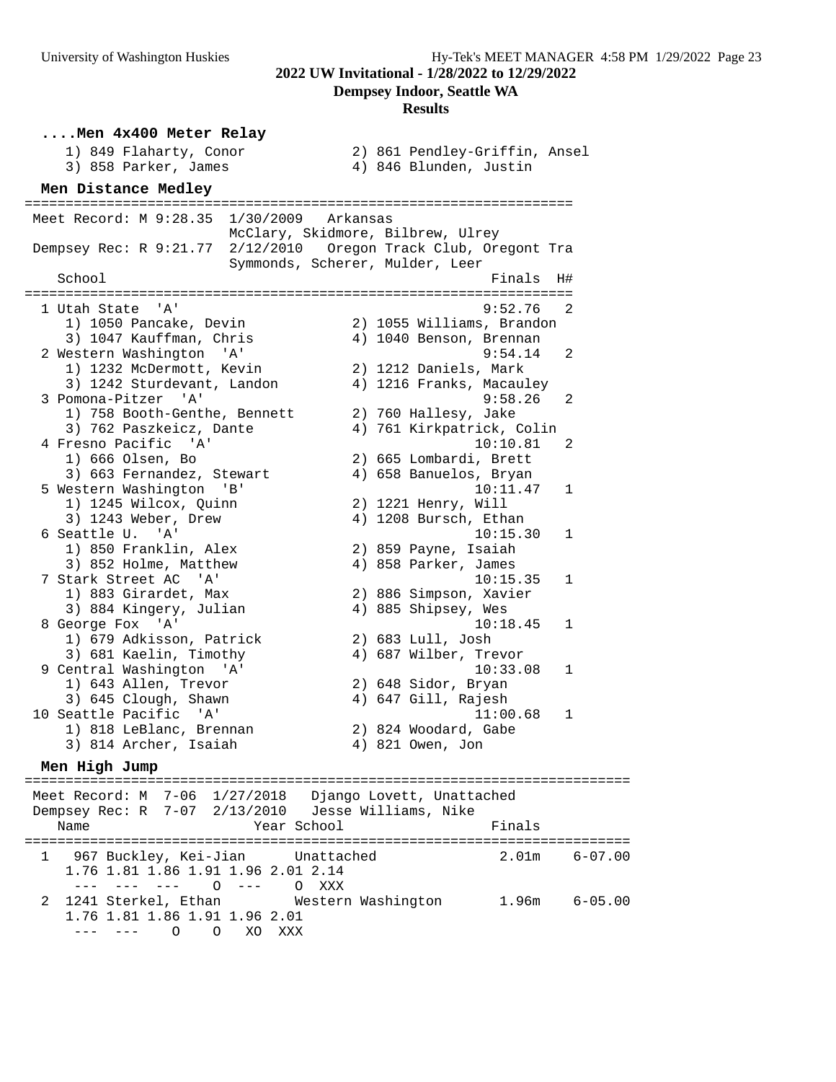**....Men 4x400 Meter Relay** 1) 849 Flaharty, Conor 2) 861 Pendley-Griffin, Ansel 3) 858 Parker, James 4) 846 Blunden, Justin **Men Distance Medley** =================================================================== Meet Record: M 9:28.35 1/30/2009 Arkansas McClary, Skidmore, Bilbrew, Ulrey Dempsey Rec: R 9:21.77 2/12/2010 Oregon Track Club, Oregont Tra Symmonds, Scherer, Mulder, Leer School **Finals** H# =================================================================== 1 Utah State 'A' 9:52.76 2 1) 1050 Pancake, Devin 2) 1055 Williams, Brandon 3) 1047 Kauffman, Chris 4) 1040 Benson, Brennan 2 Western Washington 'A' 9:54.14 2 1) 1232 McDermott, Kevin 2) 1212 Daniels, Mark 3) 1242 Sturdevant, Landon 4) 1216 Franks, Macauley 3 Pomona-Pitzer 'A' 9:58.26 2 1) 758 Booth-Genthe, Bennett 2) 760 Hallesy, Jake 3) 762 Paszkeicz, Dante 4) 761 Kirkpatrick, Colin 4 Fresno Pacific 'A' 10:10.81 2 1) 666 Olsen, Bo 2) 665 Lombardi, Brett 3) 663 Fernandez, Stewart 4) 658 Banuelos, Bryan 5 Western Washington 'B' 10:11.47 1 1) 1245 Wilcox, Quinn 2) 1221 Henry, Will 3) 1243 Weber, Drew 4) 1208 Bursch, Ethan 6 Seattle U. 'A' 10:15.30 1 1) 850 Franklin, Alex 2) 859 Payne, Isaiah 3) 852 Holme, Matthew 4) 858 Parker, James 7 Stark Street AC 'A' 10:15.35 1 1) 883 Girardet, Max 2) 886 Simpson, Xavier 3) 884 Kingery, Julian 4) 885 Shipsey, Wes 8 George Fox 'A' 10:18.45 1 1) 679 Adkisson, Patrick 2) 683 Lull, Josh 3) 681 Kaelin, Timothy 4) 687 Wilber, Trevor 9 Central Washington 'A' 10:33.08 1 1) 643 Allen, Trevor 2) 648 Sidor, Bryan 3) 645 Clough, Shawn 4) 647 Gill, Rajesh 10 Seattle Pacific 'A' 11:00.68 1 1) 818 LeBlanc, Brennan 2) 824 Woodard, Gabe 3) 814 Archer, Isaiah 4) 821 Owen, Jon **Men High Jump** ========================================================================== Meet Record: M 7-06 1/27/2018 Django Lovett, Unattached Dempsey Rec: R 7-07 2/13/2010 Jesse Williams, Nike

Name Tear School Finals ========================================================================== 1 967 Buckley, Kei-Jian Unattached 1.76 1.81 1.86 1.91 1.96 2.01 2.14 --- --- --- O --- O XXX 2 1241 Sterkel, Ethan Western Washington 1.96m 6-05.00 1.76 1.81 1.86 1.91 1.96 2.01 --- --- O O XO XXX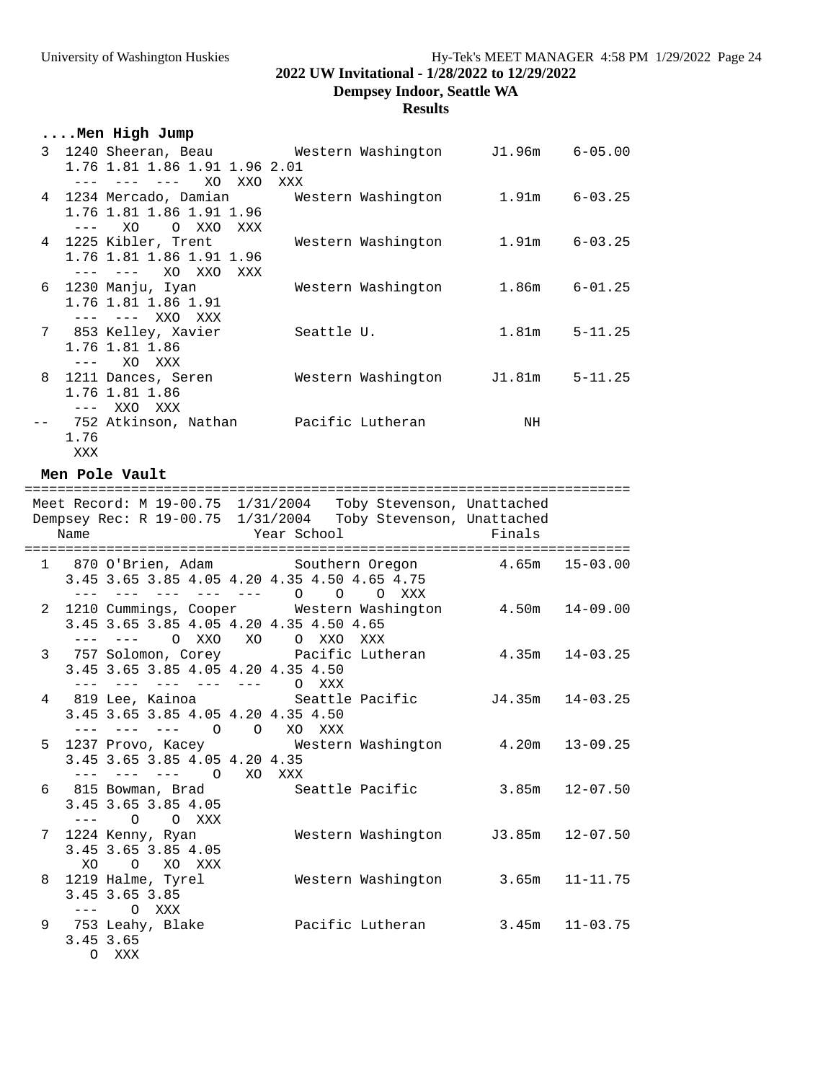# **2022 UW Invitational - 1/28/2022 to 12/29/2022**

**Dempsey Indoor, Seattle WA**

### **Results**

# **....Men High Jump**

| 3 |           | 1240 Sheeran, Beau             Western Washington       J1.96m |            |                    |        | $6 - 05.00$ |
|---|-----------|----------------------------------------------------------------|------------|--------------------|--------|-------------|
|   |           | 1.76 1.81 1.86 1.91 1.96 2.01                                  |            |                    |        |             |
|   |           | XO<br>XXO                                                      | XXX        |                    |        |             |
|   |           | 4 1234 Mercado, Damian                                         |            | Western Washington | 1.91m  | $6 - 03.25$ |
|   |           | 1.76 1.81 1.86 1.91 1.96                                       |            |                    |        |             |
|   |           | XO<br>O XXO<br>XXX                                             |            |                    |        |             |
|   |           | 4 1225 Kibler, Trent                                           |            | Western Washington | 1.91m  | $6 - 03.25$ |
|   |           | 1.76 1.81 1.86 1.91 1.96                                       |            |                    |        |             |
|   |           | XO XXO<br>XXX<br>$- - - -$                                     |            |                    |        |             |
| 6 |           | 1230 Manju, Iyan                                               |            | Western Washington | 1.86m  | $6 - 01.25$ |
|   |           | 1.76 1.81 1.86 1.91                                            |            |                    |        |             |
|   |           | XXO<br>XXX<br>$- - - -$                                        |            |                    |        |             |
| 7 |           | 853 Kelley, Xavier                                             | Seattle U. |                    | 1.81m  | $5 - 11.25$ |
|   |           | 1.76 1.81 1.86                                                 |            |                    |        |             |
|   |           | XO.<br>XXX                                                     |            |                    |        |             |
| 8 |           | 1211 Dances, Seren                                             |            | Western Washington | J1.81m | $5 - 11.25$ |
|   |           | 1.76 1.81 1.86                                                 |            |                    |        |             |
|   | $- - - -$ | XXO<br>XXX                                                     |            |                    |        |             |
|   |           | 752 Atkinson, Nathan                                           |            | Pacific Lutheran   | ΝH     |             |
|   | 1.76      |                                                                |            |                    |        |             |

XXX

### **Men Pole Vault**

|           |                                              |                        | Meet Record: M 19-00.75 1/31/2004 Toby Stevenson, Unattached                  |                    |                    |
|-----------|----------------------------------------------|------------------------|-------------------------------------------------------------------------------|--------------------|--------------------|
|           |                                              |                        | Dempsey Rec: R 19-00.75 1/31/2004 Toby Stevenson, Unattached                  |                    |                    |
| Name      |                                              | Year School            |                                                                               | Finals             |                    |
|           |                                              |                        |                                                                               |                    |                    |
|           |                                              |                        | 1 870 O'Brien, Adam            Southern Oregon               4.65m   15-03.00 |                    |                    |
|           | 3.45 3.65 3.85 4.05 4.20 4.35 4.50 4.65 4.75 |                        |                                                                               |                    |                    |
|           | $- - - -$<br>$- - - -$                       | $-- ---$ 0             | $\Omega$<br>O XXX                                                             |                    |                    |
|           |                                              |                        | 2 1210 Cummings, Cooper Western Washington 4.50m 14-09.00                     |                    |                    |
|           | 3.45 3.65 3.85 4.05 4.20 4.35 4.50 4.65      |                        |                                                                               |                    |                    |
|           | O XXO XO<br>$- - - -$                        |                        | O XXO XXX                                                                     |                    |                    |
|           | 3.45 3.65 3.85 4.05 4.20 4.35 4.50           |                        | 3 757 Solomon, Corey Pacific Lutheran 4.35m 14-03.25                          |                    |                    |
|           | $\sim$ $  -$                                 | $--- ---- - --- 0$ XXX |                                                                               |                    |                    |
|           |                                              |                        | 4 819 Lee, Kainoa Seattle Pacific 54.35m 14-03.25                             |                    |                    |
|           | 3.45 3.65 3.85 4.05 4.20 4.35 4.50           |                        |                                                                               |                    |                    |
|           | $- - -$<br>$\frac{1}{2}$                     | $0\qquad 0$            | XO XXX                                                                        |                    |                    |
| 5         |                                              |                        | 1237 Provo, Kacey Mestern Washington 4.20m 13-09.25                           |                    |                    |
|           | 3.45 3.65 3.85 4.05 4.20 4.35                |                        |                                                                               |                    |                    |
|           |                                              | $\Omega$<br>XO XXX     |                                                                               |                    |                    |
|           |                                              |                        | 6 815 Bowman, Brad             Seattle Pacific                                |                    | $3.85m$ $12-07.50$ |
|           | 3.45 3.65 3.85 4.05                          |                        |                                                                               |                    |                    |
|           | $\Omega$<br>O XXX                            |                        |                                                                               |                    |                    |
|           | 7 1224 Kenny, Ryan                           |                        | Western Washington J3.85m 12-07.50                                            |                    |                    |
|           | 3.45 3.65 3.85 4.05                          |                        |                                                                               |                    |                    |
| XO.       | O XO XXX                                     |                        |                                                                               |                    |                    |
| 8         | 1219 Halme, Tyrel                            |                        | Western Washington 3.65m 11-11.75                                             |                    |                    |
|           | 3.45 3.65 3.85                               |                        |                                                                               |                    |                    |
| $---$     | O XXX                                        |                        |                                                                               |                    |                    |
|           |                                              |                        | 9 753 Leahy, Blake Bacific Lutheran                                           | $3.45m$ $11-03.75$ |                    |
| 3.45 3.65 |                                              |                        |                                                                               |                    |                    |
|           | O XXX                                        |                        |                                                                               |                    |                    |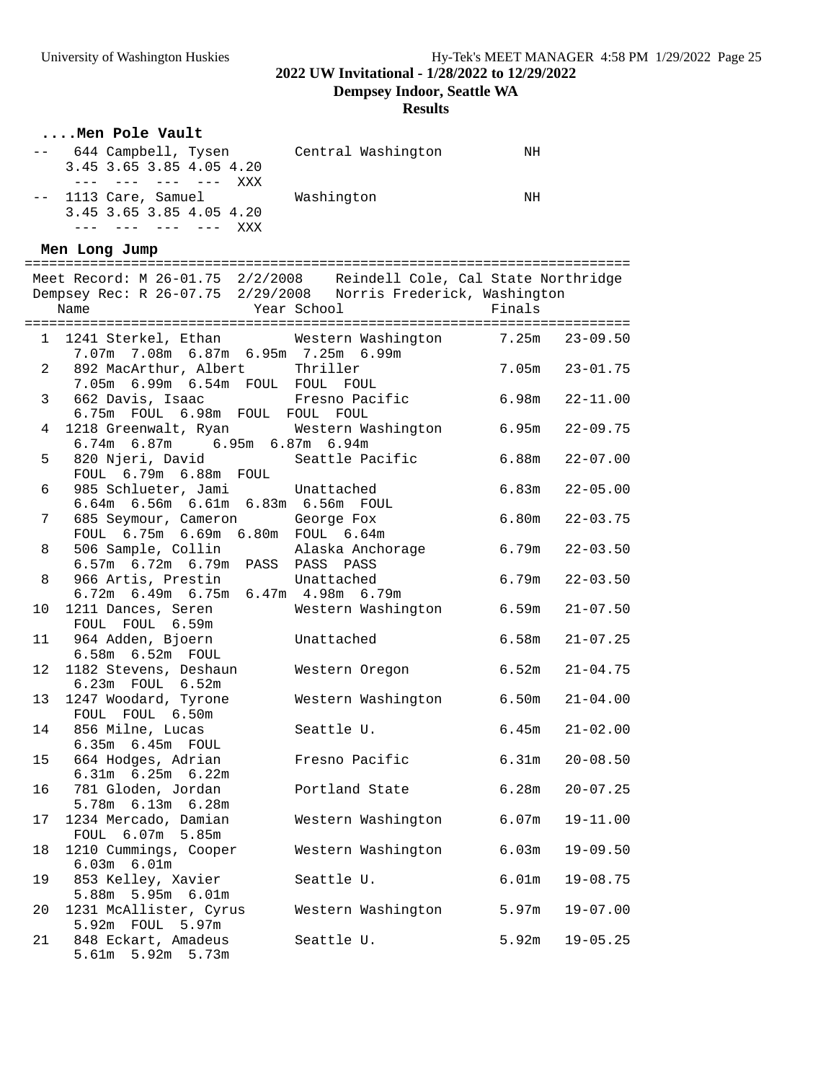# **2022 UW Invitational - 1/28/2022 to 12/29/2022**

**Dempsey Indoor, Seattle WA**

**Results**

|                | Men Pole Vault                                                                                                                         |                               |                    |                    |
|----------------|----------------------------------------------------------------------------------------------------------------------------------------|-------------------------------|--------------------|--------------------|
|                | -- 644 Campbell, Tysen     Central Washington<br>3.45 3.65 3.85 4.05 4.20<br>$--- - --- - --- - --- - XXX$                             |                               | NH                 |                    |
|                | -- 1113 Care, Samuel Mashington<br>3.45 3.65 3.85 4.05 4.20<br>--- --- --- --- XXX                                                     |                               | NH                 |                    |
|                | Men Long Jump                                                                                                                          |                               |                    |                    |
|                |                                                                                                                                        |                               |                    |                    |
|                | Meet Record: M 26-01.75 2/2/2008 Reindell Cole, Cal State Northridge<br>Dempsey Rec: R 26-07.75 2/29/2008 Norris Frederick, Washington |                               |                    |                    |
|                |                                                                                                                                        |                               |                    |                    |
|                | Name                                                                                                                                   | Year School                   | Finals             |                    |
|                |                                                                                                                                        |                               |                    |                    |
|                | 1 1241 Sterkel, Ethan Western Washington 7.25m 23-09.50                                                                                |                               |                    |                    |
|                | 7.07m 7.08m 6.87m 6.95m 7.25m 6.99m                                                                                                    |                               |                    |                    |
| $\mathbf{2}$   | 892 MacArthur, Albert     Thriller<br>7.05m  6.99m  6.54m  FOUL  FOUL  FOUL                                                            |                               | $7.05m$ $23-01.75$ |                    |
|                |                                                                                                                                        |                               |                    |                    |
| $3 \quad$      | 662 Davis, Isaac Fresno Pacific 6.98m 22-11.00                                                                                         |                               |                    |                    |
|                | 6.75m FOUL 6.98m FOUL FOUL FOUL                                                                                                        |                               |                    |                    |
| $\overline{4}$ | 1218 Greenwalt, Ryan Western Washington 6.95m 22-09.75                                                                                 |                               |                    |                    |
|                | 6.74m 6.87m 6.95m 6.87m 6.94m                                                                                                          |                               |                    |                    |
|                |                                                                                                                                        |                               |                    |                    |
| 5              | 820 Njeri, David Seattle Pacific 6.88m 22-07.00                                                                                        |                               |                    |                    |
|                | FOUL 6.79m 6.88m FOUL                                                                                                                  |                               |                    |                    |
| 6              | 985 Schlueter, Jami Unattached                                                                                                         |                               |                    | $6.83m$ $22-05.00$ |
|                | 6.64m 6.56m 6.61m 6.83m 6.56m FOUL                                                                                                     |                               |                    |                    |
| 7              | 685 Seymour, Cameron George Fox                                                                                                        |                               |                    | $6.80m$ $22-03.75$ |
|                | FOUL 6.75m 6.69m 6.80m FOUL 6.64m                                                                                                      |                               |                    |                    |
|                |                                                                                                                                        |                               |                    |                    |
| 8              |                                                                                                                                        |                               |                    |                    |
|                |                                                                                                                                        |                               |                    |                    |
| 8              | 966 Artis, Prestin Unattached                                                                                                          |                               | 6.79m 22-03.50     |                    |
|                | 6.72m 6.49m 6.75m 6.47m 4.98m 6.79m                                                                                                    |                               |                    |                    |
| 10             | 1211 Dances, Seren Western Washington 6.59m 21-07.50                                                                                   |                               |                    |                    |
|                | FOUL FOUL 6.59m                                                                                                                        |                               |                    |                    |
| 11             | 964 Adden, Bjoern Unattached                                                                                                           |                               |                    | $6.58m$ $21-07.25$ |
|                |                                                                                                                                        |                               |                    |                    |
|                | $6.58m$ $6.52m$ $FOUL$                                                                                                                 |                               |                    |                    |
| 12             | 1182 Stevens, Deshaun                                                                                                                  | Western Oregon 6.52m 21-04.75 |                    |                    |
|                | 6.23m FOUL 6.52m                                                                                                                       |                               |                    |                    |
|                | 13 1247 Woodard, Tyrone Western Washington 6.50m 21-04.00                                                                              |                               |                    |                    |
|                | FOUL FOUL 6.50m                                                                                                                        |                               |                    |                    |
| 14             | 856 Milne, Lucas                                                                                                                       | Seattle U.                    |                    | $6.45m$ $21-02.00$ |
|                | 6.35m  6.45m  FOUL                                                                                                                     |                               |                    |                    |
|                |                                                                                                                                        |                               |                    |                    |
| 15             | 664 Hodges, Adrian                                                                                                                     | Fresno Pacific                | 6.31m              | $20 - 08.50$       |
|                | $6.31m$ $6.25m$ $6.22m$                                                                                                                |                               |                    |                    |
| 16             | 781 Gloden, Jordan                                                                                                                     | Portland State                | 6.28m              | $20 - 07.25$       |
|                | 5.78m 6.13m 6.28m                                                                                                                      |                               |                    |                    |
| 17             | 1234 Mercado, Damian                                                                                                                   | Western Washington            | 6.07m              | $19 - 11.00$       |
|                | FOUL 6.07m 5.85m                                                                                                                       |                               |                    |                    |
|                |                                                                                                                                        |                               |                    |                    |
| 18             | 1210 Cummings, Cooper                                                                                                                  | Western Washington            | 6.03m              | $19 - 09.50$       |
|                | $6.03m$ $6.01m$                                                                                                                        |                               |                    |                    |
| 19             | 853 Kelley, Xavier                                                                                                                     | Seattle U.                    | 6.01m              | $19 - 08.75$       |
|                | 5.88m 5.95m 6.01m                                                                                                                      |                               |                    |                    |
| 20             | 1231 McAllister, Cyrus                                                                                                                 | Western Washington            | 5.97m              | $19 - 07.00$       |
|                | 5.92m FOUL 5.97m                                                                                                                       |                               |                    |                    |
| 21             | 848 Eckart, Amadeus                                                                                                                    | Seattle U.                    | 5.92m              | $19 - 05.25$       |
|                |                                                                                                                                        |                               |                    |                    |
|                | 5.61m 5.92m 5.73m                                                                                                                      |                               |                    |                    |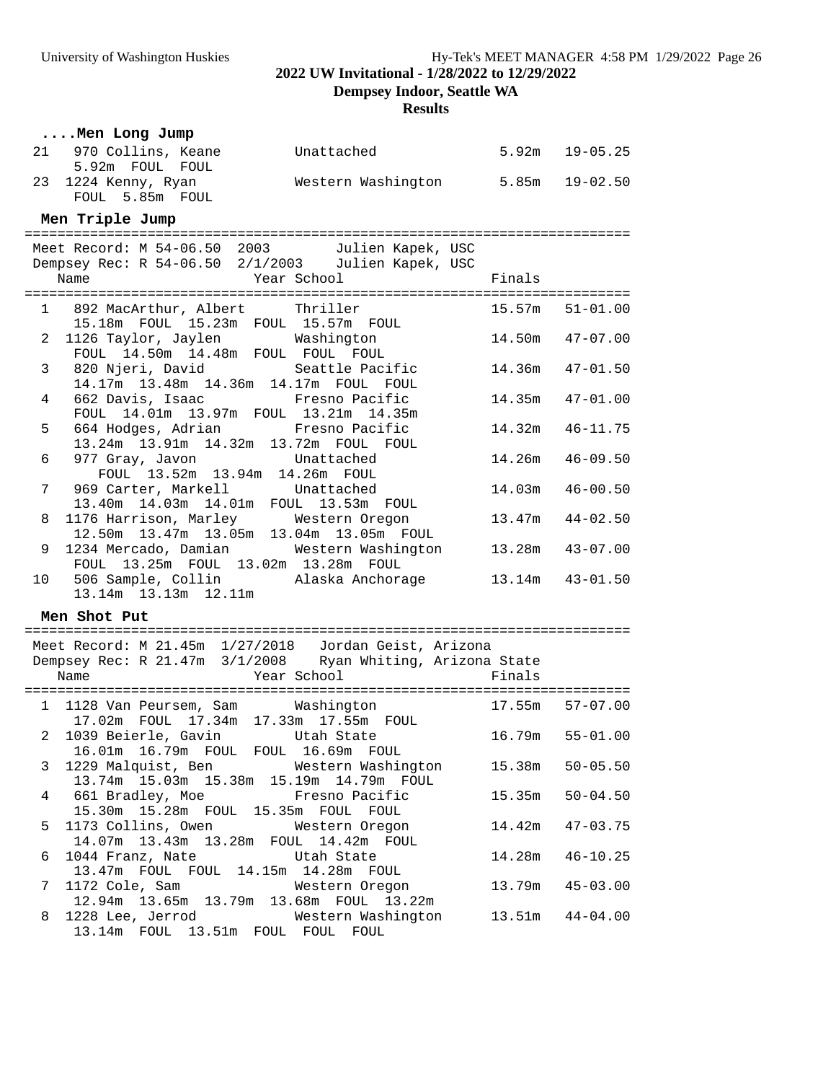**Dempsey Indoor, Seattle WA**

### **Results**

|    | Men Long Jump                                                                                                       |                                   |        |                     |
|----|---------------------------------------------------------------------------------------------------------------------|-----------------------------------|--------|---------------------|
|    | 21 970 Collins, Keane<br>5.92m FOUL FOUL                                                                            | Unattached                        |        | $5.92m$ $19-05.25$  |
|    | 23 1224 Kenny, Ryan<br>FOUL 5.85m FOUL                                                                              | Western Washington 5.85m 19-02.50 |        |                     |
|    | Men Triple Jump                                                                                                     |                                   |        |                     |
|    |                                                                                                                     |                                   |        |                     |
|    | Meet Record: M 54-06.50 2003 Julien Kapek, USC<br>Dempsey Rec: R 54-06.50 2/1/2003 Julien Kapek, USC                |                                   |        |                     |
|    |                                                                                                                     |                                   |        |                     |
|    |                                                                                                                     |                                   |        |                     |
|    | 1 892 MacArthur, Albert Thriller<br>15.18m FOUL 15.23m FOUL 15.57m FOUL                                             |                                   |        | $15.57m$ $51-01.00$ |
|    | 2 1126 Taylor, Jaylen Mashington<br>FOUL 14.50m 14.48m FOUL FOUL FOUL                                               |                                   |        | $14.50m$ $47-07.00$ |
|    |                                                                                                                     |                                   |        |                     |
| 3  | 820 Njeri, David Seattle Pacific<br>14.17m  13.48m  14.36m  14.17m  FOUL  FOUL                                      |                                   |        | 14.36m  47-01.50    |
| 4  | 662 Davis, Isaac                                                                                                    | Fresno Pacific                    |        | $14.35m$ $47-01.00$ |
|    | FOUL 14.01m 13.97m FOUL 13.21m 14.35m                                                                               |                                   |        |                     |
| 5  | 664 Hodges, Adrian                                                                                                  | Fresno Pacific                    |        | 14.32m  46-11.75    |
| 6  | 13.24m  13.91m  14.32m  13.72m  FOUL  FOUL<br>977 Gray, Javon Unattached                                            |                                   | 14.26m | $46 - 09.50$        |
|    | FOUL 13.52m 13.94m 14.26m FOUL                                                                                      |                                   |        |                     |
| 7  | 969 Carter, Markell Unattached                                                                                      |                                   | 14.03m | $46 - 00.50$        |
| 8  | 13.40m  14.03m  14.01m  FOUL  13.53m  FOUL                                                                          |                                   |        | $13.47m$ $44-02.50$ |
|    | 1176 Harrison, Marley Western Oregon<br>12.50m 13.47m 13.05m 13.04m 13.05m FOUL                                     |                                   |        |                     |
| 9  | 1234 Mercado, Damian Mestern Washington                                                                             |                                   |        | 13.28m  43-07.00    |
|    | FOUL 13.25m FOUL 13.02m 13.28m FOUL                                                                                 |                                   |        |                     |
| 10 | 506 Sample, Collin Alaska Anchorage<br>13.14m  13.13m  12.11m                                                       |                                   |        | $13.14m$ $43-01.50$ |
|    | Men Shot Put                                                                                                        |                                   |        |                     |
|    |                                                                                                                     |                                   |        |                     |
|    | Meet Record: M 21.45m 1/27/2018 Jordan Geist, Arizona<br>Dempsey Rec: R 21.47m 3/1/2008 Ryan Whiting, Arizona State |                                   |        |                     |
|    | Name                                                                                                                | Year School                       | Finals |                     |
|    |                                                                                                                     |                                   |        |                     |
|    | 1 1128 Van Peursem, Sam Mashington<br>17.02m  FOUL  17.34m  17.33m  17.55m  FOUL                                    |                                   |        | 17.55m 57-07.00     |
|    | 2 1039 Beierle, Gavin Utah State 16.79m 55-01.00                                                                    |                                   |        |                     |
|    | 16.01m  16.79m  FOUL  FOUL  16.69m  FOUL                                                                            |                                   |        |                     |
| 3  | 1229 Malquist, Ben Mestern Washington                                                                               |                                   |        | $15.38m$ $50-05.50$ |
| 4  | 13.74m 15.03m 15.38m 15.19m 14.79m FOUL<br>661 Bradley, Moe Fresno Pacific                                          |                                   | 15.35m | $50 - 04.50$        |
|    | 15.30m  15.28m  FOUL  15.35m  FOUL  FOUL                                                                            |                                   |        |                     |
| 5  | 1173 Collins, Owen Western Oregon                                                                                   |                                   | 14.42m | $47 - 03.75$        |
|    | 14.07m  13.43m  13.28m  FOUL  14.42m  FOUL                                                                          |                                   | 14.28m | $46 - 10.25$        |
| 6  | 1044 Franz, Nate Utah State<br>13.47m FOUL FOUL 14.15m 14.28m FOUL                                                  |                                   |        |                     |
| 7  | 1172 Cole, Sam                                                                                                      | Western Oregon                    |        | 13.79m  45-03.00    |
|    | 12.94m  13.65m  13.79m  13.68m  FOUL  13.22m                                                                        |                                   |        |                     |
| 8  | 1228 Lee, Jerrod Western Washington<br>13.14m FOUL 13.51m FOUL FOUL FOUL                                            |                                   |        | $13.51m$ $44-04.00$ |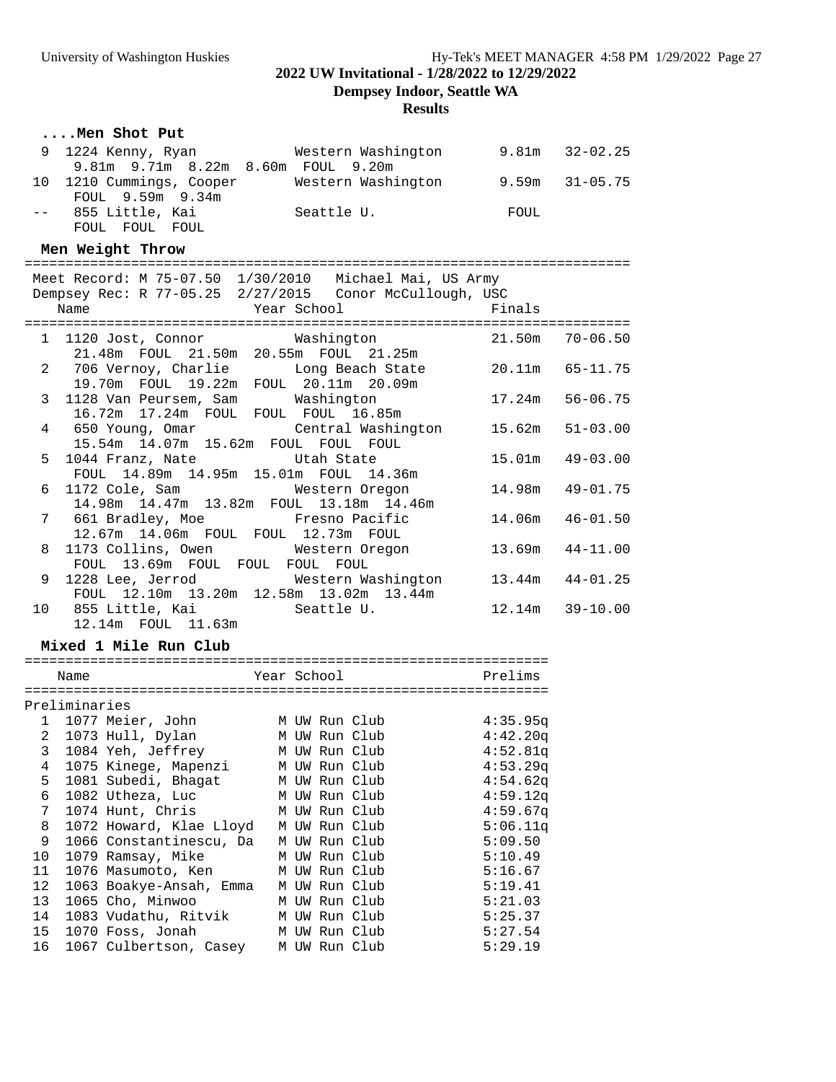**Dempsey Indoor, Seattle WA**

### **Results**

### **....Men Shot Put**

| 9   1224  Kenny,  Ryan             | Western Washington |      | 9.81m 32-02.25     |
|------------------------------------|--------------------|------|--------------------|
| 9.81m 9.71m 8.22m 8.60m FOUL 9.20m |                    |      |                    |
| 10 1210 Cummings, Cooper           | Western Washington |      | $9.59m$ $31-05.75$ |
| FOUL 9.59m 9.34m                   |                    |      |                    |
| 855 Little, Kai                    | Seattle U.         | FOUL |                    |
| FOUL FOUL FOUL                     |                    |      |                    |

#### **Men Weight Throw**

#### ==========================================================================

|   | Meet Record: M 75-07.50 1/30/2010 Michael Mai, US Army                        |                     |
|---|-------------------------------------------------------------------------------|---------------------|
|   | Dempsey Rec: R 77-05.25 2/27/2015 Conor McCullough, USC                       |                     |
|   | <b>Example 19 Year School</b> School Finals<br>Name                           |                     |
|   |                                                                               |                     |
|   | 1 1120 Jost, Connor Washington 21.50m 70-06.50                                |                     |
|   | 21.48m FOUL 21.50m 20.55m FOUL 21.25m                                         |                     |
|   | 2 706 Vernoy, Charlie Long Beach State 20.11m 65-11.75                        |                     |
|   | 19.70m FOUL 19.22m FOUL 20.11m 20.09m                                         |                     |
|   | 3 1128 Van Peursem, Sam Mashington 17.24m 56-06.75                            |                     |
|   | 16.72m  17.24m  FOUL  FOUL  FOUL  16.85m                                      |                     |
|   | 4 650 Young, Omar Central Washington 15.62m 51-03.00                          |                     |
|   | 15.54m  14.07m  15.62m  FOUL  FOUL  FOUL                                      |                     |
|   | 5 1044 Franz, Nate 5 15.01m $15.01$ m $49-03.00$                              |                     |
|   | FOUL 14.89m 14.95m 15.01m FOUL 14.36m                                         |                     |
|   | 6 1172 Cole, Sam Mestern Oregon 14.98m 49-01.75                               |                     |
|   | 14.98m 14.47m 13.82m FOUL 13.18m 14.46m                                       |                     |
|   | 7 661 Bradley, Moe         Fresno Pacific                                     | 14.06m 46-01.50     |
|   | 12.67m  14.06m  FOUL  FOUL  12.73m  FOUL                                      |                     |
|   | 8 1173 Collins, Owen Mestern Oregon                                           | $13.69m$ $44-11.00$ |
|   | FOUL 13.69m FOUL FOUL FOUL FOUL                                               |                     |
| 9 | 1228 Lee, Jerrod Western Washington 13.44m 44-01.25                           |                     |
|   | FOUL 12.10m 13.20m 12.58m 13.02m 13.44m                                       |                     |
|   | 10 855 Little, Kai                 Seattle U.               12.14m   39-10.00 |                     |
|   | 12.14m  FOUL  11.63m                                                          |                     |

### **Mixed 1 Mile Run Club**

|    | Name          |                         |   |  | Year School |               |  | Prelims  |
|----|---------------|-------------------------|---|--|-------------|---------------|--|----------|
|    |               |                         |   |  |             |               |  |          |
|    | Preliminaries |                         |   |  |             |               |  |          |
| 1  |               | 1077 Meier, John        |   |  |             | M UW Run Club |  | 4:35.95q |
| 2  |               | 1073 Hull, Dylan        |   |  |             | M UW Run Club |  | 4:42.20q |
| 3  |               | 1084 Yeh, Jeffrey       |   |  |             | M UW Run Club |  | 4:52.81q |
| 4  |               | 1075 Kinege, Mapenzi    |   |  |             | M UW Run Club |  | 4:53.29q |
| 5  |               | 1081 Subedi, Bhagat     |   |  |             | M UW Run Club |  | 4:54.62q |
| 6  |               | 1082 Utheza, Luc        |   |  |             | M UW Run Club |  | 4:59.12q |
| 7  |               | 1074 Hunt, Chris        |   |  |             | M UW Run Club |  | 4:59.67q |
| 8  |               | 1072 Howard, Klae Lloyd | М |  |             | UW Run Club   |  | 5:06.11q |
| 9  |               | 1066 Constantinescu, Da | М |  |             | UW Run Club   |  | 5:09.50  |
| 10 |               | 1079 Ramsay, Mike       |   |  |             | M UW Run Club |  | 5:10.49  |
| 11 |               | 1076 Masumoto, Ken      |   |  |             | M UW Run Club |  | 5:16.67  |
| 12 |               | 1063 Boakye-Ansah, Emma |   |  |             | M UW Run Club |  | 5:19.41  |
| 13 |               | 1065 Cho, Minwoo        |   |  |             | M UW Run Club |  | 5:21.03  |
| 14 |               | 1083 Vudathu, Ritvik    |   |  |             | M UW Run Club |  | 5:25.37  |
| 15 |               | 1070 Foss, Jonah        |   |  |             | M UW Run Club |  | 5:27.54  |
| 16 |               | 1067 Culbertson, Casey  |   |  |             | M UW Run Club |  | 5:29.19  |